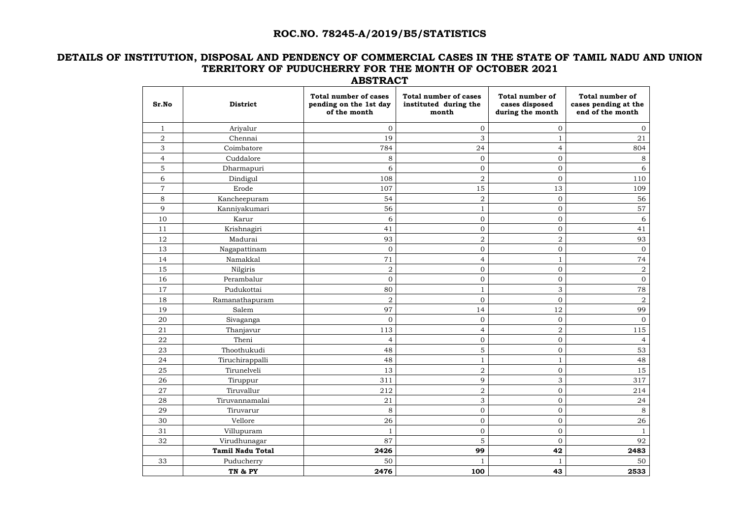# **ROC.NO. 78245-A/2019/B5/STATISTICS**

### **DETAILS OF INSTITUTION, DISPOSAL AND PENDENCY OF COMMERCIAL CASES IN THE STATE OF TAMIL NADU AND UNION TERRITORY OF PUDUCHERRY FOR THE MONTH OF OCTOBER 2021 ABSTRACT**

| Sr.No          | <b>District</b>         | <b>Total number of cases</b><br>pending on the 1st day<br>of the month | <b>Total number of cases</b><br>instituted during the<br>month | <b>Total number of</b><br>cases disposed<br>during the month | <b>Total number of</b><br>cases pending at the<br>end of the month |
|----------------|-------------------------|------------------------------------------------------------------------|----------------------------------------------------------------|--------------------------------------------------------------|--------------------------------------------------------------------|
| $\mathbf{1}$   | Ariyalur                | $\overline{0}$                                                         | 0                                                              | $\mathbf{0}$                                                 | $\overline{0}$                                                     |
| $\sqrt{2}$     | Chennai                 | 19                                                                     | 3                                                              |                                                              | 21                                                                 |
| 3              | Coimbatore              | 784                                                                    | 24                                                             | $\overline{4}$                                               | 804                                                                |
| $\overline{4}$ | Cuddalore               | $8\,$                                                                  | 0                                                              | $\overline{0}$                                               | 8                                                                  |
| 5              | Dharmapuri              | 6                                                                      | 0                                                              | $\mathbf{0}$                                                 | 6                                                                  |
| 6              | Dindigul                | 108                                                                    | $\overline{2}$                                                 | $\mathbf{0}$                                                 | 110                                                                |
| $\overline{7}$ | Erode                   | 107                                                                    | 15                                                             | 13                                                           | 109                                                                |
| 8              | Kancheepuram            | 54                                                                     | $\overline{2}$                                                 | $\mathbf{0}$                                                 | 56                                                                 |
| 9              | Kanniyakumari           | 56                                                                     | 1                                                              | $\mathbf 0$                                                  | 57                                                                 |
| 10             | Karur                   | 6                                                                      | 0                                                              | $\mathbf 0$                                                  | 6                                                                  |
| 11             | Krishnagiri             | 41                                                                     | 0                                                              | $\mathbf{0}$                                                 | 41                                                                 |
| 12             | Madurai                 | 93                                                                     | $\overline{2}$                                                 | $\mathbf 2$                                                  | 93                                                                 |
| 13             | Nagapattinam            | $\mathbf{0}$                                                           | 0                                                              | $\mathbf 0$                                                  | $\mathbf{0}$                                                       |
| 14             | Namakkal                | 71                                                                     | 4                                                              |                                                              | 74                                                                 |
| 15             | Nilgiris                | $\overline{a}$                                                         | $\overline{0}$                                                 | $\overline{0}$                                               | $\overline{2}$                                                     |
| 16             | Perambalur              | $\mathbf 0$                                                            | 0                                                              | $\overline{0}$                                               | $\overline{O}$                                                     |
| 17             | Pudukottai              | 80                                                                     | $\mathbf{1}$                                                   | 3                                                            | 78                                                                 |
| 18             | Ramanathapuram          | $\sqrt{2}$                                                             | 0                                                              | $\overline{0}$                                               | $\overline{2}$                                                     |
| 19             | Salem                   | 97                                                                     | 14                                                             | 12                                                           | 99                                                                 |
| 20             | Sivaganga               | $\mathbf{0}$                                                           | 0                                                              | $\mathbf 0$                                                  | $\overline{0}$                                                     |
| 21             | Thanjavur               | 113                                                                    | 4                                                              | $\mathbf 2$                                                  | 115                                                                |
| 22             | Theni                   | $\overline{4}$                                                         | 0                                                              | $\mathbf 0$                                                  | $\overline{4}$                                                     |
| 23             | Thoothukudi             | 48                                                                     | 5                                                              | $\mathbf 0$                                                  | 53                                                                 |
| 24             | Tiruchirappalli         | 48                                                                     |                                                                |                                                              | 48                                                                 |
| 25             | Tirunelveli             | 13                                                                     | $\overline{2}$                                                 | $\boldsymbol{0}$                                             | 15                                                                 |
| 26             | Tiruppur                | 311                                                                    | 9                                                              | 3                                                            | 317                                                                |
| 27             | Tiruvallur              | 212                                                                    | $\overline{2}$                                                 | $\overline{0}$                                               | 214                                                                |
| ${\bf 28}$     | Tiruvannamalai          | 21                                                                     | 3                                                              | $\boldsymbol{0}$                                             | 24                                                                 |
| 29             | Tiruvarur               | 8                                                                      | $\overline{0}$                                                 | $\boldsymbol{0}$                                             | 8                                                                  |
| 30             | Vellore                 | 26                                                                     | $\boldsymbol{0}$                                               | $\mathbf 0$                                                  | 26                                                                 |
| 31             | Villupuram              | $\mathbf{1}$                                                           | $\overline{0}$                                                 | $\boldsymbol{0}$                                             | $\mathbf{1}$                                                       |
| 32             | Virudhunagar            | 87                                                                     | 5                                                              | $\boldsymbol{0}$                                             | 92                                                                 |
|                | <b>Tamil Nadu Total</b> | 2426                                                                   | 99                                                             | 42                                                           | 2483                                                               |
| 33             | Puducherry              | 50                                                                     | 1                                                              | 1                                                            | 50                                                                 |
|                | TN & PY                 | 2476                                                                   | 100                                                            | 43                                                           | 2533                                                               |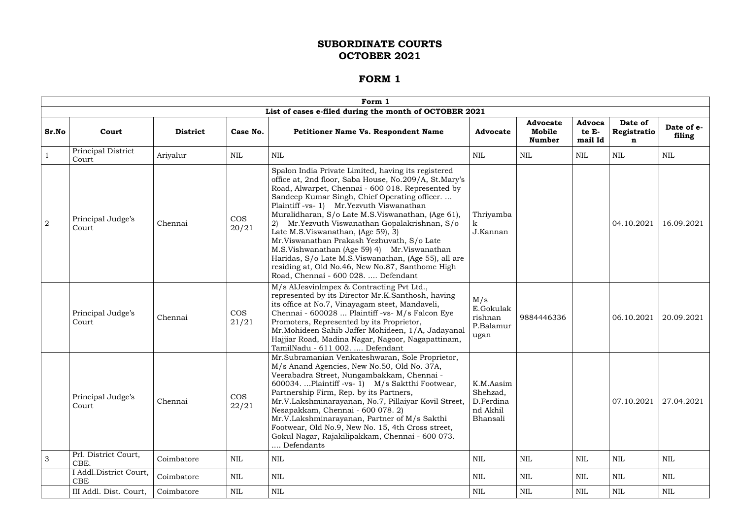|                |                                      |                 |                     | Form 1                                                                                                                                                                                                                                                                                                                                                                                                                                                                                                                                                                                                                                                           |                                                            |                                            |                            |                                       |                      |
|----------------|--------------------------------------|-----------------|---------------------|------------------------------------------------------------------------------------------------------------------------------------------------------------------------------------------------------------------------------------------------------------------------------------------------------------------------------------------------------------------------------------------------------------------------------------------------------------------------------------------------------------------------------------------------------------------------------------------------------------------------------------------------------------------|------------------------------------------------------------|--------------------------------------------|----------------------------|---------------------------------------|----------------------|
|                |                                      |                 |                     | List of cases e-filed during the month of OCTOBER 2021                                                                                                                                                                                                                                                                                                                                                                                                                                                                                                                                                                                                           |                                                            |                                            |                            |                                       |                      |
| Sr.No          | Court                                | <b>District</b> | Case No.            | <b>Petitioner Name Vs. Respondent Name</b>                                                                                                                                                                                                                                                                                                                                                                                                                                                                                                                                                                                                                       | <b>Advocate</b>                                            | <b>Advocate</b><br>Mobile<br><b>Number</b> | Advoca<br>te E-<br>mail Id | Date of<br>Registratio<br>$\mathbf n$ | Date of e-<br>filing |
|                | Principal District<br>Court          | Ariyalur        | NIL                 | NIL                                                                                                                                                                                                                                                                                                                                                                                                                                                                                                                                                                                                                                                              | NIL                                                        | NIL                                        | NIL                        | <b>NIL</b>                            | NIL                  |
| $\overline{2}$ | Principal Judge's<br>Court           | Chennai         | <b>COS</b><br>20/21 | Spalon India Private Limited, having its registered<br>office at, 2nd floor, Saba House, No.209/A, St.Mary's<br>Road, Alwarpet, Chennai - 600 018. Represented by<br>Sandeep Kumar Singh, Chief Operating officer.<br>Plaintiff -vs- 1) Mr. Yezvuth Viswanathan<br>Muralidharan, S/o Late M.S.Viswanathan, (Age 61),<br>Mr.Yezvuth Viswanathan Gopalakrishnan, S/o<br>2)<br>Late M.S.Viswanathan, (Age 59), 3)<br>Mr. Viswanathan Prakash Yezhuvath, S/o Late<br>M.S.Vishwanathan (Age 59) 4) Mr.Viswanathan<br>Haridas, S/o Late M.S. Viswanathan, (Age 55), all are<br>residing at, Old No.46, New No.87, Santhome High<br>Road, Chennai - 600 028.  Defendant | Thriyamba<br>J.Kannan                                      |                                            |                            | 04.10.2021                            | 16.09.2021           |
|                | Principal Judge's<br>Court           | Chennai         | <b>COS</b><br>21/21 | M/s AlJesvinImpex & Contracting Pvt Ltd.,<br>represented by its Director Mr.K.Santhosh, having<br>its office at No.7, Vinayagam steet, Mandaveli,<br>Chennai - 600028  Plaintiff -vs- M/s Falcon Eye<br>Promoters, Represented by its Proprietor,<br>Mr. Mohideen Sahib Jaffer Mohideen, 1/A, Jadayanal<br>Hajjiar Road, Madina Nagar, Nagoor, Nagapattinam,<br>TamilNadu - 611 002.  Defendant                                                                                                                                                                                                                                                                  | M/s<br>E.Gokulak<br>rishnan<br>P.Balamur<br>ugan           | 9884446336                                 |                            | 06.10.2021                            | 20.09.2021           |
|                | Principal Judge's<br>Court           | Chennai         | <b>COS</b><br>22/21 | Mr.Subramanian Venkateshwaran, Sole Proprietor,<br>M/s Anand Agencies, New No.50, Old No. 37A,<br>Veerabadra Street, Nungambakkam, Chennai -<br>600034. Plaintiff -vs- 1) M/s Saktthi Footwear,<br>Partnership Firm, Rep. by its Partners,<br>Mr.V.Lakshminarayanan, No.7, Pillaiyar Kovil Street,<br>Nesapakkam, Chennai - 600 078. 2)<br>Mr.V.Lakshminarayanan, Partner of M/s Sakthi<br>Footwear, Old No.9, New No. 15, 4th Cross street,<br>Gokul Nagar, Rajakilipakkam, Chennai - 600 073.<br>Defendants                                                                                                                                                    | K.M.Aasim<br>Shehzad,<br>D.Ferdina<br>nd Akhil<br>Bhansali |                                            |                            | 07.10.2021                            | 27.04.2021           |
| 3              | Prl. District Court,<br>CBE.         | Coimbatore      | $\mbox{NIL}$        | NIL                                                                                                                                                                                                                                                                                                                                                                                                                                                                                                                                                                                                                                                              | <b>NIL</b>                                                 | <b>NIL</b>                                 | <b>NIL</b>                 | <b>NIL</b>                            | NIL                  |
|                | I Addl.District Court,<br><b>CBE</b> | Coimbatore      | NIL                 | <b>NIL</b>                                                                                                                                                                                                                                                                                                                                                                                                                                                                                                                                                                                                                                                       | NIL                                                        | <b>NIL</b>                                 | NIL                        | <b>NIL</b>                            | NIL                  |
|                | III Addl. Dist. Court,               | Coimbatore      | NIL                 | NIL                                                                                                                                                                                                                                                                                                                                                                                                                                                                                                                                                                                                                                                              | NIL                                                        | NIL                                        | NIL                        | $\mbox{NIL}$                          | NIL                  |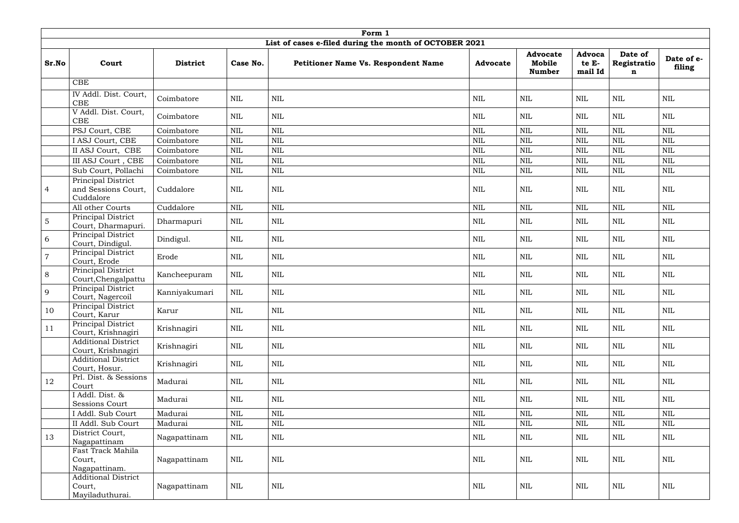|                | Form 1                                                  |                 |              |              |                                                        |                 |                                            |                                   |                                       |                      |  |  |  |
|----------------|---------------------------------------------------------|-----------------|--------------|--------------|--------------------------------------------------------|-----------------|--------------------------------------------|-----------------------------------|---------------------------------------|----------------------|--|--|--|
|                |                                                         |                 |              |              | List of cases e-filed during the month of OCTOBER 2021 |                 |                                            |                                   |                                       |                      |  |  |  |
| Sr.No          | Court                                                   | <b>District</b> | Case No.     |              | Petitioner Name Vs. Respondent Name                    | <b>Advocate</b> | <b>Advocate</b><br>Mobile<br><b>Number</b> | <b>Advoca</b><br>te E-<br>mail Id | Date of<br>Registratio<br>$\mathbf n$ | Date of e-<br>filing |  |  |  |
|                | CBE                                                     |                 |              |              |                                                        |                 |                                            |                                   |                                       |                      |  |  |  |
|                | IV Addl. Dist. Court,<br><b>CBE</b>                     | Coimbatore      | <b>NIL</b>   | $\mbox{NIL}$ |                                                        | $\mbox{NIL}$    | NIL                                        | $\mbox{NIL}$                      | $\mbox{NIL}$                          | <b>NIL</b>           |  |  |  |
|                | V Addl. Dist. Court,<br><b>CBE</b>                      | Coimbatore      | NIL          | <b>NIL</b>   |                                                        | <b>NIL</b>      | <b>NIL</b>                                 | NIL                               | $\mbox{NIL}$                          | <b>NIL</b>           |  |  |  |
|                | PSJ Court, CBE                                          | Coimbatore      | <b>NIL</b>   | <b>NIL</b>   |                                                        | <b>NIL</b>      | $\text{NIL}$                               | $\mbox{NIL}$                      | $\mbox{NIL}$                          | <b>NIL</b>           |  |  |  |
|                | I ASJ Court, CBE                                        | Coimbatore      | <b>NIL</b>   | <b>NIL</b>   |                                                        | <b>NIL</b>      | <b>NIL</b>                                 | <b>NIL</b>                        | $\mbox{NIL}$                          | <b>NIL</b>           |  |  |  |
|                | II ASJ Court, CBE                                       | Coimbatore      | <b>NIL</b>   | $\mbox{NIL}$ |                                                        | <b>NIL</b>      | <b>NIL</b>                                 | NIL                               | $\mbox{NIL}$                          | <b>NIL</b>           |  |  |  |
|                | III ASJ Court , CBE                                     | Coimbatore      | <b>NIL</b>   | <b>NIL</b>   |                                                        | $\mbox{NIL}$    | $\mbox{NIL}$                               | <b>NIL</b>                        | $\mbox{NIL}$                          | <b>NIL</b>           |  |  |  |
|                | Sub Court, Pollachi                                     | Coimbatore      | <b>NIL</b>   | <b>NIL</b>   |                                                        | $\mbox{NIL}$    | <b>NIL</b>                                 | NIL                               | $\mbox{NIL}$                          | <b>NIL</b>           |  |  |  |
| $\overline{4}$ | Principal District<br>and Sessions Court,<br>Cuddalore  | Cuddalore       | <b>NIL</b>   | <b>NIL</b>   |                                                        | <b>NIL</b>      | <b>NIL</b>                                 | NIL                               | $\text{NIL}$                          | <b>NIL</b>           |  |  |  |
|                | All other Courts                                        | Cuddalore       | <b>NIL</b>   | <b>NIL</b>   |                                                        | $\mbox{NIL}$    | $\mbox{NIL}$                               | $\mbox{NIL}$                      | <b>NIL</b>                            | <b>NIL</b>           |  |  |  |
| $\sqrt{5}$     | Principal District<br>Court, Dharmapuri.                | Dharmapuri      | <b>NIL</b>   | <b>NIL</b>   |                                                        | <b>NIL</b>      | $\mbox{NIL}$                               | NIL                               | $\mbox{NIL}$                          | NIL                  |  |  |  |
| 6              | Principal District<br>Court, Dindigul.                  | Dindigul.       | <b>NIL</b>   | $\text{NIL}$ |                                                        | NIL             | <b>NIL</b>                                 | $\mbox{NIL}$                      | $\mbox{NIL}$                          | <b>NIL</b>           |  |  |  |
| $\overline{7}$ | Principal District<br>Court, Erode                      | Erode           | <b>NIL</b>   | $\mbox{NIL}$ |                                                        | <b>NIL</b>      | <b>NIL</b>                                 | <b>NIL</b>                        | $\mbox{NIL}$                          | <b>NIL</b>           |  |  |  |
| 8              | Principal District<br>Court, Chengalpattu               | Kancheepuram    | NIL          | <b>NIL</b>   |                                                        | <b>NIL</b>      | <b>NIL</b>                                 | NIL                               | $\mbox{NIL}$                          | <b>NIL</b>           |  |  |  |
| 9              | Principal District<br>Court, Nagercoil                  | Kanniyakumari   | <b>NIL</b>   | $\mbox{NIL}$ |                                                        | NIL             | <b>NIL</b>                                 | NIL                               | $\mbox{NIL}$                          | <b>NIL</b>           |  |  |  |
| 10             | <b>Principal District</b><br>Court, Karur               | Karur           | $\mbox{NIL}$ | $\mbox{NIL}$ |                                                        | $\mbox{NIL}$    | $\mbox{NIL}$                               | $\mbox{NIL}$                      | $\mbox{NIL}$                          | $\mbox{NIL}$         |  |  |  |
| 11             | Principal District<br>Court, Krishnagiri                | Krishnagiri     | <b>NIL</b>   | $\mbox{NIL}$ |                                                        | NIL             | NIL                                        | <b>NIL</b>                        | $\text{NIL}$                          | <b>NIL</b>           |  |  |  |
|                | <b>Additional District</b><br>Court, Krishnagiri        | Krishnagiri     | <b>NIL</b>   | <b>NIL</b>   |                                                        | NIL             | NIL                                        | <b>NIL</b>                        | $\mbox{NIL}$                          | <b>NIL</b>           |  |  |  |
|                | <b>Additional District</b><br>Court, Hosur.             | Krishnagiri     | <b>NIL</b>   | <b>NIL</b>   |                                                        | NIL             | NIL                                        | NIL                               | <b>NIL</b>                            | <b>NIL</b>           |  |  |  |
| 12             | Prl. Dist. & Sessions<br>Court                          | Madurai         | <b>NIL</b>   | <b>NIL</b>   |                                                        | NIL             | NIL                                        | NIL                               | $\text{NIL}$                          | <b>NIL</b>           |  |  |  |
|                | I Addl. Dist. &<br>Sessions Court                       | Madurai         | NIL          | $\mbox{NIL}$ |                                                        | NIL             | NIL                                        | NIL                               | $\mbox{NIL}$                          | <b>NIL</b>           |  |  |  |
|                | I Addl. Sub Court                                       | Madurai         | $\mbox{NIL}$ | $\mbox{NIL}$ |                                                        | $\mbox{NIL}$    | $\mbox{NIL}$                               | $\mbox{NIL}$                      | $\mbox{NIL}$                          | <b>NIL</b>           |  |  |  |
|                | II Addl. Sub Court                                      | Madurai         | $\mbox{NIL}$ | $\mbox{NIL}$ |                                                        | $\mbox{NIL}$    | $\mbox{NIL}$                               | <b>NIL</b>                        | $\mbox{NIL}$                          | <b>NIL</b>           |  |  |  |
| 13             | District Court,<br>Nagapattinam                         | Nagapattinam    | NIL          | NIL          |                                                        | NIL             | NIL                                        | NIL                               | $\mbox{NIL}$                          | <b>NIL</b>           |  |  |  |
|                | Fast Track Mahila<br>Court,<br>Nagapattinam.            | Nagapattinam    | NIL          | NIL          |                                                        | NIL             | NIL                                        | <b>NIL</b>                        | $\text{NIL}$                          | <b>NIL</b>           |  |  |  |
|                | <b>Additional District</b><br>Court,<br>Mayiladuthurai. | Nagapattinam    | NIL          | $\mbox{NIL}$ |                                                        | $\mbox{NIL}$    | $\mbox{NIL}$                               | NIL                               | $\mbox{NIL}$                          | $\mbox{NIL}$         |  |  |  |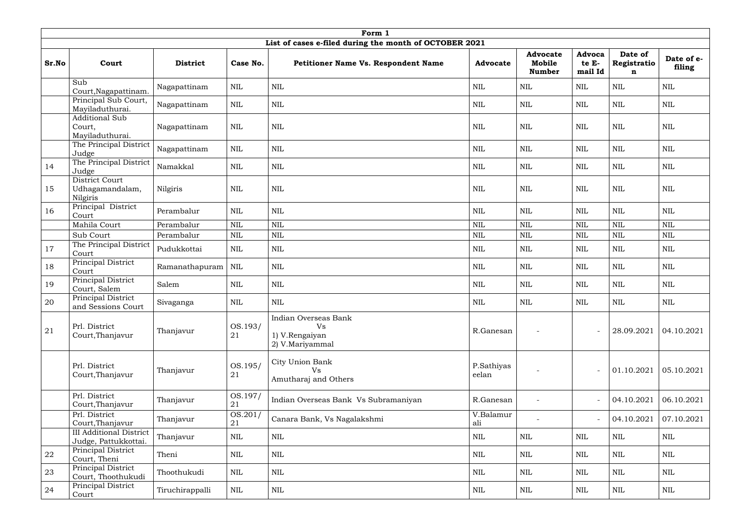|       |                                                        |                 |                             | Form 1                                                          |                     |                                            |                                   |                                       |                      |
|-------|--------------------------------------------------------|-----------------|-----------------------------|-----------------------------------------------------------------|---------------------|--------------------------------------------|-----------------------------------|---------------------------------------|----------------------|
|       |                                                        |                 |                             | List of cases e-filed during the month of OCTOBER 2021          |                     |                                            |                                   |                                       |                      |
| Sr.No | Court                                                  | <b>District</b> | Case No.                    | Petitioner Name Vs. Respondent Name                             | <b>Advocate</b>     | <b>Advocate</b><br>Mobile<br><b>Number</b> | <b>Advoca</b><br>te E-<br>mail Id | Date of<br>Registratio<br>$\mathbf n$ | Date of e-<br>filing |
|       | Sub<br>Court, Nagapattinam.                            | Nagapattinam    | <b>NIL</b>                  | $\mbox{NIL}$                                                    | <b>NIL</b>          | NIL                                        | NIL                               | <b>NIL</b>                            | <b>NIL</b>           |
|       | Principal Sub Court,<br>Mayiladuthurai.                | Nagapattinam    | <b>NIL</b>                  | $\mbox{NIL}$                                                    | $\mbox{NIL}$        | NIL                                        | $\mbox{NIL}$                      | <b>NIL</b>                            | <b>NIL</b>           |
|       | <b>Additional Sub</b><br>Court,<br>Mayiladuthurai.     | Nagapattinam    | $\mbox{NIL}$                | $\mbox{NIL}$                                                    | <b>NIL</b>          | <b>NIL</b>                                 | $\mbox{NIL}$                      | $\text{NIL}$                          | <b>NIL</b>           |
|       | The Principal District<br>Judge                        | Nagapattinam    | <b>NIL</b>                  | $\mbox{NIL}$                                                    | <b>NIL</b>          | <b>NIL</b>                                 | $\mbox{NIL}$                      | <b>NIL</b>                            | <b>NIL</b>           |
| 14    | The Principal District<br>Judge                        | Namakkal        | NIL                         | $\mbox{NIL}$                                                    | <b>NIL</b>          | <b>NIL</b>                                 | <b>NIL</b>                        | <b>NIL</b>                            | <b>NIL</b>           |
| 15    | District Court<br>Udhagamandalam,<br>Nilgiris          | Nilgiris        | <b>NIL</b>                  | $\mbox{NIL}$                                                    | $\mbox{NIL}$        | $\mbox{NIL}$                               | $\mbox{NIL}$                      | $\text{NIL}$                          | <b>NIL</b>           |
| 16    | Principal District<br>Court                            | Perambalur      | <b>NIL</b>                  | $\mbox{NIL}$                                                    | $\mbox{NIL}$        | $\text{NIL}$                               | $\mbox{NIL}$                      | <b>NIL</b>                            | <b>NIL</b>           |
|       | Mahila Court                                           | Perambalur      | <b>NIL</b>                  | $\mbox{NIL}$                                                    | <b>NIL</b>          | $\text{NIL}$                               | $\mbox{NIL}$                      | <b>NIL</b>                            | <b>NIL</b>           |
|       | Sub Court                                              | Perambalur      | $\mbox{NIL}$                | $\mbox{NIL}$                                                    | $\mbox{NIL}$        | $\text{NIL}$                               | $\mbox{NIL}$                      | $\text{NIL}$                          | <b>NIL</b>           |
| 17    | The Principal District<br>Court                        | Pudukkottai     | <b>NIL</b>                  | $\mbox{NIL}$                                                    | <b>NIL</b>          | $\text{NIL}$                               | <b>NIL</b>                        | $\text{NIL}$                          | <b>NIL</b>           |
| 18    | Principal District<br>Court                            | Ramanathapuram  | <b>NIL</b>                  | $\mbox{NIL}$                                                    | $\mbox{NIL}$        | $\mbox{NIL}$                               | <b>NIL</b>                        | $\text{NIL}$                          | <b>NIL</b>           |
| 19    | Principal District<br>Court, Salem                     | Salem           | NIL                         | $\mbox{NIL}$                                                    | <b>NIL</b>          | $\mbox{NIL}$                               | NIL                               | $\text{NIL}$                          | <b>NIL</b>           |
| 20    | Principal District<br>and Sessions Court               | Sivaganga       | NIL                         | <b>NIL</b>                                                      | $\mbox{NIL}$        | <b>NIL</b>                                 | <b>NIL</b>                        | <b>NIL</b>                            | <b>NIL</b>           |
| 21    | Prl. District<br>Court, Thanjavur                      | Thanjavur       | OS.193/<br>21               | Indian Overseas Bank<br>Vs<br>1) V.Rengaiyan<br>2) V.Mariyammal | R.Ganesan           |                                            |                                   | 28.09.2021                            | 04.10.2021           |
|       | Prl. District<br>Court, Thanjavur                      | Thanjavur       | OS.195/<br>21               | City Union Bank<br>Vs<br>Amutharaj and Others                   | P.Sathiyas<br>eelan |                                            |                                   | 01.10.2021                            | 05.10.2021           |
|       | Prl. District<br>Court, Thanjavur                      | Thanjavur       | OS.197/<br>21               | Indian Overseas Bank Vs Subramaniyan                            | R.Ganesan           |                                            |                                   | 04.10.2021                            | 06.10.2021           |
|       | Prl. District<br>Court, Thanjavur                      | Thanjavur       | $\overline{OS.201}$ /<br>21 | Canara Bank, Vs Nagalakshmi                                     | V.Balamur<br>ali    |                                            | $\sim$                            | 04.10.2021                            | 07.10.2021           |
|       | <b>III</b> Additional District<br>Judge, Pattukkottai. | Thanjavur       | NIL                         | $\mbox{NIL}$                                                    | $\mbox{NIL}$        | $\mbox{NIL}$                               | $\mbox{NIL}$                      | $\text{NIL}$                          | $\text{NIL}$         |
| 22    | Principal District<br>Court, Theni                     | Theni           | <b>NIL</b>                  | $\mbox{NIL}$                                                    | <b>NIL</b>          | <b>NIL</b>                                 | NIL                               | <b>NIL</b>                            | <b>NIL</b>           |
| 23    | Principal District<br>Court, Thoothukudi               | Thoothukudi     | $\mbox{NIL}$                | $\mbox{NIL}$                                                    | <b>NIL</b>          | $\mbox{NIL}$                               | <b>NIL</b>                        | $\text{NIL}$                          | $\mbox{NIL}$         |
| 24    | Principal District<br>Court                            | Tiruchirappalli | $\rm NIL$                   | NIL                                                             | NIL                 | NIL                                        | NIL                               | NIL                                   | $\mbox{NIL}$         |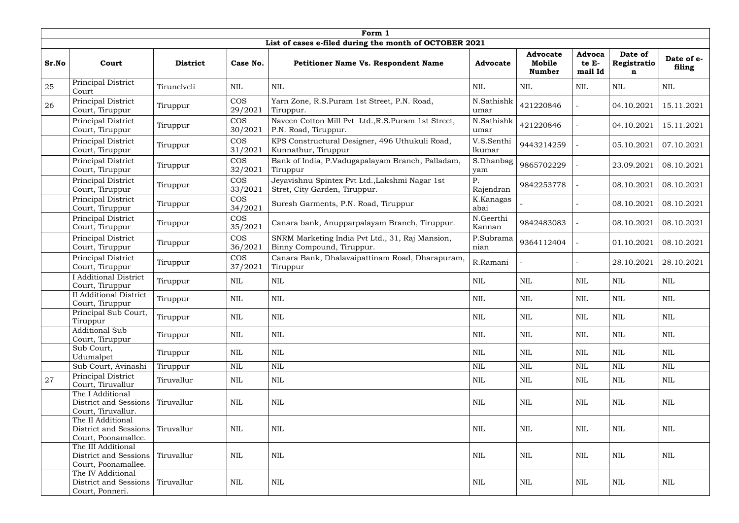|       |                                                                    |                 |                       | Form 1                                                                          |                      |                                            |                            |                             |                      |
|-------|--------------------------------------------------------------------|-----------------|-----------------------|---------------------------------------------------------------------------------|----------------------|--------------------------------------------|----------------------------|-----------------------------|----------------------|
|       |                                                                    |                 |                       | List of cases e-filed during the month of OCTOBER 2021                          |                      |                                            |                            |                             |                      |
| Sr.No | Court                                                              | <b>District</b> | Case No.              | <b>Petitioner Name Vs. Respondent Name</b>                                      | <b>Advocate</b>      | <b>Advocate</b><br>Mobile<br><b>Number</b> | Advoca<br>te E-<br>mail Id | Date of<br>Registratio<br>n | Date of e-<br>filing |
| 25    | Principal District<br>Court                                        | Tirunelveli     | <b>NIL</b>            | $\mbox{NIL}$                                                                    | <b>NIL</b>           | <b>NIL</b>                                 | NIL                        | $\mbox{NIL}$                | NIL                  |
| 26    | Principal District<br>Court, Tiruppur                              | Tiruppur        | <b>COS</b><br>29/2021 | Yarn Zone, R.S.Puram 1st Street, P.N. Road,<br>Tiruppur.                        | N.Sathishk<br>umar   | 421220846                                  |                            | 04.10.2021                  | 15.11.2021           |
|       | Principal District<br>Court, Tiruppur                              | Tiruppur        | <b>COS</b><br>30/2021 | Naveen Cotton Mill Pvt Ltd., R.S. Puram 1st Street,<br>P.N. Road, Tiruppur.     | N.Sathishk<br>umar   | 421220846                                  |                            | 04.10.2021                  | 15.11.2021           |
|       | Principal District<br>Court, Tiruppur                              | Tiruppur        | <b>COS</b><br>31/2021 | KPS Constructural Designer, 496 Uthukuli Road,<br>Kunnathur, Tiruppur           | V.S.Senthi<br>lkumar | 9443214259                                 |                            | 05.10.2021                  | 07.10.2021           |
|       | Principal District<br>Court, Tiruppur                              | Tiruppur        | <b>COS</b><br>32/2021 | Bank of India, P.Vadugapalayam Branch, Palladam,<br>Tiruppur                    | S.Dhanbag<br>yam     | 9865702229                                 |                            | 23.09.2021                  | 08.10.2021           |
|       | Principal District<br>Court, Tiruppur                              | Tiruppur        | <b>COS</b><br>33/2021 | Jeyavishnu Spintex Pvt Ltd., Lakshmi Nagar 1st<br>Stret, City Garden, Tiruppur. | Ρ.<br>Rajendran      | 9842253778                                 |                            | 08.10.2021                  | 08.10.2021           |
|       | Principal District<br>Court, Tiruppur                              | Tiruppur        | <b>COS</b><br>34/2021 | Suresh Garments, P.N. Road, Tiruppur                                            | K.Kanagas<br>abai    |                                            |                            | 08.10.2021                  | 08.10.2021           |
|       | Principal District<br>Court, Tiruppur                              | Tiruppur        | <b>COS</b><br>35/2021 | Canara bank, Anupparpalayam Branch, Tiruppur.                                   | N.Geerthi<br>Kannan  | 9842483083                                 |                            | 08.10.2021                  | 08.10.2021           |
|       | Principal District<br>Court, Tiruppur                              | Tiruppur        | <b>COS</b><br>36/2021 | SNRM Marketing India Pvt Ltd., 31, Raj Mansion,<br>Binny Compound, Tiruppur.    | P.Subrama<br>nian    | 9364112404                                 |                            | 01.10.2021                  | 08.10.2021           |
|       | Principal District<br>Court, Tiruppur                              | Tiruppur        | <b>COS</b><br>37/2021 | Canara Bank, Dhalavaipattinam Road, Dharapuram,<br>Tiruppur                     | R.Ramani             |                                            |                            | 28.10.2021                  | 28.10.2021           |
|       | <b>I</b> Additional District<br>Court, Tiruppur                    | Tiruppur        | NIL                   | $\mbox{NIL}$                                                                    | <b>NIL</b>           | <b>NIL</b>                                 | <b>NIL</b>                 | $\text{NIL}$                | NIL                  |
|       | <b>II</b> Additional District<br>Court, Tiruppur                   | Tiruppur        | <b>NIL</b>            | $\mbox{NIL}$                                                                    | <b>NIL</b>           | <b>NIL</b>                                 | $\mbox{NIL}$               | $\mbox{NIL}$                | <b>NIL</b>           |
|       | Principal Sub Court,<br>Tiruppur                                   | Tiruppur        | <b>NIL</b>            | $\mbox{NIL}$                                                                    | <b>NIL</b>           | NIL                                        | <b>NIL</b>                 | $\text{NIL}$                | <b>NIL</b>           |
|       | <b>Additional Sub</b><br>Court, Tiruppur                           | Tiruppur        | <b>NIL</b>            | $\mbox{NIL}$                                                                    | <b>NIL</b>           | <b>NIL</b>                                 | NIL                        | <b>NIL</b>                  | <b>NIL</b>           |
|       | Sub Court,<br>Udumalpet                                            | Tiruppur        | NIL                   | $\mbox{NIL}$                                                                    | NIL                  | NIL                                        | NIL                        | <b>NIL</b>                  | <b>NIL</b>           |
|       | Sub Court, Avinashi                                                | Tiruppur        | <b>NIL</b>            | $\mbox{NIL}$                                                                    | $\mbox{NIL}$         | $\mbox{NIL}$                               | NIL                        | $\mbox{NIL}$                | $\mbox{NIL}$         |
| 27    | Principal District<br>Court, Tiruvallur                            | Tiruvallur      | NIL                   | $\mbox{NIL}$                                                                    | NIL                  | NIL                                        | NIL                        | $\text{NIL}$                | <b>NIL</b>           |
|       | The I Additional<br>District and Sessions<br>Court, Tiruvallur.    | Tiruvallur      | NIL                   | $\mbox{NIL}$                                                                    | NIL                  | NIL                                        | NIL                        | $\mbox{NIL}$                | NIL                  |
|       | The II Additional<br>District and Sessions<br>Court, Poonamallee.  | Tiruvallur      | <b>NIL</b>            | $\mbox{NIL}$                                                                    | NIL                  | <b>NIL</b>                                 | NIL                        | $\mbox{NIL}$                | <b>NIL</b>           |
|       | The III Additional<br>District and Sessions<br>Court, Poonamallee. | Tiruvallur      | <b>NIL</b>            | $\mbox{NIL}$                                                                    | NIL                  | <b>NIL</b>                                 | NIL                        | $\text{NIL}$                | <b>NIL</b>           |
|       | The IV Additional<br>District and Sessions<br>Court, Ponneri.      | Tiruvallur      | NIL                   | $\mbox{NIL}$                                                                    | $\mbox{NIL}$         | $\rm NIL$                                  | NIL                        | $\mbox{NIL}$                | NIL                  |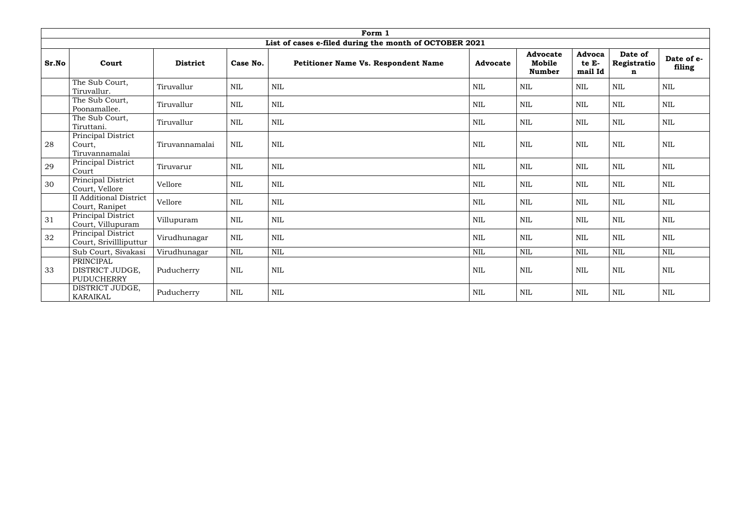|       |                                                   |                 |              | Form 1                                                 |                 |                                            |                            |                                       |                      |
|-------|---------------------------------------------------|-----------------|--------------|--------------------------------------------------------|-----------------|--------------------------------------------|----------------------------|---------------------------------------|----------------------|
|       |                                                   |                 |              | List of cases e-filed during the month of OCTOBER 2021 |                 |                                            |                            |                                       |                      |
| Sr.No | Court                                             | <b>District</b> | Case No.     | Petitioner Name Vs. Respondent Name                    | <b>Advocate</b> | <b>Advocate</b><br>Mobile<br><b>Number</b> | Advoca<br>te E-<br>mail Id | Date of<br>Registratio<br>$\mathbf n$ | Date of e-<br>filing |
|       | The Sub Court,<br>Tiruvallur.                     | Tiruvallur      | <b>NIL</b>   | NIL                                                    | <b>NIL</b>      | <b>NIL</b>                                 | <b>NIL</b>                 | <b>NIL</b>                            | <b>NIL</b>           |
|       | The Sub Court,<br>Poonamallee.                    | Tiruvallur      | <b>NIL</b>   | $\text{NIL}$                                           | <b>NIL</b>      | $\mbox{NIL}$                               | <b>NIL</b>                 | $\mbox{NIL}$                          | <b>NIL</b>           |
|       | The Sub Court,<br>Tiruttani.                      | Tiruvallur      | <b>NIL</b>   | $\mbox{NIL}$                                           | <b>NIL</b>      | NIL                                        | $\mbox{NIL}$               | $\mbox{NIL}$                          | <b>NIL</b>           |
| 28    | Principal District<br>Court,<br>Tiruvannamalai    | Tiruvannamalai  | <b>NIL</b>   | $\mbox{NIL}$                                           | <b>NIL</b>      | $\mbox{NIL}$                               | <b>NIL</b>                 | $\mbox{NIL}$                          | <b>NIL</b>           |
| 29    | Principal District<br>Court                       | Tiruvarur       | <b>NIL</b>   | $\mbox{NIL}$                                           | <b>NIL</b>      | NIL                                        | $\mbox{NIL}$               | $\text{NIL}$                          | <b>NIL</b>           |
| 30    | Principal District<br>Court, Vellore              | Vellore         | <b>NIL</b>   | $\text{NIL}$                                           | <b>NIL</b>      | $\mbox{NIL}$                               | $\mbox{NIL}$               | $\mbox{NIL}$                          | <b>NIL</b>           |
|       | <b>II</b> Additional District<br>Court, Ranipet   | Vellore         | <b>NIL</b>   | $\mbox{NIL}$                                           | NIL             | <b>NIL</b>                                 | <b>NIL</b>                 | $\mbox{NIL}$                          | <b>NIL</b>           |
| 31    | Principal District<br>Court, Villupuram           | Villupuram      | <b>NIL</b>   | $\mbox{NIL}$                                           | <b>NIL</b>      | $\mbox{NIL}$                               | <b>NIL</b>                 | $\mbox{NIL}$                          | <b>NIL</b>           |
| 32    | Principal District<br>Court, Srivillliputtur      | Virudhunagar    | <b>NIL</b>   | <b>NIL</b>                                             | <b>NIL</b>      | <b>NIL</b>                                 | <b>NIL</b>                 | <b>NIL</b>                            | <b>NIL</b>           |
|       | Sub Court, Sivakasi                               | Virudhunagar    | <b>NIL</b>   | <b>NIL</b>                                             | $\mbox{NIL}$    | <b>NIL</b>                                 | <b>NIL</b>                 | $\mbox{NIL}$                          | <b>NIL</b>           |
| 33    | PRINCIPAL<br>DISTRICT JUDGE,<br><b>PUDUCHERRY</b> | Puducherry      | <b>NIL</b>   | <b>NIL</b>                                             | <b>NIL</b>      | $\mbox{NIL}$                               | <b>NIL</b>                 | $\text{NIL}$                          | <b>NIL</b>           |
|       | DISTRICT JUDGE,<br><b>KARAIKAL</b>                | Puducherry      | $\text{NIL}$ | $\mbox{NIL}$                                           | <b>NIL</b>      | <b>NIL</b>                                 | <b>NIL</b>                 | $\mbox{NIL}$                          | <b>NIL</b>           |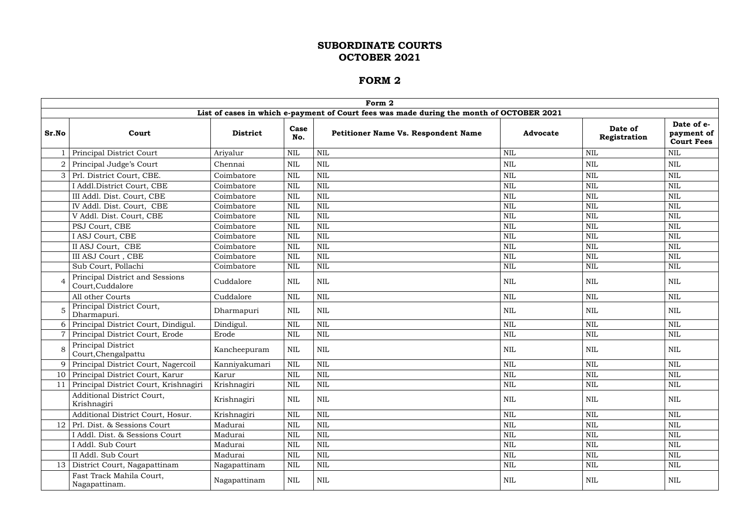|                 |                                                     |                 |              | Form 2                                                                                   |                 |                         |                                               |
|-----------------|-----------------------------------------------------|-----------------|--------------|------------------------------------------------------------------------------------------|-----------------|-------------------------|-----------------------------------------------|
|                 |                                                     |                 |              | List of cases in which e-payment of Court fees was made during the month of OCTOBER 2021 |                 |                         |                                               |
| Sr.No           | Court                                               | <b>District</b> | Case<br>No.  | <b>Petitioner Name Vs. Respondent Name</b>                                               | <b>Advocate</b> | Date of<br>Registration | Date of e-<br>payment of<br><b>Court Fees</b> |
|                 | Principal District Court                            | Ariyalur        | <b>NIL</b>   | <b>NIL</b>                                                                               | <b>NIL</b>      | <b>NIL</b>              | <b>NIL</b>                                    |
|                 | Principal Judge's Court                             | Chennai         | <b>NIL</b>   | $\text{NIL}$                                                                             | <b>NIL</b>      | <b>NIL</b>              | <b>NIL</b>                                    |
| 3 <sup>1</sup>  | Prl. District Court, CBE.                           | Coimbatore      | <b>NIL</b>   | <b>NIL</b>                                                                               | <b>NIL</b>      | <b>NIL</b>              | <b>NIL</b>                                    |
|                 | I Addl.District Court, CBE                          | Coimbatore      | $\mbox{NIL}$ | $\text{NIL}$                                                                             | $\mbox{NIL}$    | <b>NIL</b>              | NIL                                           |
|                 | III Addl. Dist. Court, CBE                          | Coimbatore      | $\mbox{NIL}$ | <b>NIL</b>                                                                               | <b>NIL</b>      | <b>NIL</b>              | NIL                                           |
|                 | IV Addl. Dist. Court, CBE                           | Coimbatore      | <b>NIL</b>   | <b>NIL</b>                                                                               | <b>NIL</b>      | <b>NIL</b>              | <b>NIL</b>                                    |
|                 | V Addl. Dist. Court, CBE                            | Coimbatore      | <b>NIL</b>   | <b>NIL</b>                                                                               | <b>NIL</b>      | <b>NIL</b>              | <b>NIL</b>                                    |
|                 | PSJ Court, CBE                                      | Coimbatore      | $\mbox{NIL}$ | <b>NIL</b>                                                                               | <b>NIL</b>      | <b>NIL</b>              | <b>NIL</b>                                    |
|                 | I ASJ Court, CBE                                    | Coimbatore      | $\mbox{NIL}$ | <b>NIL</b>                                                                               | <b>NIL</b>      | <b>NIL</b>              | <b>NIL</b>                                    |
|                 | II ASJ Court, CBE                                   | Coimbatore      | $\mbox{NIL}$ | <b>NIL</b>                                                                               | <b>NIL</b>      | <b>NIL</b>              | <b>NIL</b>                                    |
|                 | III ASJ Court, CBE                                  | Coimbatore      | <b>NIL</b>   | $\text{NIL}$                                                                             | <b>NIL</b>      | <b>NIL</b>              | <b>NIL</b>                                    |
|                 | Sub Court, Pollachi                                 | Coimbatore      | $\mbox{NIL}$ | $\text{NIL}$                                                                             | <b>NIL</b>      | <b>NIL</b>              | <b>NIL</b>                                    |
|                 | Principal District and Sessions<br>Court, Cuddalore | Cuddalore       | <b>NIL</b>   | <b>NIL</b>                                                                               | <b>NIL</b>      | <b>NIL</b>              | NIL                                           |
|                 | All other Courts                                    | Cuddalore       | $\mbox{NIL}$ | $\mbox{NIL}$                                                                             | <b>NIL</b>      | <b>NIL</b>              | NIL                                           |
|                 | Principal District Court,<br>Dharmapuri.            | Dharmapuri      | <b>NIL</b>   | <b>NIL</b>                                                                               | <b>NIL</b>      | NIL                     | NIL                                           |
|                 | Principal District Court, Dindigul.                 | Dindigul.       | $\mbox{NIL}$ | <b>NIL</b>                                                                               | $\mbox{NIL}$    | <b>NIL</b>              | <b>NIL</b>                                    |
|                 | Principal District Court, Erode                     | Erode           | <b>NIL</b>   | <b>NIL</b>                                                                               | <b>NIL</b>      | <b>NIL</b>              | NIL                                           |
|                 | Principal District<br>Court, Chengalpattu           | Kancheepuram    | <b>NIL</b>   | <b>NIL</b>                                                                               | <b>NIL</b>      | <b>NIL</b>              | NIL                                           |
|                 | Principal District Court, Nagercoil                 | Kanniyakumari   | $\mbox{NIL}$ | <b>NIL</b>                                                                               | <b>NIL</b>      | <b>NIL</b>              | <b>NIL</b>                                    |
|                 | 10 Principal District Court, Karur                  | Karur           | $\mbox{NIL}$ | $\mbox{NIL}$                                                                             | $\mbox{NIL}$    | $\mbox{NIL}$            | $\mbox{NIL}$                                  |
|                 | Principal District Court, Krishnagiri               | Krishnagiri     | <b>NIL</b>   | $\text{NIL}$                                                                             | <b>NIL</b>      | <b>NIL</b>              | <b>NIL</b>                                    |
|                 | Additional District Court,<br>Krishnagiri           | Krishnagiri     | <b>NIL</b>   | <b>NIL</b>                                                                               | NIL             | NIL                     | NIL                                           |
|                 | Additional District Court, Hosur.                   | Krishnagiri     | $\mbox{NIL}$ | $\text{NIL}$                                                                             | $\mbox{NIL}$    | $\mbox{NIL}$            | <b>NIL</b>                                    |
|                 | 12 Prl. Dist. & Sessions Court                      | Madurai         | <b>NIL</b>   | <b>NIL</b>                                                                               | <b>NIL</b>      | <b>NIL</b>              | NIL                                           |
|                 | I Addl. Dist. & Sessions Court                      | Madurai         | $\mbox{NIL}$ | $\text{NIL}$                                                                             | $\mbox{NIL}$    | <b>NIL</b>              | <b>NIL</b>                                    |
|                 | I Addl. Sub Court                                   | Madurai         | $\mbox{NIL}$ | $\text{NIL}$                                                                             | $\mbox{NIL}$    | <b>NIL</b>              | <b>NIL</b>                                    |
|                 | II Addl. Sub Court                                  | Madurai         | $\mbox{NIL}$ | <b>NIL</b>                                                                               | $\mbox{NIL}$    | <b>NIL</b>              | <b>NIL</b>                                    |
| 13 <sup>1</sup> | District Court, Nagapattinam                        | Nagapattinam    | $\mbox{NIL}$ | $\mbox{NIL}$                                                                             | NIL             | NIL                     | <b>NIL</b>                                    |
|                 | Fast Track Mahila Court,<br>Nagapattinam.           | Nagapattinam    | $\mbox{NIL}$ | <b>NIL</b>                                                                               | NIL             | NIL                     | NIL                                           |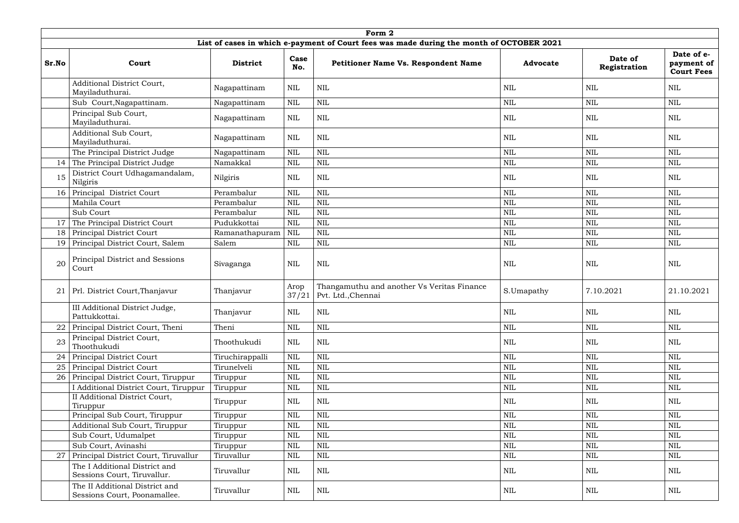|       |                                                                |                 |               | Form 2                                                                                   |                 |                         |                                               |
|-------|----------------------------------------------------------------|-----------------|---------------|------------------------------------------------------------------------------------------|-----------------|-------------------------|-----------------------------------------------|
|       |                                                                |                 |               | List of cases in which e-payment of Court fees was made during the month of OCTOBER 2021 |                 |                         |                                               |
| Sr.No | Court                                                          | <b>District</b> | Case<br>No.   | <b>Petitioner Name Vs. Respondent Name</b>                                               | <b>Advocate</b> | Date of<br>Registration | Date of e-<br>payment of<br><b>Court Fees</b> |
|       | Additional District Court,<br>Mayiladuthurai.                  | Nagapattinam    | <b>NIL</b>    | <b>NIL</b>                                                                               | <b>NIL</b>      | <b>NIL</b>              | NIL                                           |
|       | Sub Court, Nagapattinam.                                       | Nagapattinam    | <b>NIL</b>    | $\mbox{NIL}$                                                                             | $\text{NIL}$    | <b>NIL</b>              | <b>NIL</b>                                    |
|       | Principal Sub Court,<br>Mayiladuthurai.                        | Nagapattinam    | <b>NIL</b>    | $\mbox{NIL}$                                                                             | <b>NIL</b>      | <b>NIL</b>              | <b>NIL</b>                                    |
|       | Additional Sub Court,<br>Mayiladuthurai.                       | Nagapattinam    | <b>NIL</b>    | $\mbox{NIL}$                                                                             | NIL             | NIL                     | <b>NIL</b>                                    |
|       | The Principal District Judge                                   | Nagapattinam    | <b>NIL</b>    | <b>NIL</b>                                                                               | <b>NIL</b>      | <b>NIL</b>              | <b>NIL</b>                                    |
| 14    | The Principal District Judge                                   | Namakkal        | <b>NIL</b>    | $\mbox{NIL}$                                                                             | $\mbox{NIL}$    | <b>NIL</b>              | <b>NIL</b>                                    |
| 15    | District Court Udhagamandalam,<br>Nilgiris                     | Nilgiris        | <b>NIL</b>    | $\mbox{NIL}$                                                                             | <b>NIL</b>      | <b>NIL</b>              | NIL                                           |
| 16    | Principal District Court                                       | Perambalur      | <b>NIL</b>    | $\mbox{NIL}$                                                                             | <b>NIL</b>      | <b>NIL</b>              | <b>NIL</b>                                    |
|       | Mahila Court                                                   | Perambalur      | <b>NIL</b>    | <b>NIL</b>                                                                               | <b>NIL</b>      | <b>NIL</b>              | <b>NIL</b>                                    |
|       | Sub Court                                                      | Perambalur      | <b>NIL</b>    | <b>NIL</b>                                                                               | <b>NIL</b>      | <b>NIL</b>              | <b>NIL</b>                                    |
| 17    | The Principal District Court                                   | Pudukkottai     | <b>NIL</b>    | <b>NIL</b>                                                                               | <b>NIL</b>      | <b>NIL</b>              | <b>NIL</b>                                    |
| 18    | Principal District Court                                       | Ramanathapuram  | NIL           | <b>NIL</b>                                                                               | <b>NIL</b>      | NIL                     | <b>NIL</b>                                    |
| 19    | Principal District Court, Salem                                | Salem           | <b>NIL</b>    | $\mbox{NIL}$                                                                             | $\mbox{NIL}$    | $\mbox{NIL}$            | <b>NIL</b>                                    |
| 20    | Principal District and Sessions<br>Court                       | Sivaganga       | <b>NIL</b>    | $\mbox{NIL}$                                                                             | <b>NIL</b>      | NIL                     | <b>NIL</b>                                    |
| 21    | Prl. District Court, Thanjavur                                 | Thanjavur       | Arop<br>37/21 | Thangamuthu and another Vs Veritas Finance<br>Pvt. Ltd., Chennai                         | S.Umapathy      | 7.10.2021               | 21.10.2021                                    |
|       | III Additional District Judge,<br>Pattukkottai                 | Thanjavur       | <b>NIL</b>    | $\mbox{NIL}$                                                                             | <b>NIL</b>      | NIL                     | <b>NIL</b>                                    |
| 22    | Principal District Court, Theni                                | Theni           | <b>NIL</b>    | $\mbox{NIL}$                                                                             | $\text{NIL}$    | $\text{NIL}$            | <b>NIL</b>                                    |
| 23    | Principal District Court,<br>Thoothukudi                       | Thoothukudi     | <b>NIL</b>    | <b>NIL</b>                                                                               | $\mbox{NIL}$    | $\mbox{NIL}$            | <b>NIL</b>                                    |
| 24    | Principal District Court                                       | Tiruchirappalli | <b>NIL</b>    | $\text{NIL}$                                                                             | <b>NIL</b>      | $\text{NIL}$            | <b>NIL</b>                                    |
| 25    | Principal District Court                                       | Tirunelveli     | <b>NIL</b>    | <b>NIL</b>                                                                               | $\text{NIL}$    | $\mbox{NIL}$            | <b>NIL</b>                                    |
| 26    | Principal District Court, Tiruppur                             | Tiruppur        | <b>NIL</b>    | $\mbox{NIL}$                                                                             | <b>NIL</b>      | NIL                     | NIL                                           |
|       | I Additional District Court, Tiruppur                          | Tiruppur        | <b>NIL</b>    | $\mbox{NIL}$                                                                             | $\text{NIL}$    | NIL                     | <b>NIL</b>                                    |
|       | II Additional District Court,<br>Tiruppur                      | Tiruppur        | NIL           | $\mbox{NIL}$                                                                             | <b>NIL</b>      | NIL                     | NIL                                           |
|       | Principal Sub Court, Tiruppur                                  | Tiruppur        | <b>NIL</b>    | $\mbox{NIL}$                                                                             | $\text{NIL}$    | $\text{NIL}$            | <b>NIL</b>                                    |
|       | Additional Sub Court, Tiruppur                                 | Tiruppur        | <b>NIL</b>    | $\text{NIL}$                                                                             | $\mbox{NIL}$    | $\mbox{NIL}$            | <b>NIL</b>                                    |
|       | Sub Court, Udumalpet                                           | Tiruppur        | <b>NIL</b>    | $\mbox{NIL}$                                                                             | $\mbox{NIL}$    | $\text{NIL}$            | <b>NIL</b>                                    |
|       | Sub Court, Avinashi                                            | Tiruppur        | <b>NIL</b>    | $\mbox{NIL}$                                                                             | <b>NIL</b>      | <b>NIL</b>              | NIL                                           |
| 27    | Principal District Court, Tiruvallur                           | Tiruvallur      | <b>NIL</b>    | $\mbox{NIL}$                                                                             | $\mbox{NIL}$    | $\mbox{NIL}$            | <b>NIL</b>                                    |
|       | The I Additional District and<br>Sessions Court, Tiruvallur.   | Tiruvallur      | <b>NIL</b>    | $\mbox{NIL}$                                                                             | <b>NIL</b>      | <b>NIL</b>              | NIL                                           |
|       | The II Additional District and<br>Sessions Court, Poonamallee. | Tiruvallur      | <b>NIL</b>    | NIL                                                                                      | NIL             | $\mbox{NIL}$            | <b>NIL</b>                                    |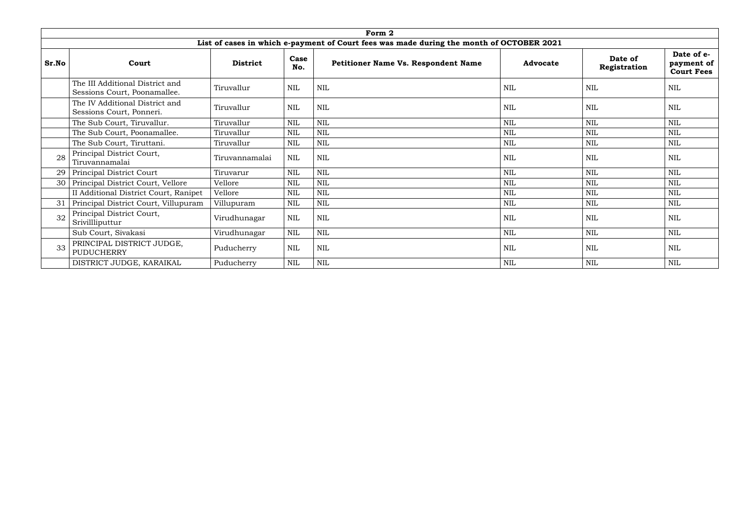|       |                                                                 |                 |             | Form 2                                                                                   |                 |                         |                                               |
|-------|-----------------------------------------------------------------|-----------------|-------------|------------------------------------------------------------------------------------------|-----------------|-------------------------|-----------------------------------------------|
|       |                                                                 |                 |             | List of cases in which e-payment of Court fees was made during the month of OCTOBER 2021 |                 |                         |                                               |
| Sr.No | Court                                                           | <b>District</b> | Case<br>No. | <b>Petitioner Name Vs. Respondent Name</b>                                               | <b>Advocate</b> | Date of<br>Registration | Date of e-<br>payment of<br><b>Court Fees</b> |
|       | The III Additional District and<br>Sessions Court, Poonamallee. | Tiruvallur      | <b>NIL</b>  | <b>NIL</b>                                                                               | NIL             | <b>NIL</b>              | NIL                                           |
|       | The IV Additional District and<br>Sessions Court, Ponneri.      | Tiruvallur      | <b>NIL</b>  | <b>NIL</b>                                                                               | NIL             | <b>NIL</b>              | NIL                                           |
|       | The Sub Court, Tiruvallur.                                      | Tiruvallur      | <b>NIL</b>  | <b>NIL</b>                                                                               | NIL             | <b>NIL</b>              | NIL                                           |
|       | The Sub Court, Poonamallee.                                     | Tiruvallur      | <b>NIL</b>  | <b>NIL</b>                                                                               | <b>NIL</b>      | <b>NIL</b>              | <b>NIL</b>                                    |
|       | The Sub Court, Tiruttani.                                       | Tiruvallur      | <b>NIL</b>  | <b>NIL</b>                                                                               | <b>NIL</b>      | <b>NIL</b>              | <b>NIL</b>                                    |
| 28    | Principal District Court,<br>Tiruvannamalai                     | Tiruvannamalai  | <b>NIL</b>  | <b>NIL</b>                                                                               | <b>NIL</b>      | <b>NIL</b>              | NIL                                           |
| 29    | Principal District Court                                        | Tiruvarur       | <b>NIL</b>  | <b>NIL</b>                                                                               | <b>NIL</b>      | <b>NIL</b>              | NIL                                           |
| 30    | Principal District Court, Vellore                               | Vellore         | <b>NIL</b>  | <b>NIL</b>                                                                               | <b>NIL</b>      | <b>NIL</b>              | <b>NIL</b>                                    |
|       | II Additional District Court, Ranipet                           | Vellore         | <b>NIL</b>  | <b>NIL</b>                                                                               | <b>NIL</b>      | <b>NIL</b>              | NIL                                           |
| 31    | Principal District Court, Villupuram                            | Villupuram      | <b>NIL</b>  | $\mbox{NIL}$                                                                             | <b>NIL</b>      | <b>NIL</b>              | <b>NIL</b>                                    |
| 32    | Principal District Court,<br>Srivillliputtur                    | Virudhunagar    | <b>NIL</b>  | <b>NIL</b>                                                                               | <b>NIL</b>      | <b>NIL</b>              | NIL                                           |
|       | Sub Court, Sivakasi                                             | Virudhunagar    | <b>NIL</b>  | <b>NIL</b>                                                                               | <b>NIL</b>      | <b>NIL</b>              | NIL                                           |
| 33    | PRINCIPAL DISTRICT JUDGE,<br>PUDUCHERRY                         | Puducherry      | <b>NIL</b>  | <b>NIL</b>                                                                               | <b>NIL</b>      | <b>NIL</b>              | NIL                                           |
|       | DISTRICT JUDGE, KARAIKAL                                        | Puducherry      | <b>NIL</b>  | <b>NIL</b>                                                                               | NIL             | <b>NIL</b>              | NIL                                           |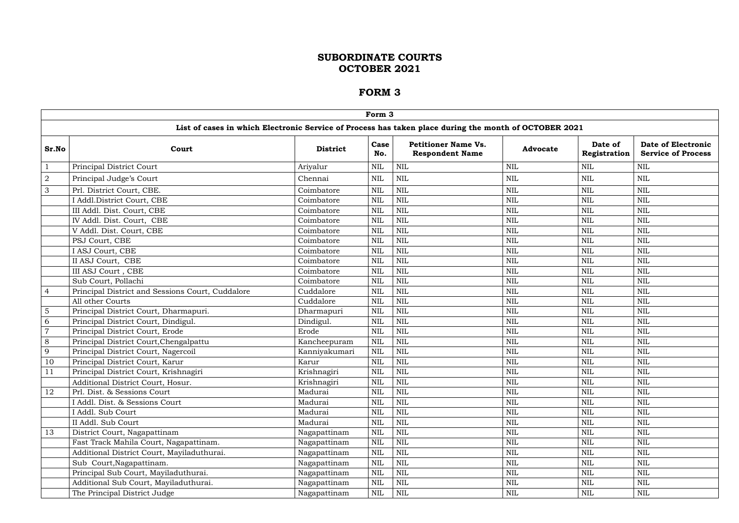|                | Form 3                                                                                                |                 |              |                                                      |                 |                         |                                                        |  |  |  |  |  |  |
|----------------|-------------------------------------------------------------------------------------------------------|-----------------|--------------|------------------------------------------------------|-----------------|-------------------------|--------------------------------------------------------|--|--|--|--|--|--|
|                | List of cases in which Electronic Service of Process has taken place during the month of OCTOBER 2021 |                 |              |                                                      |                 |                         |                                                        |  |  |  |  |  |  |
| Sr.No          | Court                                                                                                 | <b>District</b> | Case<br>No.  | <b>Petitioner Name Vs.</b><br><b>Respondent Name</b> | <b>Advocate</b> | Date of<br>Registration | <b>Date of Electronic</b><br><b>Service of Process</b> |  |  |  |  |  |  |
|                | Principal District Court                                                                              | Ariyalur        | <b>NIL</b>   | <b>NIL</b>                                           | <b>NIL</b>      | <b>NIL</b>              | <b>NIL</b>                                             |  |  |  |  |  |  |
| $\sqrt{2}$     | Principal Judge's Court                                                                               | Chennai         | <b>NIL</b>   | <b>NIL</b>                                           | $\mbox{NIL}$    | <b>NIL</b>              | $\mbox{NIL}$                                           |  |  |  |  |  |  |
| $\mathfrak{Z}$ | Prl. District Court, CBE.                                                                             | Coimbatore      | <b>NIL</b>   | <b>NIL</b>                                           | $\mbox{NIL}$    | <b>NIL</b>              | <b>NIL</b>                                             |  |  |  |  |  |  |
|                | I Addl.District Court, CBE                                                                            | Coimbatore      | <b>NIL</b>   | <b>NIL</b>                                           | $\mbox{NIL}$    | <b>NIL</b>              | <b>NIL</b>                                             |  |  |  |  |  |  |
|                | III Addl. Dist. Court, CBE                                                                            | Coimbatore      | <b>NIL</b>   | <b>NIL</b>                                           | $\mbox{NIL}$    | <b>NIL</b>              | <b>NIL</b>                                             |  |  |  |  |  |  |
|                | IV Addl. Dist. Court, CBE                                                                             | Coimbatore      | <b>NIL</b>   | <b>NIL</b>                                           | $\mbox{NIL}$    | <b>NIL</b>              | $\mbox{NIL}$                                           |  |  |  |  |  |  |
|                | V Addl. Dist. Court, CBE                                                                              | Coimbatore      | <b>NIL</b>   | <b>NIL</b>                                           | <b>NIL</b>      | <b>NIL</b>              | <b>NIL</b>                                             |  |  |  |  |  |  |
|                | PSJ Court, CBE                                                                                        | Coimbatore      | <b>NIL</b>   | <b>NIL</b>                                           | NIL             | <b>NIL</b>              | <b>NIL</b>                                             |  |  |  |  |  |  |
|                | I ASJ Court, CBE                                                                                      | Coimbatore      | <b>NIL</b>   | <b>NIL</b>                                           | $\mbox{NIL}$    | <b>NIL</b>              | $\mbox{NIL}$                                           |  |  |  |  |  |  |
|                | II ASJ Court, CBE                                                                                     | Coimbatore      | <b>NIL</b>   | <b>NIL</b>                                           | $\mbox{NIL}$    | <b>NIL</b>              | $\mbox{NIL}$                                           |  |  |  |  |  |  |
|                | III ASJ Court, CBE                                                                                    | Coimbatore      | <b>NIL</b>   | <b>NIL</b>                                           | $\mbox{NIL}$    | <b>NIL</b>              | <b>NIL</b>                                             |  |  |  |  |  |  |
|                | Sub Court, Pollachi                                                                                   | Coimbatore      | <b>NIL</b>   | <b>NIL</b>                                           | $\mbox{NIL}$    | <b>NIL</b>              | $\mbox{NIL}$                                           |  |  |  |  |  |  |
| $\overline{4}$ | Principal District and Sessions Court, Cuddalore                                                      | Cuddalore       | <b>NIL</b>   | <b>NIL</b>                                           | $\mbox{NIL}$    | <b>NIL</b>              | $\mbox{NIL}$                                           |  |  |  |  |  |  |
|                | All other Courts                                                                                      | Cuddalore       | <b>NIL</b>   | <b>NIL</b>                                           | NIL             | <b>NIL</b>              | <b>NIL</b>                                             |  |  |  |  |  |  |
| 5              | Principal District Court, Dharmapuri.                                                                 | Dharmapuri      | <b>NIL</b>   | <b>NIL</b>                                           | $\mbox{NIL}$    | <b>NIL</b>              | $\mbox{NIL}$                                           |  |  |  |  |  |  |
| 6              | Principal District Court, Dindigul.                                                                   | Dindigul.       | <b>NIL</b>   | <b>NIL</b>                                           | $\mbox{NIL}$    | <b>NIL</b>              | $\mbox{NIL}$                                           |  |  |  |  |  |  |
| $\overline{7}$ | Principal District Court, Erode                                                                       | Erode           | <b>NIL</b>   | <b>NIL</b>                                           | $\mbox{NIL}$    | <b>NIL</b>              | $\mbox{NIL}$                                           |  |  |  |  |  |  |
| $8\,$          | Principal District Court, Chengalpattu                                                                | Kancheepuram    | <b>NIL</b>   | <b>NIL</b>                                           | <b>NIL</b>      | <b>NIL</b>              | <b>NIL</b>                                             |  |  |  |  |  |  |
| 9              | Principal District Court, Nagercoil                                                                   | Kanniyakumari   | <b>NIL</b>   | <b>NIL</b>                                           | $\mbox{NIL}$    | <b>NIL</b>              | $\mbox{NIL}$                                           |  |  |  |  |  |  |
| 10             | Principal District Court, Karur                                                                       | Karur           | <b>NIL</b>   | <b>NIL</b>                                           | $\mbox{NIL}$    | <b>NIL</b>              | $\mbox{NIL}$                                           |  |  |  |  |  |  |
| 11             | Principal District Court, Krishnagiri                                                                 | Krishnagiri     | <b>NIL</b>   | <b>NIL</b>                                           | <b>NIL</b>      | <b>NIL</b>              | <b>NIL</b>                                             |  |  |  |  |  |  |
|                | Additional District Court, Hosur.                                                                     | Krishnagiri     | <b>NIL</b>   | NIL                                                  | $\mbox{NIL}$    | <b>NIL</b>              | $\mbox{NIL}$                                           |  |  |  |  |  |  |
| 12             | Prl. Dist. & Sessions Court                                                                           | Madurai         | <b>NIL</b>   | <b>NIL</b>                                           | $\mbox{NIL}$    | $\mbox{NIL}$            | $\mbox{NIL}$                                           |  |  |  |  |  |  |
|                | Addl. Dist. & Sessions Court                                                                          | Madurai         | <b>NIL</b>   | <b>NIL</b>                                           | $\mbox{NIL}$    | $\mbox{NIL}$            | $\mbox{NIL}$                                           |  |  |  |  |  |  |
|                | I Addl. Sub Court                                                                                     | Madurai         | <b>NIL</b>   | <b>NIL</b>                                           | $\mbox{NIL}$    | <b>NIL</b>              | $\mbox{NIL}$                                           |  |  |  |  |  |  |
|                | II Addl. Sub Court                                                                                    | Madurai         | <b>NIL</b>   | <b>NIL</b>                                           | $\mbox{NIL}$    | <b>NIL</b>              | $\mbox{NIL}$                                           |  |  |  |  |  |  |
| 13             | District Court, Nagapattinam                                                                          | Nagapattinam    | <b>NIL</b>   | <b>NIL</b>                                           | $\mbox{NIL}$    | <b>NIL</b>              | $\mbox{NIL}$                                           |  |  |  |  |  |  |
|                | Fast Track Mahila Court, Nagapattinam.                                                                | Nagapattinam    | <b>NIL</b>   | <b>NIL</b>                                           | $\mbox{NIL}$    | <b>NIL</b>              | $\mbox{NIL}$                                           |  |  |  |  |  |  |
|                | Additional District Court, Mayiladuthurai.                                                            | Nagapattinam    | <b>NIL</b>   | <b>NIL</b>                                           | <b>NIL</b>      | NIL                     | <b>NIL</b>                                             |  |  |  |  |  |  |
|                | Sub Court, Nagapattinam.                                                                              | Nagapattinam    | <b>NIL</b>   | <b>NIL</b>                                           | $\mbox{NIL}$    | NIL                     | <b>NIL</b>                                             |  |  |  |  |  |  |
|                | Principal Sub Court, Mayiladuthurai.                                                                  | Nagapattinam    | $\text{NIL}$ | <b>NIL</b>                                           | $\mbox{NIL}$    | <b>NIL</b>              | $\mbox{NIL}$                                           |  |  |  |  |  |  |
|                | Additional Sub Court, Mayiladuthurai.                                                                 | Nagapattinam    | <b>NIL</b>   | <b>NIL</b>                                           | $\mbox{NIL}$    | <b>NIL</b>              | $\mbox{NIL}$                                           |  |  |  |  |  |  |
|                | The Principal District Judge                                                                          | Nagapattinam    | <b>NIL</b>   | NIL                                                  | NIL             | NIL                     | NIL                                                    |  |  |  |  |  |  |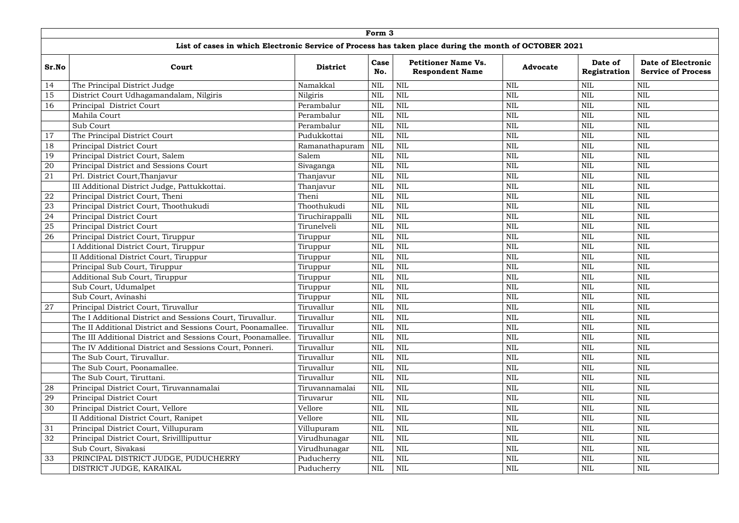|        | Form 3                                                                                                |                 |              |                                                      |                 |                         |                                                        |  |  |  |  |  |
|--------|-------------------------------------------------------------------------------------------------------|-----------------|--------------|------------------------------------------------------|-----------------|-------------------------|--------------------------------------------------------|--|--|--|--|--|
|        | List of cases in which Electronic Service of Process has taken place during the month of OCTOBER 2021 |                 |              |                                                      |                 |                         |                                                        |  |  |  |  |  |
| Sr.No  | Court                                                                                                 | <b>District</b> | Case<br>No.  | <b>Petitioner Name Vs.</b><br><b>Respondent Name</b> | <b>Advocate</b> | Date of<br>Registration | <b>Date of Electronic</b><br><b>Service of Process</b> |  |  |  |  |  |
| 14     | The Principal District Judge                                                                          | Namakkal        | <b>NIL</b>   | NIL                                                  | <b>NIL</b>      | <b>NIL</b>              | <b>NIL</b>                                             |  |  |  |  |  |
| 15     | District Court Udhagamandalam, Nilgiris                                                               | Nilgiris        | <b>NIL</b>   | <b>NIL</b>                                           | <b>NIL</b>      | <b>NIL</b>              | <b>NIL</b>                                             |  |  |  |  |  |
| 16     | Principal District Court                                                                              | Perambalur      | <b>NIL</b>   | <b>NIL</b>                                           | <b>NIL</b>      | <b>NIL</b>              | <b>NIL</b>                                             |  |  |  |  |  |
|        | Mahila Court                                                                                          | Perambalur      | <b>NIL</b>   | <b>NIL</b>                                           | $\mbox{NIL}$    | <b>NIL</b>              | $\mbox{NIL}$                                           |  |  |  |  |  |
|        | Sub Court                                                                                             | Perambalur      | <b>NIL</b>   | <b>NIL</b>                                           | $\mbox{NIL}$    | <b>NIL</b>              | <b>NIL</b>                                             |  |  |  |  |  |
| 17     | The Principal District Court                                                                          | Pudukkottai     | <b>NIL</b>   | <b>NIL</b>                                           | <b>NIL</b>      | <b>NIL</b>              | <b>NIL</b>                                             |  |  |  |  |  |
| 18     | Principal District Court                                                                              | Ramanathapuram  | <b>NIL</b>   | <b>NIL</b>                                           | <b>NIL</b>      | <b>NIL</b>              | <b>NIL</b>                                             |  |  |  |  |  |
| 19     | Principal District Court, Salem                                                                       | Salem           | <b>NIL</b>   | <b>NIL</b>                                           | $\mbox{NIL}$    | <b>NIL</b>              | $\mbox{NIL}$                                           |  |  |  |  |  |
| 20     | Principal District and Sessions Court                                                                 | Sivaganga       | <b>NIL</b>   | <b>NIL</b>                                           | <b>NIL</b>      | <b>NIL</b>              | <b>NIL</b>                                             |  |  |  |  |  |
| 21     | Prl. District Court, Thanjavur                                                                        | Thanjavur       | <b>NIL</b>   | <b>NIL</b>                                           | <b>NIL</b>      | <b>NIL</b>              | <b>NIL</b>                                             |  |  |  |  |  |
|        | III Additional District Judge, Pattukkottai.                                                          | Thanjavur       | <b>NIL</b>   | <b>NIL</b>                                           | $\mbox{NIL}$    | NIL                     | <b>NIL</b>                                             |  |  |  |  |  |
| 22     | Principal District Court, Theni                                                                       | Theni           | <b>NIL</b>   | <b>NIL</b>                                           | $\mbox{NIL}$    | <b>NIL</b>              | <b>NIL</b>                                             |  |  |  |  |  |
| 23     | Principal District Court, Thoothukudi                                                                 | Thoothukudi     | <b>NIL</b>   | <b>NIL</b>                                           | $\mbox{NIL}$    | <b>NIL</b>              | <b>NIL</b>                                             |  |  |  |  |  |
| 24     | Principal District Court                                                                              | Tiruchirappalli | <b>NIL</b>   | <b>NIL</b>                                           | $\mbox{NIL}$    | <b>NIL</b>              | $\mbox{NIL}$                                           |  |  |  |  |  |
| 25     | Principal District Court                                                                              | Tirunelveli     | <b>NIL</b>   | <b>NIL</b>                                           | <b>NIL</b>      | <b>NIL</b>              | <b>NIL</b>                                             |  |  |  |  |  |
| 26     | Principal District Court, Tiruppur                                                                    | Tiruppur        | <b>NIL</b>   | <b>NIL</b>                                           | <b>NIL</b>      | <b>NIL</b>              | <b>NIL</b>                                             |  |  |  |  |  |
|        | <b>Additional District Court, Tiruppur</b>                                                            | Tiruppur        | <b>NIL</b>   | <b>NIL</b>                                           | $\mbox{NIL}$    | <b>NIL</b>              | $\mbox{NIL}$                                           |  |  |  |  |  |
|        | II Additional District Court, Tiruppur                                                                | Tiruppur        | <b>NIL</b>   | <b>NIL</b>                                           | $\mbox{NIL}$    | <b>NIL</b>              | <b>NIL</b>                                             |  |  |  |  |  |
|        | Principal Sub Court, Tiruppur                                                                         | Tiruppur        | <b>NIL</b>   | <b>NIL</b>                                           | $\mbox{NIL}$    | <b>NIL</b>              | <b>NIL</b>                                             |  |  |  |  |  |
|        | Additional Sub Court, Tiruppur                                                                        | Tiruppur        | <b>NIL</b>   | <b>NIL</b>                                           | $\mbox{NIL}$    | <b>NIL</b>              | $\mbox{NIL}$                                           |  |  |  |  |  |
|        | Sub Court, Udumalpet                                                                                  | Tiruppur        | <b>NIL</b>   | <b>NIL</b>                                           | $\mbox{NIL}$    | <b>NIL</b>              | <b>NIL</b>                                             |  |  |  |  |  |
|        | Sub Court, Avinashi                                                                                   | Tiruppur        | <b>NIL</b>   | <b>NIL</b>                                           | <b>NIL</b>      | <b>NIL</b>              | <b>NIL</b>                                             |  |  |  |  |  |
| $27\,$ | Principal District Court, Tiruvallur                                                                  | Tiruvallur      | <b>NIL</b>   | $\mbox{NIL}$                                         | $\mbox{NIL}$    | $\text{NIL}$            | $\mbox{NIL}$                                           |  |  |  |  |  |
|        | The I Additional District and Sessions Court, Tiruvallur.                                             | Tiruvallur      | <b>NIL</b>   | <b>NIL</b>                                           | <b>NIL</b>      | <b>NIL</b>              | <b>NIL</b>                                             |  |  |  |  |  |
|        | The II Additional District and Sessions Court, Poonamallee.                                           | Tiruvallur      | <b>NIL</b>   | NIL                                                  | $\mbox{NIL}$    | <b>NIL</b>              | $\mbox{NIL}$                                           |  |  |  |  |  |
|        | The III Additional District and Sessions Court, Poonamallee.                                          | Tiruvallur      | <b>NIL</b>   | <b>NIL</b>                                           | $\mbox{NIL}$    | <b>NIL</b>              | $\mbox{NIL}$                                           |  |  |  |  |  |
|        | The IV Additional District and Sessions Court, Ponneri.                                               | Tiruvallur      | <b>NIL</b>   | <b>NIL</b>                                           | $\mbox{NIL}$    | <b>NIL</b>              | <b>NIL</b>                                             |  |  |  |  |  |
|        | The Sub Court, Tiruvallur.                                                                            | Tiruvallur      | <b>NIL</b>   | <b>NIL</b>                                           | $\mbox{NIL}$    | <b>NIL</b>              | $\mbox{NIL}$                                           |  |  |  |  |  |
|        | The Sub Court, Poonamallee.                                                                           | Tiruvallur      | <b>NIL</b>   | <b>NIL</b>                                           | $\mbox{NIL}$    | <b>NIL</b>              | $\mbox{NIL}$                                           |  |  |  |  |  |
|        | The Sub Court, Tiruttani.                                                                             | Tiruvallur      | <b>NIL</b>   | <b>NIL</b>                                           | $\mbox{NIL}$    | <b>NIL</b>              | $\mbox{NIL}$                                           |  |  |  |  |  |
| 28     | Principal District Court, Tiruvannamalai                                                              | Tiruvannamalai  | <b>NIL</b>   | NIL                                                  | $\mbox{NIL}$    | <b>NIL</b>              | <b>NIL</b>                                             |  |  |  |  |  |
| 29     | Principal District Court                                                                              | Tiruvarur       | <b>NIL</b>   | NIL                                                  | $\mbox{NIL}$    | NIL                     | <b>NIL</b>                                             |  |  |  |  |  |
| 30     | Principal District Court, Vellore                                                                     | Vellore         | <b>NIL</b>   | NIL                                                  | $\mbox{NIL}$    | <b>NIL</b>              | $\mbox{NIL}$                                           |  |  |  |  |  |
|        | II Additional District Court, Ranipet                                                                 | Vellore         | <b>NIL</b>   | <b>NIL</b>                                           | $\mbox{NIL}$    | <b>NIL</b>              | <b>NIL</b>                                             |  |  |  |  |  |
| 31     | Principal District Court, Villupuram                                                                  | Villupuram      | <b>NIL</b>   | <b>NIL</b>                                           | $\mbox{NIL}$    | NIL                     | NIL                                                    |  |  |  |  |  |
| 32     | Principal District Court, Srivillliputtur                                                             | Virudhunagar    | <b>NIL</b>   | <b>NIL</b>                                           | $\mbox{NIL}$    | <b>NIL</b>              | $\mbox{NIL}$                                           |  |  |  |  |  |
|        | Sub Court, Sivakasi                                                                                   | Virudhunagar    | <b>NIL</b>   | <b>NIL</b>                                           | $\mbox{NIL}$    | <b>NIL</b>              | <b>NIL</b>                                             |  |  |  |  |  |
| 33     | PRINCIPAL DISTRICT JUDGE, PUDUCHERRY                                                                  | Puducherry      | NIL          | NIL                                                  | NIL             | NIL                     | <b>NIL</b>                                             |  |  |  |  |  |
|        | DISTRICT JUDGE, KARAIKAL                                                                              | Puducherry      | $\mbox{NIL}$ | NIL                                                  | $\mbox{NIL}$    | NIL                     | $\mbox{NIL}$                                           |  |  |  |  |  |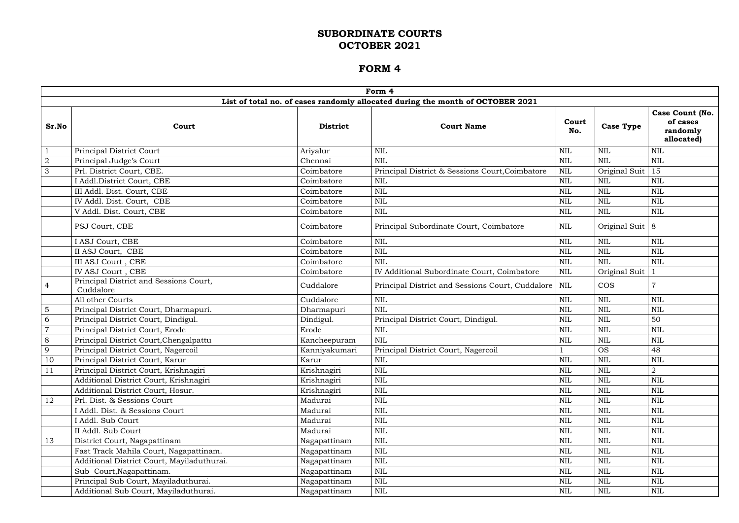|                |                                                     |                 | Form 4                                                                         |              |                   |                                                       |
|----------------|-----------------------------------------------------|-----------------|--------------------------------------------------------------------------------|--------------|-------------------|-------------------------------------------------------|
|                |                                                     |                 | List of total no. of cases randomly allocated during the month of OCTOBER 2021 |              |                   |                                                       |
| Sr.No          | Court                                               | <b>District</b> | <b>Court Name</b>                                                              | Court<br>No. | <b>Case Type</b>  | Case Count (No.<br>of cases<br>randomly<br>allocated) |
|                | Principal District Court                            | Ariyalur        | <b>NIL</b>                                                                     | <b>NIL</b>   | <b>NIL</b>        | <b>NIL</b>                                            |
| $\sqrt{2}$     | Principal Judge's Court                             | Chennai         | <b>NIL</b>                                                                     | NIL          | <b>NIL</b>        | <b>NIL</b>                                            |
| 3              | Prl. District Court, CBE.                           | Coimbatore      | Principal District & Sessions Court, Coimbatore                                | <b>NIL</b>   | Original Suit     | 15                                                    |
|                | I Addl.District Court, CBE                          | Coimbatore      | $\mbox{NIL}$                                                                   | <b>NIL</b>   | <b>NIL</b>        | <b>NIL</b>                                            |
|                | III Addl. Dist. Court, CBE                          | Coimbatore      | <b>NIL</b>                                                                     | <b>NIL</b>   | <b>NIL</b>        | <b>NIL</b>                                            |
|                | IV Addl. Dist. Court, CBE                           | Coimbatore      | <b>NIL</b>                                                                     | <b>NIL</b>   | <b>NIL</b>        | <b>NIL</b>                                            |
|                | V Addl. Dist. Court, CBE                            | Coimbatore      | <b>NIL</b>                                                                     | <b>NIL</b>   | <b>NIL</b>        | $\mbox{NIL}$                                          |
|                | PSJ Court, CBE                                      | Coimbatore      | Principal Subordinate Court, Coimbatore                                        | NIL          | Original Suit   8 |                                                       |
|                | I ASJ Court, CBE                                    | Coimbatore      | <b>NIL</b>                                                                     | <b>NIL</b>   | <b>NIL</b>        | $\mbox{NIL}$                                          |
|                | II ASJ Court, CBE                                   | Coimbatore      | <b>NIL</b>                                                                     | <b>NIL</b>   | <b>NIL</b>        | <b>NIL</b>                                            |
|                | III ASJ Court, CBE                                  | Coimbatore      | <b>NIL</b>                                                                     | <b>NIL</b>   | <b>NIL</b>        | $\mbox{NIL}$                                          |
|                | IV ASJ Court, CBE                                   | Coimbatore      | IV Additional Subordinate Court, Coimbatore                                    | <b>NIL</b>   | Original Suit     |                                                       |
| $\overline{4}$ | Principal District and Sessions Court,<br>Cuddalore | Cuddalore       | Principal District and Sessions Court, Cuddalore   NIL                         |              | <b>COS</b>        | $\overline{7}$                                        |
|                | All other Courts                                    | Cuddalore       | <b>NIL</b>                                                                     | <b>NIL</b>   | <b>NIL</b>        | <b>NIL</b>                                            |
| $\overline{5}$ | Principal District Court, Dharmapuri.               | Dharmapuri      | <b>NIL</b>                                                                     | <b>NIL</b>   | <b>NIL</b>        | <b>NIL</b>                                            |
| 6              | Principal District Court, Dindigul.                 | Dindigul.       | Principal District Court, Dindigul.                                            | <b>NIL</b>   | <b>NIL</b>        | 50                                                    |
| $\overline{7}$ | Principal District Court, Erode                     | Erode           | <b>NIL</b>                                                                     | <b>NIL</b>   | <b>NIL</b>        | <b>NIL</b>                                            |
| 8              | Principal District Court, Chengalpattu              | Kancheepuram    | <b>NIL</b>                                                                     | <b>NIL</b>   | <b>NIL</b>        | <b>NIL</b>                                            |
| 9              | Principal District Court, Nagercoil                 | Kanniyakumari   | Principal District Court, Nagercoil                                            |              | <b>OS</b>         | 48                                                    |
| 10             | Principal District Court, Karur                     | Karur           | $\mbox{NIL}$                                                                   | <b>NIL</b>   | <b>NIL</b>        | <b>NIL</b>                                            |
| 11             | Principal District Court, Krishnagiri               | Krishnagiri     | $\mbox{NIL}$                                                                   | <b>NIL</b>   | <b>NIL</b>        | $\sqrt{2}$                                            |
|                | Additional District Court, Krishnagiri              | Krishnagiri     | <b>NIL</b>                                                                     | NIL          | <b>NIL</b>        | <b>NIL</b>                                            |
|                | Additional District Court, Hosur.                   | Krishnagiri     | $\mbox{NIL}$                                                                   | <b>NIL</b>   | <b>NIL</b>        | $\mbox{NIL}$                                          |
| 12             | Prl. Dist. & Sessions Court                         | Madurai         | $\mbox{NIL}$                                                                   | <b>NIL</b>   | <b>NIL</b>        | $\mbox{NIL}$                                          |
|                | I Addl. Dist. & Sessions Court                      | Madurai         | $\mbox{NIL}$                                                                   | <b>NIL</b>   | <b>NIL</b>        | $\mbox{NIL}$                                          |
|                | I Addl. Sub Court                                   | Madurai         | NIL                                                                            | NIL          | <b>NIL</b>        | <b>NIL</b>                                            |
|                | II Addl. Sub Court                                  | Madurai         | <b>NIL</b>                                                                     | <b>NIL</b>   | <b>NIL</b>        | $\text{NIL}$                                          |
| 13             | District Court, Nagapattinam                        | Nagapattinam    | <b>NIL</b>                                                                     | <b>NIL</b>   | <b>NIL</b>        | $\mbox{NIL}$                                          |
|                | Fast Track Mahila Court, Nagapattinam.              | Nagapattinam    | <b>NIL</b>                                                                     | NIL          | <b>NIL</b>        | <b>NIL</b>                                            |
|                | Additional District Court, Mayiladuthurai.          | Nagapattinam    | <b>NIL</b>                                                                     | <b>NIL</b>   | <b>NIL</b>        | $\mbox{NIL}$                                          |
|                | Sub Court, Nagapattinam.                            | Nagapattinam    | $\mbox{NIL}$                                                                   | <b>NIL</b>   | <b>NIL</b>        | $\mbox{NIL}$                                          |
|                | Principal Sub Court, Mayiladuthurai.                | Nagapattinam    | <b>NIL</b>                                                                     | NIL          | <b>NIL</b>        | $\mbox{NIL}$                                          |
|                | Additional Sub Court, Mayiladuthurai.               | Nagapattinam    | NIL                                                                            | NIL          | <b>NIL</b>        | $\mbox{NIL}$                                          |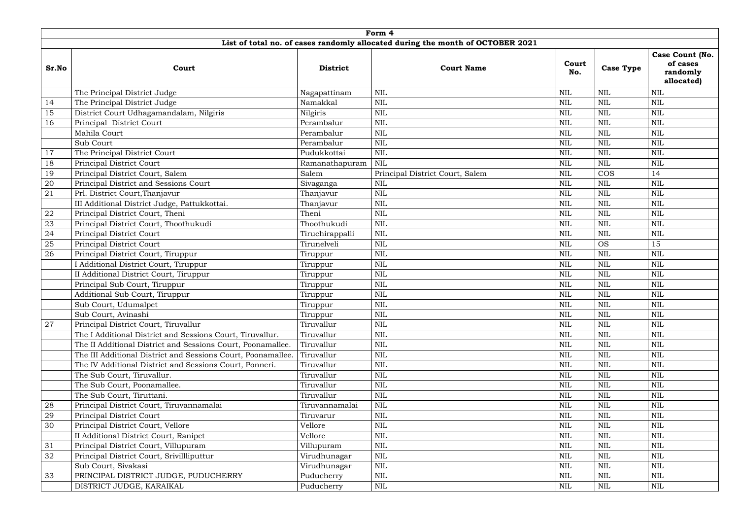|       | Form 4                                                       |                 |                                                                                |              |                  |                                                       |  |  |  |  |  |  |  |
|-------|--------------------------------------------------------------|-----------------|--------------------------------------------------------------------------------|--------------|------------------|-------------------------------------------------------|--|--|--|--|--|--|--|
|       |                                                              |                 | List of total no. of cases randomly allocated during the month of OCTOBER 2021 |              |                  |                                                       |  |  |  |  |  |  |  |
| Sr.No | Court                                                        | <b>District</b> | <b>Court Name</b>                                                              | Court<br>No. | <b>Case Type</b> | Case Count (No.<br>of cases<br>randomly<br>allocated) |  |  |  |  |  |  |  |
|       | The Principal District Judge                                 | Nagapattinam    | $\mbox{NIL}$                                                                   | <b>NIL</b>   | <b>NIL</b>       | $\text{NIL}$                                          |  |  |  |  |  |  |  |
| 14    | The Principal District Judge                                 | Namakkal        | $\mbox{NIL}$                                                                   | <b>NIL</b>   | <b>NIL</b>       | $\mbox{NIL}$                                          |  |  |  |  |  |  |  |
| 15    | District Court Udhagamandalam, Nilgiris                      | Nilgiris        | $\mbox{NIL}$                                                                   | <b>NIL</b>   | <b>NIL</b>       | $\text{NIL}$                                          |  |  |  |  |  |  |  |
| 16    | Principal District Court                                     | Perambalur      | $\mbox{NIL}$                                                                   | <b>NIL</b>   | <b>NIL</b>       | $\mbox{NIL}$                                          |  |  |  |  |  |  |  |
|       | Mahila Court                                                 | Perambalur      | <b>NIL</b>                                                                     | <b>NIL</b>   | <b>NIL</b>       | $\text{NIL}$                                          |  |  |  |  |  |  |  |
|       | Sub Court                                                    | Perambalur      | $\mbox{NIL}$                                                                   | <b>NIL</b>   | <b>NIL</b>       | $\mbox{NIL}$                                          |  |  |  |  |  |  |  |
| 17    | The Principal District Court                                 | Pudukkottai     | $\mbox{NIL}$                                                                   | <b>NIL</b>   | <b>NIL</b>       | $\mbox{NIL}$                                          |  |  |  |  |  |  |  |
| 18    | Principal District Court                                     | Ramanathapuram  | <b>NIL</b>                                                                     | <b>NIL</b>   | <b>NIL</b>       | $\text{NIL}$                                          |  |  |  |  |  |  |  |
| 19    | Principal District Court, Salem                              | Salem           | Principal District Court, Salem                                                | <b>NIL</b>   | <b>COS</b>       | 14                                                    |  |  |  |  |  |  |  |
| 20    | Principal District and Sessions Court                        | Sivaganga       | $\mbox{NIL}$                                                                   | <b>NIL</b>   | <b>NIL</b>       | $\mbox{NIL}$                                          |  |  |  |  |  |  |  |
| 21    | Prl. District Court, Thanjavur                               | Thanjavur       | $\mbox{NIL}$                                                                   | <b>NIL</b>   | <b>NIL</b>       | $\mbox{NIL}$                                          |  |  |  |  |  |  |  |
|       | III Additional District Judge, Pattukkottai.                 | Thanjavur       | <b>NIL</b>                                                                     | <b>NIL</b>   | <b>NIL</b>       | $\text{NIL}$                                          |  |  |  |  |  |  |  |
| 22    | Principal District Court, Theni                              | Theni           | $\mbox{NIL}$                                                                   | <b>NIL</b>   | <b>NIL</b>       | $\text{NIL}$                                          |  |  |  |  |  |  |  |
| 23    | Principal District Court, Thoothukudi                        | Thoothukudi     | $\mbox{NIL}$                                                                   | <b>NIL</b>   | <b>NIL</b>       | $\mbox{NIL}$                                          |  |  |  |  |  |  |  |
| 24    | Principal District Court                                     | Tiruchirappalli | $\mbox{NIL}$                                                                   | <b>NIL</b>   | <b>NIL</b>       | $\mbox{NIL}$                                          |  |  |  |  |  |  |  |
| 25    | Principal District Court                                     | Tirunelveli     | <b>NIL</b>                                                                     | <b>NIL</b>   | <b>OS</b>        | 15                                                    |  |  |  |  |  |  |  |
| 26    | Principal District Court, Tiruppur                           | Tiruppur        | $\mbox{NIL}$                                                                   | <b>NIL</b>   | <b>NIL</b>       | $\text{NIL}$                                          |  |  |  |  |  |  |  |
|       | I Additional District Court, Tiruppur                        | Tiruppur        | $\mbox{NIL}$                                                                   | <b>NIL</b>   | <b>NIL</b>       | $\mbox{NIL}$                                          |  |  |  |  |  |  |  |
|       | II Additional District Court, Tiruppur                       | Tiruppur        | $\mbox{NIL}$                                                                   | <b>NIL</b>   | <b>NIL</b>       | $\mbox{NIL}$                                          |  |  |  |  |  |  |  |
|       | Principal Sub Court, Tiruppur                                | Tiruppur        | $\mbox{NIL}$                                                                   | <b>NIL</b>   | <b>NIL</b>       | $\text{NIL}$                                          |  |  |  |  |  |  |  |
|       | Additional Sub Court, Tiruppur                               | Tiruppur        | $\mbox{NIL}$                                                                   | <b>NIL</b>   | <b>NIL</b>       | $\mbox{NIL}$                                          |  |  |  |  |  |  |  |
|       | Sub Court, Udumalpet                                         | Tiruppur        | <b>NIL</b>                                                                     | NIL          | NIL              | NIL                                                   |  |  |  |  |  |  |  |
|       | Sub Court, Avinashi                                          | Tiruppur        | <b>NIL</b>                                                                     | NIL          | <b>NIL</b>       | $\text{NIL}$                                          |  |  |  |  |  |  |  |
| 27    | Principal District Court, Tiruvallur                         | Tiruvallur      | $\mbox{NIL}$                                                                   | <b>NIL</b>   | <b>NIL</b>       | $\mbox{NIL}$                                          |  |  |  |  |  |  |  |
|       | The I Additional District and Sessions Court, Tiruvallur.    | Tiruvallur      | $\mbox{NIL}$                                                                   | <b>NIL</b>   | <b>NIL</b>       | $\mbox{NIL}$                                          |  |  |  |  |  |  |  |
|       | The II Additional District and Sessions Court, Poonamallee.  | Tiruvallur      | $\mbox{NIL}$                                                                   | <b>NIL</b>   | <b>NIL</b>       | $\mbox{NIL}$                                          |  |  |  |  |  |  |  |
|       | The III Additional District and Sessions Court, Poonamallee. | Tiruvallur      | $\mbox{NIL}$                                                                   | <b>NIL</b>   | <b>NIL</b>       | $\text{NIL}$                                          |  |  |  |  |  |  |  |
|       | The IV Additional District and Sessions Court, Ponneri.      | Tiruvallur      | $\mbox{NIL}$                                                                   | <b>NIL</b>   | <b>NIL</b>       | $\mbox{NIL}$                                          |  |  |  |  |  |  |  |
|       | The Sub Court, Tiruvallur.                                   | Tiruvallur      | $\mbox{NIL}$                                                                   | NIL          | NIL              | NIL                                                   |  |  |  |  |  |  |  |
|       | The Sub Court, Poonamallee.                                  | Tiruvallur      | <b>NIL</b>                                                                     | NIL          | <b>NIL</b>       | $\mbox{NIL}$                                          |  |  |  |  |  |  |  |
|       | The Sub Court, Tiruttani.                                    | Tiruvallur      | $\mbox{NIL}$                                                                   | NIL          | <b>NIL</b>       | $\text{NIL}$                                          |  |  |  |  |  |  |  |
| 28    | Principal District Court, Tiruvannamalai                     | Tiruvannamalai  | <b>NIL</b>                                                                     | NIL          | NIL              | $\text{NIL}$                                          |  |  |  |  |  |  |  |
| 29    | Principal District Court                                     | Tiruvarur       | <b>NIL</b>                                                                     | <b>NIL</b>   | <b>NIL</b>       | $\text{NIL}$                                          |  |  |  |  |  |  |  |
| 30    | Principal District Court, Vellore                            | Vellore         | $\mbox{NIL}$                                                                   | NIL          | <b>NIL</b>       | $\text{NIL}$                                          |  |  |  |  |  |  |  |
|       | II Additional District Court, Ranipet                        | Vellore         | <b>NIL</b>                                                                     | NIL          | <b>NIL</b>       | $\text{NIL}$                                          |  |  |  |  |  |  |  |
| 31    | Principal District Court, Villupuram                         | Villupuram      | NIL                                                                            | NIL          | <b>NIL</b>       | NIL                                                   |  |  |  |  |  |  |  |
| 32    | Principal District Court, Srivillliputtur                    | Virudhunagar    | <b>NIL</b>                                                                     | NIL          | <b>NIL</b>       | $\mbox{NIL}$                                          |  |  |  |  |  |  |  |
|       | Sub Court, Sivakasi                                          | Virudhunagar    | $\mbox{NIL}$                                                                   | <b>NIL</b>   | <b>NIL</b>       | $\text{NIL}$                                          |  |  |  |  |  |  |  |
| 33    | PRINCIPAL DISTRICT JUDGE, PUDUCHERRY                         | Puducherry      | $\mbox{NIL}$                                                                   | <b>NIL</b>   | <b>NIL</b>       | $\text{NIL}$                                          |  |  |  |  |  |  |  |
|       | DISTRICT JUDGE, KARAIKAL                                     | Puducherry      | <b>NIL</b>                                                                     | NIL          | $\mbox{NIL}$     | $\mbox{NIL}$                                          |  |  |  |  |  |  |  |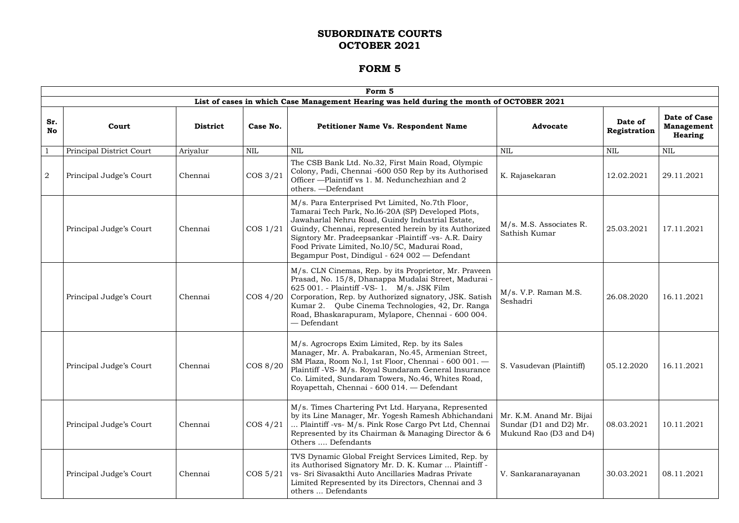|                  | Form 5                   |                 |             |                                                                                                                                                                                                                                                                                                                                                                                |                                                                              |                         |                                                     |  |  |  |  |
|------------------|--------------------------|-----------------|-------------|--------------------------------------------------------------------------------------------------------------------------------------------------------------------------------------------------------------------------------------------------------------------------------------------------------------------------------------------------------------------------------|------------------------------------------------------------------------------|-------------------------|-----------------------------------------------------|--|--|--|--|
|                  |                          |                 |             | List of cases in which Case Management Hearing was held during the month of OCTOBER 2021                                                                                                                                                                                                                                                                                       |                                                                              |                         |                                                     |  |  |  |  |
| Sr.<br><b>No</b> | Court                    | <b>District</b> | Case No.    | <b>Petitioner Name Vs. Respondent Name</b>                                                                                                                                                                                                                                                                                                                                     | <b>Advocate</b>                                                              | Date of<br>Registration | Date of Case<br><b>Management</b><br><b>Hearing</b> |  |  |  |  |
|                  | Principal District Court | Ariyalur        | NIL         | <b>NIL</b>                                                                                                                                                                                                                                                                                                                                                                     | <b>NIL</b>                                                                   | <b>NIL</b>              | <b>NIL</b>                                          |  |  |  |  |
| $\overline{2}$   | Principal Judge's Court  | Chennai         | $\cos 3/21$ | The CSB Bank Ltd. No.32, First Main Road, Olympic<br>Colony, Padi, Chennai -600 050 Rep by its Authorised<br>Officer - Plaintiff vs 1. M. Nedunchezhian and 2<br>others. - Defendant                                                                                                                                                                                           | K. Rajasekaran                                                               | 12.02.2021              | 29.11.2021                                          |  |  |  |  |
|                  | Principal Judge's Court  | Chennai         | $\cos 1/21$ | M/s. Para Enterprised Pvt Limited, No.7th Floor,<br>Tamarai Tech Park, No.16-20A (SP) Developed Plots,<br>Jawaharlal Nehru Road, Guindy Industrial Estate,<br>Guindy, Chennai, represented herein by its Authorized<br>Signtory Mr. Pradeepsankar -Plaintiff -vs- A.R. Dairy<br>Food Private Limited, No.10/5C, Madurai Road,<br>Begampur Post, Dindigul - 624 002 — Defendant | M/s. M.S. Associates R.<br>Sathish Kumar                                     | 25.03.2021              | 17.11.2021                                          |  |  |  |  |
|                  | Principal Judge's Court  | Chennai         | $\cos 4/20$ | M/s. CLN Cinemas, Rep. by its Proprietor, Mr. Praveen<br>Prasad, No. 15/8, Dhanappa Mudalai Street, Madurai -<br>625 001. - Plaintiff -VS- 1. M/s. JSK Film<br>Corporation, Rep. by Authorized signatory, JSK. Satish<br>Kumar 2. Qube Cinema Technologies, 42, Dr. Ranga<br>Road, Bhaskarapuram, Mylapore, Chennai - 600 004.<br>— Defendant                                  | M/s. V.P. Raman M.S.<br>Seshadri                                             | 26.08.2020              | 16.11.2021                                          |  |  |  |  |
|                  | Principal Judge's Court  | Chennai         | COS 8/20    | M/s. Agrocrops Exim Limited, Rep. by its Sales<br>Manager, Mr. A. Prabakaran, No.45, Armenian Street,<br>SM Plaza, Room No.l, 1st Floor, Chennai - 600 001.<br>Plaintiff -VS- M/s. Royal Sundaram General Insurance<br>Co. Limited, Sundaram Towers, No.46, Whites Road,<br>Royapettah, Chennai - 600 014. - Defendant                                                         | S. Vasudevan (Plaintiff)                                                     | 05.12.2020              | 16.11.2021                                          |  |  |  |  |
|                  | Principal Judge's Court  | Chennai         | $\cos 4/21$ | M/s. Times Chartering Pvt Ltd. Haryana, Represented<br>by its Line Manager, Mr. Yogesh Ramesh Abhichandani<br>Plaintiff -vs- M/s. Pink Rose Cargo Pvt Ltd, Chennai<br>Represented by its Chairman & Managing Director & 6<br>Others  Defendants                                                                                                                                | Mr. K.M. Anand Mr. Bijai<br>Sundar (D1 and D2) Mr.<br>Mukund Rao (D3 and D4) | 08.03.2021              | 10.11.2021                                          |  |  |  |  |
|                  | Principal Judge's Court  | Chennai         | $\cos 5/21$ | TVS Dynamic Global Freight Services Limited, Rep. by<br>its Authorised Signatory Mr. D. K. Kumar  Plaintiff -<br>vs- Sri Sivasakthi Auto Ancillaries Madras Private<br>Limited Represented by its Directors, Chennai and 3<br>others  Defendants                                                                                                                               | V. Sankaranarayanan                                                          | 30.03.2021              | 08.11.2021                                          |  |  |  |  |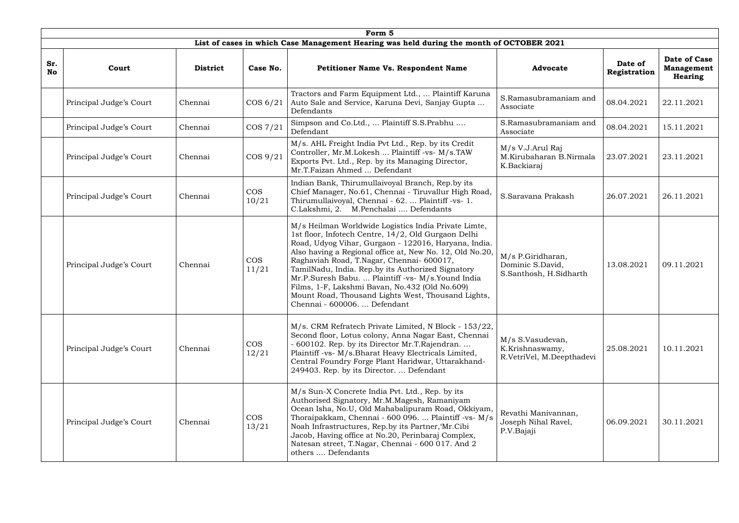|           | Form 5                  |                 |                     |                                                                                                                                                                                                                                                                                                                                                                                                                                                                                                                                |                                                                  |                         |                                                     |  |  |  |  |
|-----------|-------------------------|-----------------|---------------------|--------------------------------------------------------------------------------------------------------------------------------------------------------------------------------------------------------------------------------------------------------------------------------------------------------------------------------------------------------------------------------------------------------------------------------------------------------------------------------------------------------------------------------|------------------------------------------------------------------|-------------------------|-----------------------------------------------------|--|--|--|--|
|           |                         |                 |                     | List of cases in which Case Management Hearing was held during the month of OCTOBER 2021                                                                                                                                                                                                                                                                                                                                                                                                                                       |                                                                  |                         |                                                     |  |  |  |  |
| Sr.<br>No | Court                   | <b>District</b> | Case No.            | <b>Petitioner Name Vs. Respondent Name</b>                                                                                                                                                                                                                                                                                                                                                                                                                                                                                     | <b>Advocate</b>                                                  | Date of<br>Registration | Date of Case<br><b>Management</b><br><b>Hearing</b> |  |  |  |  |
|           | Principal Judge's Court | Chennai         | COS 6/21            | Tractors and Farm Equipment Ltd.,  Plaintiff Karuna<br>Auto Sale and Service, Karuna Devi, Sanjay Gupta<br>Defendants                                                                                                                                                                                                                                                                                                                                                                                                          | S.Ramasubramaniam and<br>Associate                               | 08.04.2021              | 22.11.2021                                          |  |  |  |  |
|           | Principal Judge's Court | Chennai         | $\cos 7/21$         | Simpson and Co.Ltd.,  Plaintiff S.S.Prabhu<br>Defendant                                                                                                                                                                                                                                                                                                                                                                                                                                                                        | S.Ramasubramaniam and<br>Associate                               | 08.04.2021              | 15.11.2021                                          |  |  |  |  |
|           | Principal Judge's Court | Chennai         | $\cos 9/21$         | M/s. AHL Freight India Pvt Ltd., Rep. by its Credit<br>Controller, Mr.M.Lokesh  Plaintiff -vs- M/s.TAW<br>Exports Pvt. Ltd., Rep. by its Managing Director,<br>Mr.T.Faizan Ahmed  Defendant                                                                                                                                                                                                                                                                                                                                    | M/s V.J.Arul Raj<br>M.Kirubaharan B.Nirmala<br>K.Backiaraj       | 23.07.2021              | 23.11.2021                                          |  |  |  |  |
|           | Principal Judge's Court | Chennai         | <b>COS</b><br>10/21 | Indian Bank, Thirumullaivoyal Branch, Rep.by its<br>Chief Manager, No.61, Chennai - Tiruvallur High Road,<br>Thirumullaivoyal, Chennai - 62.  Plaintiff -vs- 1.<br>C.Lakshmi, 2. M.Penchalai  Defendants                                                                                                                                                                                                                                                                                                                       | S.Saravana Prakash                                               | 26.07.2021              | 26.11.2021                                          |  |  |  |  |
|           | Principal Judge's Court | Chennai         | <b>COS</b><br>11/21 | M/s Heilman Worldwide Logistics India Private Limte,<br>1st floor, Infotech Centre, 14/2, Old Gurgaon Delhi<br>Road, Udyog Vihar, Gurgaon - 122016, Haryana, India.<br>Also having a Regional office at, New No. 12, Old No.20,<br>Raghaviah Road, T.Nagar, Chennai- 600017,<br>TamilNadu, India. Rep.by its Authorized Signatory<br>Mr.P.Suresh Babu.  Plaintiff -vs- M/s.Yound India<br>Films, 1-F, Lakshmi Bavan, No.432 (Old No.609)<br>Mount Road, Thousand Lights West, Thousand Lights,<br>Chennai - 600006.  Defendant | M/s P.Giridharan,<br>Dominic S.David,<br>S.Santhosh, H.Sidharth  | 13.08.2021              | 09.11.2021                                          |  |  |  |  |
|           | Principal Judge's Court | Chennai         | <b>COS</b><br>12/21 | M/s. CRM Refratech Private Limited, N Block - 153/22,<br>Second floor, Lotus colony, Anna Nagar East, Chennai<br>- 600102. Rep. by its Director Mr.T.Rajendran.<br>Plaintiff -vs- M/s.Bharat Heavy Electricals Limited,<br>Central Foundry Forge Plant Haridwar, Uttarakhand-<br>249403. Rep. by its Director.  Defendant                                                                                                                                                                                                      | M/s S.Vasudevan,<br>K.Krishnaswamy,<br>R.VetriVel, M.Deepthadevi | 25.08.2021              | 10.11.2021                                          |  |  |  |  |
|           | Principal Judge's Court | Chennai         | <b>COS</b><br>13/21 | M/s Sun-X Concrete India Pvt. Ltd., Rep. by its<br>Authorised Signatory, Mr.M.Magesh, Ramaniyam<br>Ocean Isha, No.U, Old Mahabalipuram Road, Okkiyam,<br>Thoraipakkam, Chennai - 600 096.  Plaintiff -vs- M/s<br>Noah Infrastructures, Rep.by its Partner, Mr.Cibi<br>Jacob, Having office at No.20, Perinbaraj Complex,<br>Natesan street, T.Nagar, Chennai - 600 017. And 2<br>others  Defendants                                                                                                                            | Revathi Manivannan,<br>Joseph Nihal Ravel,<br>P.V.Bajaji         | 06.09.2021              | 30.11.2021                                          |  |  |  |  |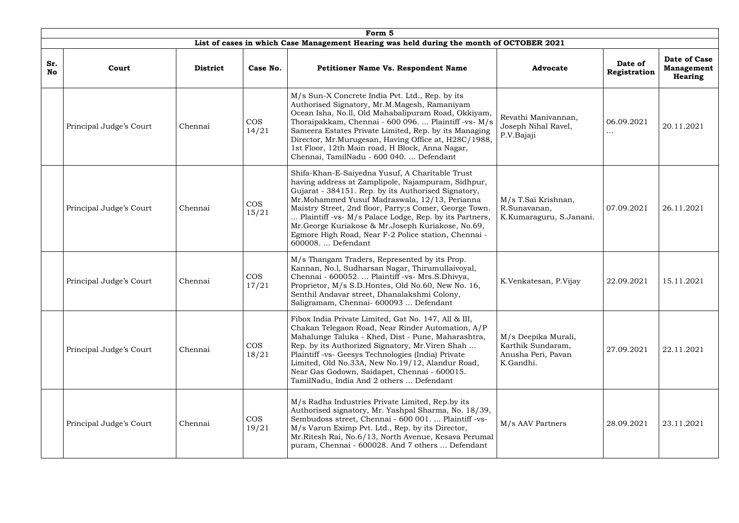|                  |                         |                 |                     | Form 5                                                                                                                                                                                                                                                                                                                                                                                                                                                                |                                                                             |                         |                                              |
|------------------|-------------------------|-----------------|---------------------|-----------------------------------------------------------------------------------------------------------------------------------------------------------------------------------------------------------------------------------------------------------------------------------------------------------------------------------------------------------------------------------------------------------------------------------------------------------------------|-----------------------------------------------------------------------------|-------------------------|----------------------------------------------|
|                  |                         |                 |                     | List of cases in which Case Management Hearing was held during the month of OCTOBER 2021                                                                                                                                                                                                                                                                                                                                                                              |                                                                             |                         |                                              |
| Sr.<br><b>No</b> | Court                   | <b>District</b> | Case No.            | <b>Petitioner Name Vs. Respondent Name</b>                                                                                                                                                                                                                                                                                                                                                                                                                            | <b>Advocate</b>                                                             | Date of<br>Registration | Date of Case<br><b>Management</b><br>Hearing |
|                  | Principal Judge's Court | Chennai         | <b>COS</b><br>14/21 | M/s Sun-X Concrete India Pvt. Ltd., Rep. by its<br>Authorised Signatory, Mr.M.Magesh, Ramaniyam<br>Ocean Isha, No.ll, Old Mahabalipuram Road, Okkiyam,<br>Thoraipakkam, Chennai - 600 096.  Plaintiff -vs- M/s<br>Sameera Estates Private Limited, Rep. by its Managing<br>Director, Mr.Murugesan, Having Office at, H28C/1988,<br>1st Floor, 12th Main road, H Block, Anna Nagar,<br>Chennai, TamilNadu - 600 040.  Defendant                                        | Revathi Manivannan,<br>Joseph Nihal Ravel,<br>P.V.Bajaji                    | 06.09.2021<br>$\cdots$  | 20.11.2021                                   |
|                  | Principal Judge's Court | Chennai         | <b>COS</b><br>15/21 | Shifa-Khan-E-Saiyedna Yusuf, A Charitable Trust<br>having address at Zamplipole, Najampuram, Sidhpur,<br>Gujarat - 384151. Rep. by its Authorised Signatory,<br>Mr.Mohammed Yusuf Madraswala, 12/13, Perianna<br>Maistry Street, 2nd floor, Parry; comer, George Town.<br>Plaintiff -vs- M/s Palace Lodge, Rep. by its Partners,<br>Mr. George Kuriakose & Mr. Joseph Kuriakose, No.69,<br>Egmore High Road, Near F-2 Police station, Chennai -<br>600008.  Defendant | M/s T.Sai Krishnan,<br>R.Sunavanan,<br>K.Kumaraguru, S.Janani.              | 07.09.2021              | 26.11.2021                                   |
|                  | Principal Judge's Court | Chennai         | <b>COS</b><br>17/21 | M/s Thangam Traders, Represented by its Prop.<br>Kannan, No.l, Sudharsan Nagar, Thirumullaivoyal,<br>Chennai - 600052.  Plaintiff -vs- Mrs.S.Dhivya,<br>Proprietor, M/s S.D. Hontes, Old No.60, New No. 16,<br>Senthil Andavar street, Dhanalakshmi Colony,<br>Saligramam, Chennai- 600093  Defendant                                                                                                                                                                 | K.Venkatesan, P.Vijay                                                       | 22.09.2021              | 15.11.2021                                   |
|                  | Principal Judge's Court | Chennai         | <b>COS</b><br>18/21 | Fibox India Private Limited, Gat No. 147, All & III,<br>Chakan Telegaon Road, Near Rinder Automation, A/P<br>Mahalunge Taluka - Khed, Dist - Pune, Maharashtra,<br>Rep. by its Authorized Signatory, Mr. Viren Shah<br>Plaintiff -vs- Geesys Technologies (India) Private<br>Limited, Old No.33A, New No.19/12, Alandur Road,<br>Near Gas Godown, Saidapet, Chennai - 600015.<br>TamilNadu, India And 2 others  Defendant                                             | M/s Deepika Murali,<br>Karthik Sundaram,<br>Anusha Peri, Pavan<br>K.Gandhi. | 27.09.2021              | 22.11.2021                                   |
|                  | Principal Judge's Court | Chennai         | <b>COS</b><br>19/21 | M/s Radha Industries Private Limited, Rep.by its<br>Authorised signatory, Mr. Yashpal Sharma, No. 18/39,<br>Sembudoss street, Chennai - 600 001.  Plaintiff -vs-<br>M/s Varun Eximp Pvt. Ltd., Rep. by its Director,<br>Mr.Ritesh Rai, No.6/13, North Avenue, Kesava Perumal<br>puram, Chennai - 600028. And 7 others  Defendant                                                                                                                                      | M/s AAV Partners                                                            | 28.09.2021              | 23.11.2021                                   |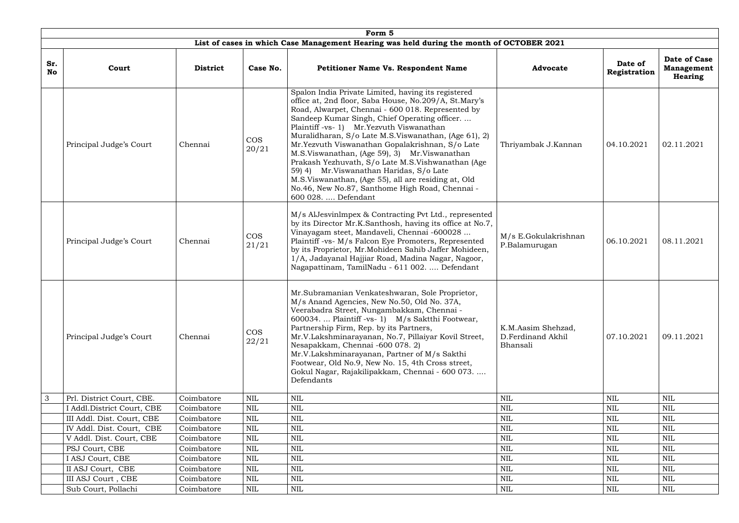|                  | Form 5                                                                                   |                 |                     |                                                                                                                                                                                                                                                                                                                                                                                                                                                                                                                                                                                                                                                              |                                                     |                         |                                                     |  |  |  |  |  |
|------------------|------------------------------------------------------------------------------------------|-----------------|---------------------|--------------------------------------------------------------------------------------------------------------------------------------------------------------------------------------------------------------------------------------------------------------------------------------------------------------------------------------------------------------------------------------------------------------------------------------------------------------------------------------------------------------------------------------------------------------------------------------------------------------------------------------------------------------|-----------------------------------------------------|-------------------------|-----------------------------------------------------|--|--|--|--|--|
|                  | List of cases in which Case Management Hearing was held during the month of OCTOBER 2021 |                 |                     |                                                                                                                                                                                                                                                                                                                                                                                                                                                                                                                                                                                                                                                              |                                                     |                         |                                                     |  |  |  |  |  |
| Sr.<br><b>No</b> | Court                                                                                    | <b>District</b> | Case No.            | <b>Petitioner Name Vs. Respondent Name</b>                                                                                                                                                                                                                                                                                                                                                                                                                                                                                                                                                                                                                   | <b>Advocate</b>                                     | Date of<br>Registration | Date of Case<br><b>Management</b><br><b>Hearing</b> |  |  |  |  |  |
|                  | Principal Judge's Court                                                                  | Chennai         | <b>COS</b><br>20/21 | Spalon India Private Limited, having its registered<br>office at, 2nd floor, Saba House, No.209/A, St.Mary's<br>Road, Alwarpet, Chennai - 600 018. Represented by<br>Sandeep Kumar Singh, Chief Operating officer<br>Plaintiff -vs- 1) Mr. Yezvuth Viswanathan<br>Muralidharan, S/o Late M.S.Viswanathan, (Age 61), 2)<br>Mr.Yezvuth Viswanathan Gopalakrishnan, S/o Late<br>M.S.Viswanathan, (Age 59), 3) Mr.Viswanathan<br>Prakash Yezhuvath, S/o Late M.S. Vishwanathan (Age<br>59) 4) Mr. Viswanathan Haridas, S/o Late<br>M.S.Viswanathan, (Age 55), all are residing at, Old<br>No.46, New No.87, Santhome High Road, Chennai -<br>600 028.  Defendant | Thriyambak J.Kannan                                 | 04.10.2021              | 02.11.2021                                          |  |  |  |  |  |
|                  | Principal Judge's Court                                                                  | Chennai         | <b>COS</b><br>21/21 | M/s AlJesvinImpex & Contracting Pvt Ltd., represented<br>by its Director Mr.K.Santhosh, having its office at No.7,<br>Vinayagam steet, Mandaveli, Chennai -600028<br>Plaintiff -vs- M/s Falcon Eye Promoters, Represented<br>by its Proprietor, Mr. Mohideen Sahib Jaffer Mohideen,<br>1/A, Jadayanal Hajjiar Road, Madina Nagar, Nagoor,<br>Nagapattinam, TamilNadu - 611 002.  Defendant                                                                                                                                                                                                                                                                   | M/s E.Gokulakrishnan<br>P.Balamurugan               | 06.10.2021              | 08.11.2021                                          |  |  |  |  |  |
|                  | Principal Judge's Court                                                                  | Chennai         | <b>COS</b><br>22/21 | Mr.Subramanian Venkateshwaran, Sole Proprietor,<br>M/s Anand Agencies, New No.50, Old No. 37A,<br>Veerabadra Street, Nungambakkam, Chennai -<br>600034.  Plaintiff -vs- 1) M/s Saktthi Footwear,<br>Partnership Firm, Rep. by its Partners,<br>Mr.V.Lakshminarayanan, No.7, Pillaiyar Kovil Street,<br>Nesapakkam, Chennai -600 078. 2)<br>Mr.V.Lakshminarayanan, Partner of M/s Sakthi<br>Footwear, Old No.9, New No. 15, 4th Cross street,<br>Gokul Nagar, Rajakilipakkam, Chennai - 600 073.<br>Defendants                                                                                                                                                | K.M.Aasim Shehzad,<br>D.Ferdinand Akhil<br>Bhansali | 07.10.2021              | 09.11.2021                                          |  |  |  |  |  |
| 3                | Prl. District Court, CBE.                                                                | Coimbatore      | NIL                 | <b>NIL</b>                                                                                                                                                                                                                                                                                                                                                                                                                                                                                                                                                                                                                                                   | NIL                                                 | <b>NIL</b>              | NIL                                                 |  |  |  |  |  |
|                  | I Addl. District Court, CBE                                                              | Coimbatore      | NIL                 | $\mbox{NIL}$                                                                                                                                                                                                                                                                                                                                                                                                                                                                                                                                                                                                                                                 | <b>NIL</b>                                          | <b>NIL</b>              | NIL                                                 |  |  |  |  |  |
|                  | III Addl. Dist. Court, CBE                                                               | Coimbatore      | <b>NIL</b>          | <b>NIL</b>                                                                                                                                                                                                                                                                                                                                                                                                                                                                                                                                                                                                                                                   | <b>NIL</b>                                          | <b>NIL</b>              | $\mbox{NIL}$                                        |  |  |  |  |  |
|                  | IV Addl. Dist. Court, CBE                                                                | Coimbatore      | <b>NIL</b>          | $\mbox{NIL}$                                                                                                                                                                                                                                                                                                                                                                                                                                                                                                                                                                                                                                                 | <b>NIL</b>                                          | $\mbox{NIL}$            | <b>NIL</b>                                          |  |  |  |  |  |
|                  | V Addl. Dist. Court, CBE                                                                 | Coimbatore      | NIL                 | <b>NIL</b>                                                                                                                                                                                                                                                                                                                                                                                                                                                                                                                                                                                                                                                   | NIL                                                 | NIL                     | <b>NIL</b>                                          |  |  |  |  |  |
|                  | PSJ Court, CBE                                                                           | Coimbatore      | <b>NIL</b>          | <b>NIL</b>                                                                                                                                                                                                                                                                                                                                                                                                                                                                                                                                                                                                                                                   | <b>NIL</b>                                          | <b>NIL</b>              | <b>NIL</b>                                          |  |  |  |  |  |
|                  | I ASJ Court, CBE                                                                         | Coimbatore      | <b>NIL</b>          | $\mbox{NIL}$                                                                                                                                                                                                                                                                                                                                                                                                                                                                                                                                                                                                                                                 | <b>NIL</b>                                          | $\mbox{NIL}$            | <b>NIL</b>                                          |  |  |  |  |  |
|                  | II ASJ Court, CBE                                                                        | Coimbatore      | NIL                 | <b>NIL</b>                                                                                                                                                                                                                                                                                                                                                                                                                                                                                                                                                                                                                                                   | NIL                                                 | <b>NIL</b>              | NIL                                                 |  |  |  |  |  |
|                  | III ASJ Court, CBE                                                                       | Coimbatore      | NIL                 | $\mbox{NIL}$                                                                                                                                                                                                                                                                                                                                                                                                                                                                                                                                                                                                                                                 | <b>NIL</b>                                          | <b>NIL</b>              | NIL                                                 |  |  |  |  |  |
|                  | Sub Court, Pollachi                                                                      | Coimbatore      | <b>NIL</b>          | $\mbox{NIL}$                                                                                                                                                                                                                                                                                                                                                                                                                                                                                                                                                                                                                                                 | <b>NIL</b>                                          | NIL                     | NIL                                                 |  |  |  |  |  |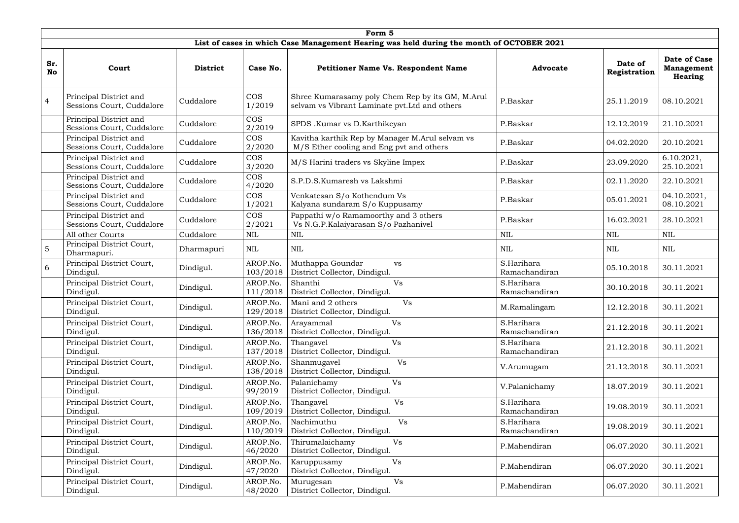|                  | Form 5                                                                                   |                 |                      |                                                                                                    |                             |                         |                                                     |  |  |  |  |  |
|------------------|------------------------------------------------------------------------------------------|-----------------|----------------------|----------------------------------------------------------------------------------------------------|-----------------------------|-------------------------|-----------------------------------------------------|--|--|--|--|--|
|                  | List of cases in which Case Management Hearing was held during the month of OCTOBER 2021 |                 |                      |                                                                                                    |                             |                         |                                                     |  |  |  |  |  |
| Sr.<br><b>No</b> | Court                                                                                    | <b>District</b> | Case No.             | <b>Petitioner Name Vs. Respondent Name</b>                                                         | <b>Advocate</b>             | Date of<br>Registration | Date of Case<br><b>Management</b><br><b>Hearing</b> |  |  |  |  |  |
| $\overline{4}$   | Principal District and<br>Sessions Court, Cuddalore                                      | Cuddalore       | <b>COS</b><br>1/2019 | Shree Kumarasamy poly Chem Rep by its GM, M.Arul<br>selvam vs Vibrant Laminate pvt. Ltd and others | P.Baskar                    | 25.11.2019              | 08.10.2021                                          |  |  |  |  |  |
|                  | Principal District and<br>Sessions Court, Cuddalore                                      | Cuddalore       | <b>COS</b><br>2/2019 | SPDS .Kumar vs D.Karthikeyan                                                                       | P.Baskar                    | 12.12.2019              | 21.10.2021                                          |  |  |  |  |  |
|                  | Principal District and<br>Sessions Court, Cuddalore                                      | Cuddalore       | <b>COS</b><br>2/2020 | Kavitha karthik Rep by Manager M.Arul selvam vs<br>M/S Ether cooling and Eng pvt and others        | P.Baskar                    | 04.02.2020              | 20.10.2021                                          |  |  |  |  |  |
|                  | Principal District and<br>Sessions Court, Cuddalore                                      | Cuddalore       | <b>COS</b><br>3/2020 | M/S Harini traders vs Skyline Impex                                                                | P.Baskar                    | 23.09.2020              | 6.10.2021,<br>25.10.2021                            |  |  |  |  |  |
|                  | Principal District and<br>Sessions Court, Cuddalore                                      | Cuddalore       | <b>COS</b><br>4/2020 | S.P.D.S.Kumaresh vs Lakshmi                                                                        | P.Baskar                    | 02.11.2020              | 22.10.2021                                          |  |  |  |  |  |
|                  | Principal District and<br>Sessions Court, Cuddalore                                      | Cuddalore       | <b>COS</b><br>1/2021 | Venkatesan S/o Kothendum Vs<br>Kalyana sundaram S/o Kuppusamy                                      | P.Baskar                    | 05.01.2021              | 04.10.2021,<br>08.10.2021                           |  |  |  |  |  |
|                  | Principal District and<br>Sessions Court, Cuddalore                                      | Cuddalore       | <b>COS</b><br>2/2021 | Pappathi w/o Ramamoorthy and 3 others<br>Vs N.G.P.Kalaiyarasan S/o Pazhanivel                      | P.Baskar                    | 16.02.2021              | 28.10.2021                                          |  |  |  |  |  |
|                  | All other Courts                                                                         | Cuddalore       | <b>NIL</b>           | <b>NIL</b>                                                                                         | <b>NIL</b>                  | <b>NIL</b>              | <b>NIL</b>                                          |  |  |  |  |  |
| 5                | Principal District Court,<br>Dharmapuri.                                                 | Dharmapuri      | <b>NIL</b>           | <b>NIL</b>                                                                                         | $\textsc{nil}$              | <b>NIL</b>              | <b>NIL</b>                                          |  |  |  |  |  |
| 6                | Principal District Court,<br>Dindigul.                                                   | Dindigul.       | AROP.No.<br>103/2018 | Muthappa Goundar<br><b>vs</b><br>District Collector, Dindigul.                                     | S.Harihara<br>Ramachandiran | 05.10.2018              | 30.11.2021                                          |  |  |  |  |  |
|                  | Principal District Court,<br>Dindigul.                                                   | Dindigul.       | AROP.No.<br>111/2018 | Shanthi<br>Vs<br>District Collector, Dindigul.                                                     | S.Harihara<br>Ramachandiran | 30.10.2018              | 30.11.2021                                          |  |  |  |  |  |
|                  | Principal District Court,<br>Dindigul.                                                   | Dindigul.       | AROP.No.<br>129/2018 | Mani and 2 others<br>Vs<br>District Collector, Dindigul.                                           | M.Ramalingam                | 12.12.2018              | 30.11.2021                                          |  |  |  |  |  |
|                  | Principal District Court,<br>Dindigul.                                                   | Dindigul.       | AROP.No.<br>136/2018 | Arayammal<br>Vs<br>District Collector, Dindigul.                                                   | S.Harihara<br>Ramachandiran | 21.12.2018              | 30.11.2021                                          |  |  |  |  |  |
|                  | Principal District Court,<br>Dindigul.                                                   | Dindigul.       | AROP.No.<br>137/2018 | Thangavel<br>Vs<br>District Collector, Dindigul.                                                   | S.Harihara<br>Ramachandiran | 21.12.2018              | 30.11.2021                                          |  |  |  |  |  |
|                  | Principal District Court,<br>Dindigul.                                                   | Dindigul.       | AROP.No.<br>138/2018 | Vs<br>Shanmugavel<br>District Collector, Dindigul.                                                 | V.Arumugam                  | 21.12.2018              | 30.11.2021                                          |  |  |  |  |  |
|                  | Principal District Court,<br>Dindigul.                                                   | Dindigul.       | AROP.No.<br>99/2019  | Palanichamy<br>Vs<br>District Collector, Dindigul.                                                 | V.Palanichamy               | 18.07.2019              | 30.11.2021                                          |  |  |  |  |  |
|                  | Principal District Court,<br>Dindigul.                                                   | Dindigul.       | AROP.No.<br>109/2019 | Thangavel<br>Vs<br>District Collector, Dindigul.                                                   | S.Harihara<br>Ramachandiran | 19.08.2019              | 30.11.2021                                          |  |  |  |  |  |
|                  | Principal District Court,<br>Dindigul.                                                   | Dindigul.       | AROP.No.<br>110/2019 | Nachimuthu<br>Vs<br>District Collector, Dindigul.                                                  | S.Harihara<br>Ramachandiran | 19.08.2019              | 30.11.2021                                          |  |  |  |  |  |
|                  | Principal District Court,<br>Dindigul.                                                   | Dindigul.       | AROP.No.<br>46/2020  | Thirumalaichamy<br>Vs<br>District Collector, Dindigul.                                             | P.Mahendiran                | 06.07.2020              | 30.11.2021                                          |  |  |  |  |  |
|                  | Principal District Court,<br>Dindigul.                                                   | Dindigul.       | AROP.No.<br>47/2020  | Vs<br>Karuppusamy<br>District Collector, Dindigul.                                                 | P.Mahendiran                | 06.07.2020              | 30.11.2021                                          |  |  |  |  |  |
|                  | Principal District Court,<br>Dindigul.                                                   | Dindigul.       | AROP.No.<br>48/2020  | Vs<br>Murugesan<br>District Collector, Dindigul.                                                   | P.Mahendiran                | 06.07.2020              | 30.11.2021                                          |  |  |  |  |  |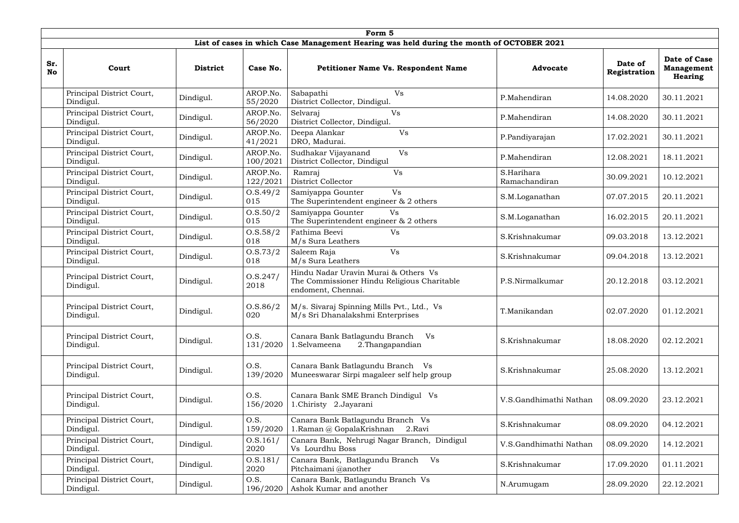|                  | Form 5                                 |                 |                      |                                                                                                           |                             |                         |                                                     |  |  |  |  |  |
|------------------|----------------------------------------|-----------------|----------------------|-----------------------------------------------------------------------------------------------------------|-----------------------------|-------------------------|-----------------------------------------------------|--|--|--|--|--|
|                  |                                        |                 |                      | List of cases in which Case Management Hearing was held during the month of OCTOBER 2021                  |                             |                         |                                                     |  |  |  |  |  |
| Sr.<br><b>No</b> | Court                                  | <b>District</b> | Case No.             | <b>Petitioner Name Vs. Respondent Name</b>                                                                | <b>Advocate</b>             | Date of<br>Registration | Date of Case<br><b>Management</b><br><b>Hearing</b> |  |  |  |  |  |
|                  | Principal District Court,<br>Dindigul. | Dindigul.       | AROP.No.<br>55/2020  | Sabapathi<br>Vs<br>District Collector, Dindigul.                                                          | P.Mahendiran                | 14.08.2020              | 30.11.2021                                          |  |  |  |  |  |
|                  | Principal District Court,<br>Dindigul. | Dindigul.       | AROP.No.<br>56/2020  | Selvaraj<br>Vs<br>District Collector, Dindigul.                                                           | P.Mahendiran                | 14.08.2020              | 30.11.2021                                          |  |  |  |  |  |
|                  | Principal District Court,<br>Dindigul. | Dindigul.       | AROP.No.<br>41/2021  | Vs<br>Deepa Alankar<br>DRO, Madurai.                                                                      | P.Pandiyarajan              | 17.02.2021              | 30.11.2021                                          |  |  |  |  |  |
|                  | Principal District Court,<br>Dindigul. | Dindigul.       | AROP.No.<br>100/2021 | Sudhakar Vijayanand<br>Vs<br>District Collector, Dindigul                                                 | P.Mahendiran                | 12.08.2021              | 18.11.2021                                          |  |  |  |  |  |
|                  | Principal District Court,<br>Dindigul. | Dindigul.       | AROP.No.<br>122/2021 | Vs<br>Ramraj<br>District Collector                                                                        | S.Harihara<br>Ramachandiran | 30.09.2021              | 10.12.2021                                          |  |  |  |  |  |
|                  | Principal District Court,<br>Dindigul. | Dindigul.       | 0.5.49/2<br>015      | <b>Vs</b><br>Samiyappa Gounter<br>The Superintendent engineer $\&$ 2 others                               | S.M.Loganathan              | 07.07.2015              | 20.11.2021                                          |  |  |  |  |  |
|                  | Principal District Court,<br>Dindigul. | Dindigul.       | 0. S. 50/2<br>015    | Samiyappa Gounter<br><b>Vs</b><br>The Superintendent engineer $\&$ 2 others                               | S.M.Loganathan              | 16.02.2015              | 20.11.2021                                          |  |  |  |  |  |
|                  | Principal District Court,<br>Dindigul. | Dindigul.       | 0. S. 58/2<br>018    | Fathima Beevi<br>Vs<br>M/s Sura Leathers                                                                  | S.Krishnakumar              | 09.03.2018              | 13.12.2021                                          |  |  |  |  |  |
|                  | Principal District Court,<br>Dindigul. | Dindigul.       | 0. S. 73/2<br>018    | Vs<br>Saleem Raja<br>M/s Sura Leathers                                                                    | S.Krishnakumar              | 09.04.2018              | 13.12.2021                                          |  |  |  |  |  |
|                  | Principal District Court,<br>Dindigul. | Dindigul.       | 0. S. 247/<br>2018   | Hindu Nadar Uravin Murai & Others Vs<br>The Commissioner Hindu Religious Charitable<br>endoment, Chennai. | P.S.Nirmalkumar             | 20.12.2018              | 03.12.2021                                          |  |  |  |  |  |
|                  | Principal District Court,<br>Dindigul. | Dindigul.       | 0. S. 86/2<br>020    | M/s. Sivaraj Spinning Mills Pvt., Ltd., Vs<br>M/s Sri Dhanalakshmi Enterprises                            | T.Manikandan                | 02.07.2020              | 01.12.2021                                          |  |  |  |  |  |
|                  | Principal District Court,<br>Dindigul. | Dindigul.       | O.S.<br>131/2020     | Canara Bank Batlagundu Branch Vs<br>1.Selvameena<br>2. Thangapandian                                      | S.Krishnakumar              | 18.08.2020              | 02.12.2021                                          |  |  |  |  |  |
|                  | Principal District Court,<br>Dindigul. | Dindigul.       | O.S.<br>139/2020     | Canara Bank Batlagundu Branch Vs<br>Muneeswarar Sirpi magaleer self help group                            | S.Krishnakumar              | 25.08.2020              | 13.12.2021                                          |  |  |  |  |  |
|                  | Principal District Court,<br>Dindigul. | Dindigul.       | O.S.<br>156/2020     | Canara Bank SME Branch Dindigul Vs<br>1.Chiristy 2.Jayarani                                               | V.S.Gandhimathi Nathan      | 08.09.2020              | 23.12.2021                                          |  |  |  |  |  |
|                  | Principal District Court,<br>Dindigul. | Dindigul.       | O.S.<br>159/2020     | Canara Bank Batlagundu Branch Vs<br>1.Raman @ GopalaKrishnan<br>2.Ravi                                    | S.Krishnakumar              | 08.09.2020              | 04.12.2021                                          |  |  |  |  |  |
|                  | Principal District Court,<br>Dindigul. | Dindigul.       | 0. S. 161/<br>2020   | Canara Bank, Nehrugi Nagar Branch, Dindigul<br>Vs Lourdhu Boss                                            | V.S.Gandhimathi Nathan      | 08.09.2020              | 14.12.2021                                          |  |  |  |  |  |
|                  | Principal District Court,<br>Dindigul. | Dindigul.       | 0. S. 181/<br>2020   | Canara Bank, Batlagundu Branch<br>Vs<br>Pitchaimani @another                                              | S.Krishnakumar              | 17.09.2020              | 01.11.2021                                          |  |  |  |  |  |
|                  | Principal District Court,<br>Dindigul. | Dindigul.       | O.S.<br>196/2020     | Canara Bank, Batlagundu Branch Vs<br>Ashok Kumar and another                                              | N.Arumugam                  | 28.09.2020              | 22.12.2021                                          |  |  |  |  |  |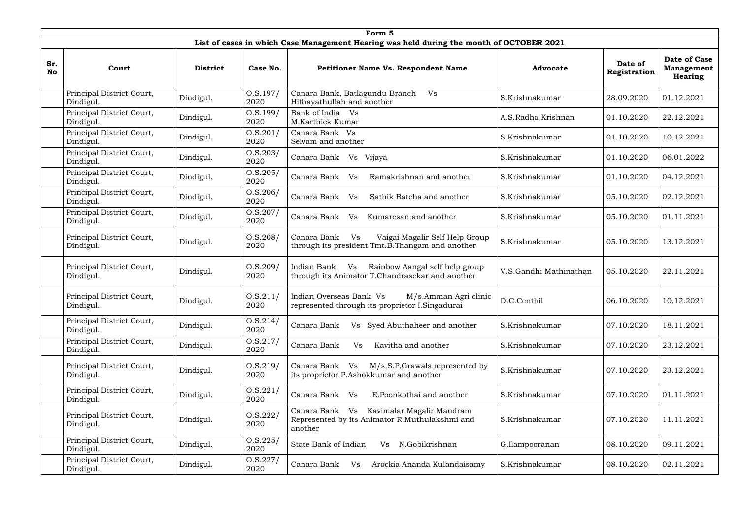|                  | Form 5                                 |                 |                    |                                                                                                          |                        |                         |                                              |  |  |  |  |  |
|------------------|----------------------------------------|-----------------|--------------------|----------------------------------------------------------------------------------------------------------|------------------------|-------------------------|----------------------------------------------|--|--|--|--|--|
|                  |                                        |                 |                    | List of cases in which Case Management Hearing was held during the month of OCTOBER 2021                 |                        |                         |                                              |  |  |  |  |  |
| Sr.<br><b>No</b> | Court                                  | <b>District</b> | Case No.           | <b>Petitioner Name Vs. Respondent Name</b>                                                               | <b>Advocate</b>        | Date of<br>Registration | Date of Case<br><b>Management</b><br>Hearing |  |  |  |  |  |
|                  | Principal District Court,<br>Dindigul. | Dindigul.       | 0. S. 197/<br>2020 | Canara Bank, Batlagundu Branch<br>Vs<br>Hithayathullah and another                                       | S.Krishnakumar         | 28.09.2020              | 01.12.2021                                   |  |  |  |  |  |
|                  | Principal District Court,<br>Dindigul. | Dindigul.       | 0. S. 199/<br>2020 | Bank of India Vs<br>M.Karthick Kumar                                                                     | A.S.Radha Krishnan     | 01.10.2020              | 22.12.2021                                   |  |  |  |  |  |
|                  | Principal District Court,<br>Dindigul. | Dindigul.       | 0.8.201/<br>2020   | Canara Bank Vs<br>Selvam and another                                                                     | S.Krishnakumar         | 01.10.2020              | 10.12.2021                                   |  |  |  |  |  |
|                  | Principal District Court,<br>Dindigul. | Dindigul.       | 0. S. 203/<br>2020 | Canara Bank Vs Vijaya                                                                                    | S.Krishnakumar         | 01.10.2020              | 06.01.2022                                   |  |  |  |  |  |
|                  | Principal District Court,<br>Dindigul. | Dindigul.       | 0.8.205/<br>2020   | Ramakrishnan and another<br>Canara Bank<br>Vs                                                            | S.Krishnakumar         | 01.10.2020              | 04.12.2021                                   |  |  |  |  |  |
|                  | Principal District Court,<br>Dindigul. | Dindigul.       | 0. S. 206/<br>2020 | Canara Bank<br>V <sub>S</sub><br>Sathik Batcha and another                                               | S.Krishnakumar         | 05.10.2020              | 02.12.2021                                   |  |  |  |  |  |
|                  | Principal District Court,<br>Dindigul. | Dindigul.       | 0. S. 207/<br>2020 | Canara Bank<br>V <sub>S</sub><br>Kumaresan and another                                                   | S.Krishnakumar         | 05.10.2020              | 01.11.2021                                   |  |  |  |  |  |
|                  | Principal District Court,<br>Dindigul. | Dindigul.       | O.S.208/<br>2020   | Canara Bank<br>Vs<br>Vaigai Magalir Self Help Group<br>through its president Tmt.B.Thangam and another   | S.Krishnakumar         | 05.10.2020              | 13.12.2021                                   |  |  |  |  |  |
|                  | Principal District Court,<br>Dindigul. | Dindigul.       | O.S.209/<br>2020   | Rainbow Aangal self help group<br>Indian Bank<br>Vs<br>through its Animator T.Chandrasekar and another   | V.S.Gandhi Mathinathan | 05.10.2020              | 22.11.2021                                   |  |  |  |  |  |
|                  | Principal District Court,<br>Dindigul. | Dindigul.       | 0.5.211/<br>2020   | Indian Overseas Bank Vs<br>M/s.Amman Agri clinic<br>represented through its proprietor I.Singadurai      | D.C.Centhil            | 06.10.2020              | 10.12.2021                                   |  |  |  |  |  |
|                  | Principal District Court,<br>Dindigul. | Dindigul.       | 0. S. 214/<br>2020 | Vs Syed Abuthaheer and another<br>Canara Bank                                                            | S.Krishnakumar         | 07.10.2020              | 18.11.2021                                   |  |  |  |  |  |
|                  | Principal District Court,<br>Dindigul. | Dindigul.       | 0. S. 217/<br>2020 | Kavitha and another<br>Canara Bank<br>Vs                                                                 | S.Krishnakumar         | 07.10.2020              | 23.12.2021                                   |  |  |  |  |  |
|                  | Principal District Court,<br>Dindigul. | Dindigul.       | 0. S. 219/<br>2020 | M/s.S.P.Grawals represented by<br>Canara Bank Vs<br>its proprietor P.Ashokkumar and another              | S.Krishnakumar         | 07.10.2020              | 23.12.2021                                   |  |  |  |  |  |
|                  | Principal District Court,<br>Dindigul. | Dindigul.       | 0.5.221/<br>2020   | E.Poonkothai and another<br>Canara Bank Vs                                                               | S.Krishnakumar         | 07.10.2020              | 01.11.2021                                   |  |  |  |  |  |
|                  | Principal District Court,<br>Dindigul. | Dindigul.       | 0. S. 222/<br>2020 | Kavimalar Magalir Mandram<br>Canara Bank Vs<br>Represented by its Animator R.Muthulakshmi and<br>another | S.Krishnakumar         | 07.10.2020              | 11.11.2021                                   |  |  |  |  |  |
|                  | Principal District Court,<br>Dindigul. | Dindigul.       | 0. S. 225/<br>2020 | State Bank of Indian<br>N.Gobikrishnan<br>Vs                                                             | G.Ilampooranan         | 08.10.2020              | 09.11.2021                                   |  |  |  |  |  |
|                  | Principal District Court,<br>Dindigul. | Dindigul.       | 0. S. 227/<br>2020 | Canara Bank<br>Arockia Ananda Kulandaisamy<br>Vs                                                         | S.Krishnakumar         | 08.10.2020              | 02.11.2021                                   |  |  |  |  |  |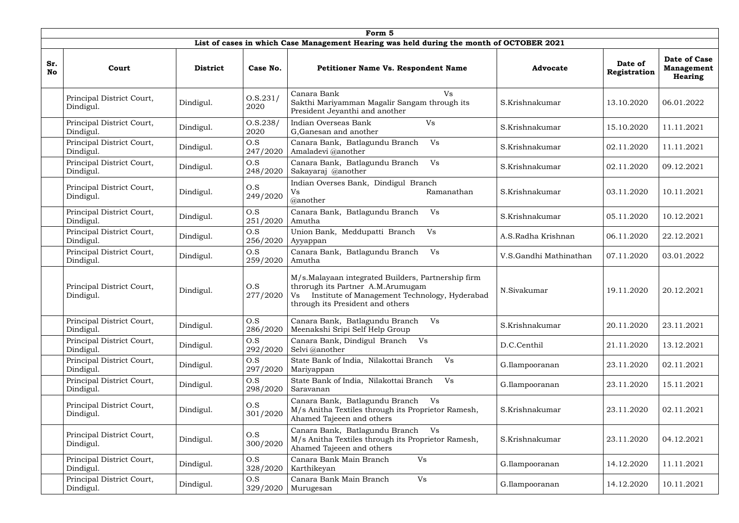|                  | Form 5                                                                                   |                 |                    |                                                                                                                                                                                    |                        |                         |                                                     |  |  |  |  |  |
|------------------|------------------------------------------------------------------------------------------|-----------------|--------------------|------------------------------------------------------------------------------------------------------------------------------------------------------------------------------------|------------------------|-------------------------|-----------------------------------------------------|--|--|--|--|--|
|                  | List of cases in which Case Management Hearing was held during the month of OCTOBER 2021 |                 |                    |                                                                                                                                                                                    |                        |                         |                                                     |  |  |  |  |  |
| Sr.<br><b>No</b> | Court                                                                                    | <b>District</b> | Case No.           | <b>Petitioner Name Vs. Respondent Name</b>                                                                                                                                         | <b>Advocate</b>        | Date of<br>Registration | Date of Case<br><b>Management</b><br><b>Hearing</b> |  |  |  |  |  |
|                  | Principal District Court,<br>Dindigul.                                                   | Dindigul.       | 0. S. 231/<br>2020 | Canara Bank<br><b>Vs</b><br>Sakthi Mariyamman Magalir Sangam through its<br>President Jeyanthi and another                                                                         | S.Krishnakumar         | 13.10.2020              | 06.01.2022                                          |  |  |  |  |  |
|                  | Principal District Court,<br>Dindigul.                                                   | Dindigul.       | 0. S. 238/<br>2020 | Indian Overseas Bank<br>Vs<br>G, Ganesan and another                                                                                                                               | S.Krishnakumar         | 15.10.2020              | 11.11.2021                                          |  |  |  |  |  |
|                  | Principal District Court,<br>Dindigul.                                                   | Dindigul.       | O.S<br>247/2020    | Canara Bank, Batlagundu Branch<br>Vs<br>Amaladevi @another                                                                                                                         | S.Krishnakumar         | 02.11.2020              | 11.11.2021                                          |  |  |  |  |  |
|                  | Principal District Court,<br>Dindigul.                                                   | Dindigul.       | O.S<br>248/2020    | Canara Bank, Batlagundu Branch<br>Vs<br>Sakayaraj @another                                                                                                                         | S.Krishnakumar         | 02.11.2020              | 09.12.2021                                          |  |  |  |  |  |
|                  | Principal District Court,<br>Dindigul.                                                   | Dindigul.       | O.S<br>249/2020    | Indian Overses Bank, Dindigul Branch<br>Ramanathan<br>Vs<br>@another                                                                                                               | S.Krishnakumar         | 03.11.2020              | 10.11.2021                                          |  |  |  |  |  |
|                  | Principal District Court,<br>Dindigul.                                                   | Dindigul.       | O.S<br>251/2020    | Canara Bank, Batlagundu Branch<br>Vs<br>Amutha                                                                                                                                     | S.Krishnakumar         | 05.11.2020              | 10.12.2021                                          |  |  |  |  |  |
|                  | Principal District Court,<br>Dindigul.                                                   | Dindigul.       | O.S<br>256/2020    | Union Bank, Meddupatti Branch<br>Vs<br>Ayyappan                                                                                                                                    | A.S.Radha Krishnan     | 06.11.2020              | 22.12.2021                                          |  |  |  |  |  |
|                  | Principal District Court,<br>Dindigul.                                                   | Dindigul.       | O.S<br>259/2020    | Canara Bank, Batlagundu Branch<br>Vs<br>Amutha                                                                                                                                     | V.S.Gandhi Mathinathan | 07.11.2020              | 03.01.2022                                          |  |  |  |  |  |
|                  | Principal District Court,<br>Dindigul.                                                   | Dindigul.       | O.S<br>277/2020    | M/s.Malayaan integrated Builders, Partnership firm<br>throrugh its Partner A.M.Arumugam<br>Institute of Management Technology, Hyderabad<br>Vs<br>through its President and others | N.Sivakumar            | 19.11.2020              | 20.12.2021                                          |  |  |  |  |  |
|                  | Principal District Court,<br>Dindigul.                                                   | Dindigul.       | O.S<br>286/2020    | Canara Bank, Batlagundu Branch<br>Vs<br>Meenakshi Sripi Self Help Group                                                                                                            | S.Krishnakumar         | 20.11.2020              | 23.11.2021                                          |  |  |  |  |  |
|                  | Principal District Court,<br>Dindigul.                                                   | Dindigul.       | O.S<br>292/2020    | Canara Bank, Dindigul Branch<br>Vs<br>Selvi @another                                                                                                                               | D.C.Centhil            | 21.11.2020              | 13.12.2021                                          |  |  |  |  |  |
|                  | Principal District Court,<br>Dindigul.                                                   | Dindigul.       | O.S<br>297/2020    | State Bank of India, Nilakottai Branch<br>Vs<br>Mariyappan                                                                                                                         | G.Ilampooranan         | 23.11.2020              | 02.11.2021                                          |  |  |  |  |  |
|                  | Principal District Court,<br>Dindigul.                                                   | Dindigul.       | O.S<br>298/2020    | State Bank of India, Nilakottai Branch<br>Vs<br>Saravanan                                                                                                                          | G.Ilampooranan         | 23.11.2020              | 15.11.2021                                          |  |  |  |  |  |
|                  | Principal District Court,<br>Dindigul.                                                   | Dindigul.       | O.S<br>301/2020    | Canara Bank, Batlagundu Branch<br>Vs<br>M/s Anitha Textiles through its Proprietor Ramesh,<br>Ahamed Tajeeen and others                                                            | S.Krishnakumar         | 23.11.2020              | 02.11.2021                                          |  |  |  |  |  |
|                  | Principal District Court,<br>Dindigul.                                                   | Dindigul.       | O.S<br>300/2020    | Canara Bank, Batlagundu Branch<br>Vs<br>M/s Anitha Textiles through its Proprietor Ramesh,<br>Ahamed Tajeeen and others                                                            | S.Krishnakumar         | 23.11.2020              | 04.12.2021                                          |  |  |  |  |  |
|                  | Principal District Court,<br>Dindigul.                                                   | Dindigul.       | O.S<br>328/2020    | Canara Bank Main Branch<br>Vs<br>Karthikeyan                                                                                                                                       | G.Ilampooranan         | 14.12.2020              | 11.11.2021                                          |  |  |  |  |  |
|                  | Principal District Court,<br>Dindigul.                                                   | Dindigul.       | O.S<br>329/2020    | Vs<br>Canara Bank Main Branch<br>Murugesan                                                                                                                                         | G.Ilampooranan         | 14.12.2020              | 10.11.2021                                          |  |  |  |  |  |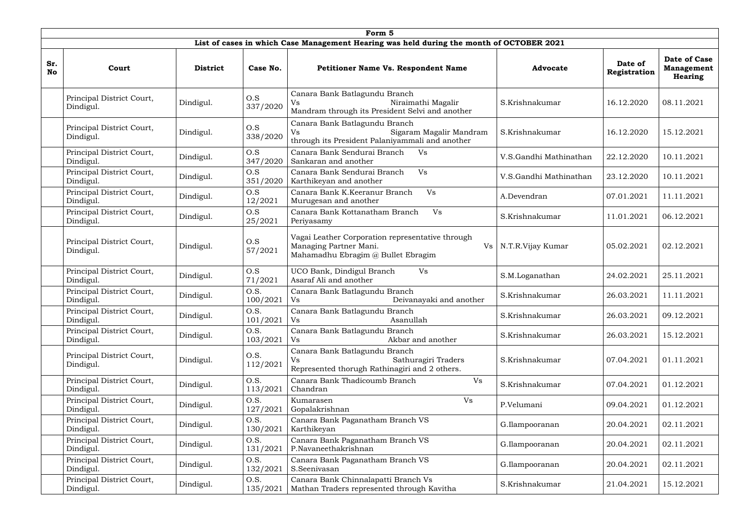|                  | Form 5                                 |                 |                  |                                                                                                                        |                        |                         |                                              |  |  |  |  |  |
|------------------|----------------------------------------|-----------------|------------------|------------------------------------------------------------------------------------------------------------------------|------------------------|-------------------------|----------------------------------------------|--|--|--|--|--|
|                  |                                        |                 |                  | List of cases in which Case Management Hearing was held during the month of OCTOBER 2021                               |                        |                         |                                              |  |  |  |  |  |
| Sr.<br><b>No</b> | Court                                  | <b>District</b> | Case No.         | Petitioner Name Vs. Respondent Name                                                                                    | <b>Advocate</b>        | Date of<br>Registration | Date of Case<br><b>Management</b><br>Hearing |  |  |  |  |  |
|                  | Principal District Court,<br>Dindigul. | Dindigul.       | O.S<br>337/2020  | Canara Bank Batlagundu Branch<br>Niraimathi Magalir<br>Vs<br>Mandram through its President Selvi and another           | S.Krishnakumar         | 16.12.2020              | 08.11.2021                                   |  |  |  |  |  |
|                  | Principal District Court,<br>Dindigul. | Dindigul.       | O.S<br>338/2020  | Canara Bank Batlagundu Branch<br>Sigaram Magalir Mandram<br>Vs<br>through its President Palaniyammali and another      | S.Krishnakumar         | 16.12.2020              | 15.12.2021                                   |  |  |  |  |  |
|                  | Principal District Court,<br>Dindigul. | Dindigul.       | O.S<br>347/2020  | Canara Bank Sendurai Branch<br>Vs<br>Sankaran and another                                                              | V.S.Gandhi Mathinathan | 22.12.2020              | 10.11.2021                                   |  |  |  |  |  |
|                  | Principal District Court,<br>Dindigul. | Dindigul.       | O.S<br>351/2020  | Canara Bank Sendurai Branch<br>Vs<br>Karthikeyan and another                                                           | V.S.Gandhi Mathinathan | 23.12.2020              | 10.11.2021                                   |  |  |  |  |  |
|                  | Principal District Court,<br>Dindigul. | Dindigul.       | O.S<br>12/2021   | Canara Bank K.Keeranur Branch<br>Vs<br>Murugesan and another                                                           | A.Devendran            | 07.01.2021              | 11.11.2021                                   |  |  |  |  |  |
|                  | Principal District Court,<br>Dindigul. | Dindigul.       | O.S<br>25/2021   | Canara Bank Kottanatham Branch<br>Vs<br>Periyasamy                                                                     | S.Krishnakumar         | 11.01.2021              | 06.12.2021                                   |  |  |  |  |  |
|                  | Principal District Court,<br>Dindigul. | Dindigul.       | O.S<br>57/2021   | Vagai Leather Corporation representative through<br>Managing Partner Mani.<br>Vs<br>Mahamadhu Ebragim @ Bullet Ebragim | N.T.R.Vijay Kumar      | 05.02.2021              | 02.12.2021                                   |  |  |  |  |  |
|                  | Principal District Court,<br>Dindigul. | Dindigul.       | O.S<br>71/2021   | UCO Bank, Dindigul Branch<br>Vs<br>Asaraf Ali and another                                                              | S.M.Loganathan         | 24.02.2021              | 25.11.2021                                   |  |  |  |  |  |
|                  | Principal District Court,<br>Dindigul. | Dindigul.       | O.S.<br>100/2021 | Canara Bank Batlagundu Branch<br>Deivanayaki and another<br>Vs                                                         | S.Krishnakumar         | 26.03.2021              | 11.11.2021                                   |  |  |  |  |  |
|                  | Principal District Court,<br>Dindigul. | Dindigul.       | O.S.<br>101/2021 | Canara Bank Batlagundu Branch<br>Asanullah<br>Vs                                                                       | S.Krishnakumar         | 26.03.2021              | 09.12.2021                                   |  |  |  |  |  |
|                  | Principal District Court,<br>Dindigul. | Dindigul.       | O.S.<br>103/2021 | Canara Bank Batlagundu Branch<br>Akbar and another<br>Vs                                                               | S.Krishnakumar         | 26.03.2021              | 15.12.2021                                   |  |  |  |  |  |
|                  | Principal District Court,<br>Dindigul. | Dindigul.       | O.S.<br>112/2021 | Canara Bank Batlagundu Branch<br>Sathuragiri Traders<br>Vs<br>Represented thorugh Rathinagiri and 2 others.            | S.Krishnakumar         | 07.04.2021              | 01.11.2021                                   |  |  |  |  |  |
|                  | Principal District Court,<br>Dindigul. | Dindigul.       | O.S.<br>113/2021 | Canara Bank Thadicoumb Branch<br><b>Vs</b><br>Chandran                                                                 | S.Krishnakumar         | 07.04.2021              | 01.12.2021                                   |  |  |  |  |  |
|                  | Principal District Court,<br>Dindigul. | Dindigul.       | O.S.<br>127/2021 | Vs<br>Kumarasen<br>Gopalakrishnan                                                                                      | P.Velumani             | 09.04.2021              | 01.12.2021                                   |  |  |  |  |  |
|                  | Principal District Court,<br>Dindigul. | Dindigul.       | O.S.<br>130/2021 | Canara Bank Paganatham Branch VS<br>Karthikeyan                                                                        | G.Ilampooranan         | 20.04.2021              | 02.11.2021                                   |  |  |  |  |  |
|                  | Principal District Court,<br>Dindigul. | Dindigul.       | O.S.<br>131/2021 | Canara Bank Paganatham Branch VS<br>P.Navaneethakrishnan                                                               | G.Ilampooranan         | 20.04.2021              | 02.11.2021                                   |  |  |  |  |  |
|                  | Principal District Court,<br>Dindigul. | Dindigul.       | O.S.<br>132/2021 | Canara Bank Paganatham Branch VS<br>S.Seenivasan                                                                       | G.Ilampooranan         | 20.04.2021              | 02.11.2021                                   |  |  |  |  |  |
|                  | Principal District Court,<br>Dindigul. | Dindigul.       | O.S.<br>135/2021 | Canara Bank Chinnalapatti Branch Vs<br>Mathan Traders represented through Kavitha                                      | S.Krishnakumar         | 21.04.2021              | 15.12.2021                                   |  |  |  |  |  |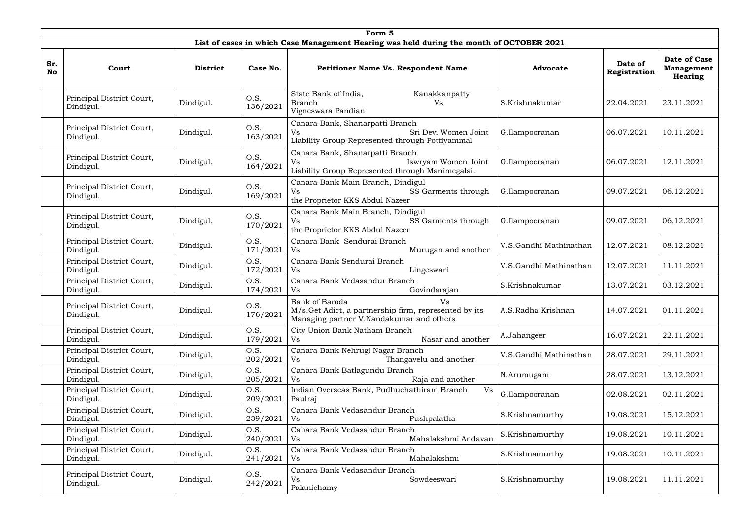|                  | Form 5                                 |                 |                  |                                                                                                                           |                        |                         |                                                     |  |  |  |  |
|------------------|----------------------------------------|-----------------|------------------|---------------------------------------------------------------------------------------------------------------------------|------------------------|-------------------------|-----------------------------------------------------|--|--|--|--|
|                  |                                        |                 |                  | List of cases in which Case Management Hearing was held during the month of OCTOBER 2021                                  |                        |                         |                                                     |  |  |  |  |
| Sr.<br><b>No</b> | Court                                  | <b>District</b> | Case No.         | <b>Petitioner Name Vs. Respondent Name</b>                                                                                | <b>Advocate</b>        | Date of<br>Registration | Date of Case<br><b>Management</b><br><b>Hearing</b> |  |  |  |  |
|                  | Principal District Court,<br>Dindigul. | Dindigul.       | O.S.<br>136/2021 | State Bank of India,<br>Kanakkanpatty<br><b>Branch</b><br>Vs<br>Vigneswara Pandian                                        | S.Krishnakumar         | 22.04.2021              | 23.11.2021                                          |  |  |  |  |
|                  | Principal District Court,<br>Dindigul. | Dindigul.       | O.S.<br>163/2021 | Canara Bank, Shanarpatti Branch<br>Sri Devi Women Joint<br>Vs<br>Liability Group Represented through Pottiyammal          | G.Ilampooranan         | 06.07.2021              | 10.11.2021                                          |  |  |  |  |
|                  | Principal District Court,<br>Dindigul. | Dindigul.       | O.S.<br>164/2021 | Canara Bank, Shanarpatti Branch<br>Iswryam Women Joint<br>Vs<br>Liability Group Represented through Manimegalai.          | G.Ilampooranan         | 06.07.2021              | 12.11.2021                                          |  |  |  |  |
|                  | Principal District Court,<br>Dindigul. | Dindigul.       | O.S.<br>169/2021 | Canara Bank Main Branch, Dindigul<br>SS Garments through<br>Vs<br>the Proprietor KKS Abdul Nazeer                         | G.Ilampooranan         | 09.07.2021              | 06.12.2021                                          |  |  |  |  |
|                  | Principal District Court,<br>Dindigul. | Dindigul.       | O.S.<br>170/2021 | Canara Bank Main Branch, Dindigul<br>SS Garments through<br>Vs<br>the Proprietor KKS Abdul Nazeer                         | G.Ilampooranan         | 09.07.2021              | 06.12.2021                                          |  |  |  |  |
|                  | Principal District Court,<br>Dindigul. | Dindigul.       | O.S.<br>171/2021 | Canara Bank Sendurai Branch<br>Murugan and another<br>Vs                                                                  | V.S.Gandhi Mathinathan | 12.07.2021              | 08.12.2021                                          |  |  |  |  |
|                  | Principal District Court,<br>Dindigul. | Dindigul.       | O.S.<br>172/2021 | Canara Bank Sendurai Branch<br>Vs<br>Lingeswari                                                                           | V.S.Gandhi Mathinathan | 12.07.2021              | 11.11.2021                                          |  |  |  |  |
|                  | Principal District Court,<br>Dindigul. | Dindigul.       | O.S.<br>174/2021 | Canara Bank Vedasandur Branch<br>Govindarajan<br>Vs                                                                       | S.Krishnakumar         | 13.07.2021              | 03.12.2021                                          |  |  |  |  |
|                  | Principal District Court,<br>Dindigul. | Dindigul.       | 0.S.<br>176/2021 | Bank of Baroda<br>Vs<br>M/s.Get Adict, a partnership firm, represented by its<br>Managing partner V.Nandakumar and others | A.S.Radha Krishnan     | 14.07.2021              | 01.11.2021                                          |  |  |  |  |
|                  | Principal District Court,<br>Dindigul. | Dindigul.       | O.S.<br>179/2021 | City Union Bank Natham Branch<br>Nasar and another<br>Vs                                                                  | A.Jahangeer            | 16.07.2021              | 22.11.2021                                          |  |  |  |  |
|                  | Principal District Court,<br>Dindigul. | Dindigul.       | O.S.<br>202/2021 | Canara Bank Nehrugi Nagar Branch<br>Thangavelu and another<br>Vs                                                          | V.S.Gandhi Mathinathan | 28.07.2021              | 29.11.2021                                          |  |  |  |  |
|                  | Principal District Court,<br>Dindigul. | Dindigul.       | O.S.<br>205/2021 | Canara Bank Batlagundu Branch<br>Vs<br>Raja and another                                                                   | N.Arumugam             | 28.07.2021              | 13.12.2021                                          |  |  |  |  |
|                  | Principal District Court,<br>Dindigul. | Dindigul.       | O.S.<br>209/2021 | Indian Overseas Bank, Pudhuchathiram Branch<br>Vs<br>Paulraj                                                              | G.Ilampooranan         | 02.08.2021              | 02.11.2021                                          |  |  |  |  |
|                  | Principal District Court,<br>Dindigul. | Dindigul.       | O.S.<br>239/2021 | Canara Bank Vedasandur Branch<br>Pushpalatha<br>Vs                                                                        | S.Krishnamurthy        | 19.08.2021              | 15.12.2021                                          |  |  |  |  |
|                  | Principal District Court,<br>Dindigul. | Dindigul.       | O.S.<br>240/2021 | Canara Bank Vedasandur Branch<br>Mahalakshmi Andavan<br>Vs                                                                | S.Krishnamurthy        | 19.08.2021              | 10.11.2021                                          |  |  |  |  |
|                  | Principal District Court,<br>Dindigul. | Dindigul.       | O.S.<br>241/2021 | Canara Bank Vedasandur Branch<br>Mahalakshmi<br>V <sub>S</sub>                                                            | S.Krishnamurthy        | 19.08.2021              | 10.11.2021                                          |  |  |  |  |
|                  | Principal District Court,<br>Dindigul. | Dindigul.       | O.S.<br>242/2021 | Canara Bank Vedasandur Branch<br>Sowdeeswari<br>Vs<br>Palanichamy                                                         | S.Krishnamurthy        | 19.08.2021              | 11.11.2021                                          |  |  |  |  |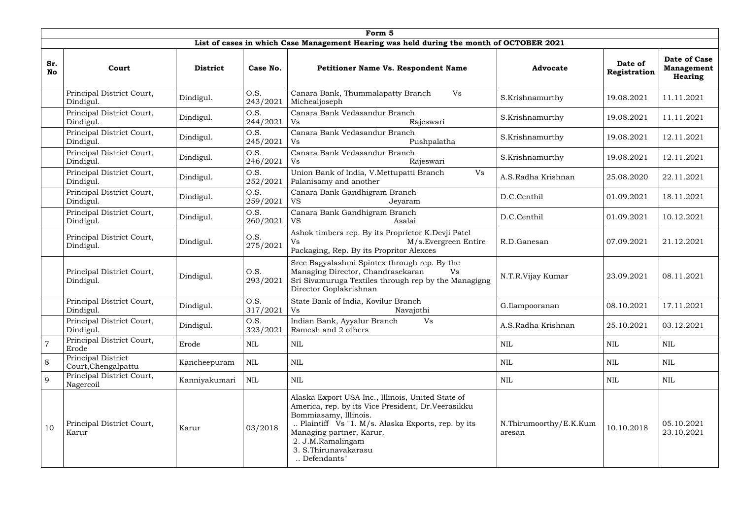|                  | Form 5                                    |                 |                  |                                                                                                                                                                                                                                                                                 |                                  |                         |                                                     |  |  |  |  |
|------------------|-------------------------------------------|-----------------|------------------|---------------------------------------------------------------------------------------------------------------------------------------------------------------------------------------------------------------------------------------------------------------------------------|----------------------------------|-------------------------|-----------------------------------------------------|--|--|--|--|
|                  |                                           |                 |                  | List of cases in which Case Management Hearing was held during the month of OCTOBER 2021                                                                                                                                                                                        |                                  |                         |                                                     |  |  |  |  |
| Sr.<br><b>No</b> | Court                                     | <b>District</b> | Case No.         | <b>Petitioner Name Vs. Respondent Name</b>                                                                                                                                                                                                                                      | <b>Advocate</b>                  | Date of<br>Registration | Date of Case<br><b>Management</b><br><b>Hearing</b> |  |  |  |  |
|                  | Principal District Court,<br>Dindigul.    | Dindigul.       | O.S.<br>243/2021 | Canara Bank, Thummalapatty Branch<br>Vs<br>Michealjoseph                                                                                                                                                                                                                        | S.Krishnamurthy                  | 19.08.2021              | 11.11.2021                                          |  |  |  |  |
|                  | Principal District Court,<br>Dindigul.    | Dindigul.       | O.S.<br>244/2021 | Canara Bank Vedasandur Branch<br>Rajeswari<br>Vs                                                                                                                                                                                                                                | S.Krishnamurthy                  | 19.08.2021              | 11.11.2021                                          |  |  |  |  |
|                  | Principal District Court,<br>Dindigul.    | Dindigul.       | O.S.<br>245/2021 | Canara Bank Vedasandur Branch<br>Pushpalatha<br>Vs                                                                                                                                                                                                                              | S.Krishnamurthy                  | 19.08.2021              | 12.11.2021                                          |  |  |  |  |
|                  | Principal District Court,<br>Dindigul.    | Dindigul.       | O.S.<br>246/2021 | Canara Bank Vedasandur Branch<br>Rajeswari<br>Vs                                                                                                                                                                                                                                | S.Krishnamurthy                  | 19.08.2021              | 12.11.2021                                          |  |  |  |  |
|                  | Principal District Court,<br>Dindigul.    | Dindigul.       | O.S.<br>252/2021 | Union Bank of India, V. Mettupatti Branch<br>Vs<br>Palanisamy and another                                                                                                                                                                                                       | A.S.Radha Krishnan               | 25.08.2020              | 22.11.2021                                          |  |  |  |  |
|                  | Principal District Court,<br>Dindigul.    | Dindigul.       | O.S.<br>259/2021 | Canara Bank Gandhigram Branch<br><b>VS</b><br>Jeyaram                                                                                                                                                                                                                           | D.C.Centhil                      | 01.09.2021              | 18.11.2021                                          |  |  |  |  |
|                  | Principal District Court,<br>Dindigul.    | Dindigul.       | O.S.<br>260/2021 | Canara Bank Gandhigram Branch<br>Asalai<br><b>VS</b>                                                                                                                                                                                                                            | D.C.Centhil                      | 01.09.2021              | 10.12.2021                                          |  |  |  |  |
|                  | Principal District Court,<br>Dindigul.    | Dindigul.       | O.S.<br>275/2021 | Ashok timbers rep. By its Proprietor K.Devji Patel<br>M/s.Evergreen Entire<br>Vs<br>Packaging, Rep. By its Propritor Alexces                                                                                                                                                    | R.D.Ganesan                      | 07.09.2021              | 21.12.2021                                          |  |  |  |  |
|                  | Principal District Court,<br>Dindigul.    | Dindigul.       | O.S.<br>293/2021 | Sree Bagyalashmi Spintex through rep. By the<br>Managing Director, Chandrasekaran<br>Vs<br>Sri Sivamuruga Textiles through rep by the Managigng<br>Director Goplakrishnan                                                                                                       | N.T.R.Vijay Kumar                | 23.09.2021              | 08.11.2021                                          |  |  |  |  |
|                  | Principal District Court,<br>Dindigul.    | Dindigul.       | O.S.<br>317/2021 | State Bank of India, Kovilur Branch<br>Vs<br>Navajothi                                                                                                                                                                                                                          | G.Ilampooranan                   | 08.10.2021              | 17.11.2021                                          |  |  |  |  |
|                  | Principal District Court,<br>Dindigul.    | Dindigul.       | O.S.<br>323/2021 | Vs<br>Indian Bank, Ayyalur Branch<br>Ramesh and 2 others                                                                                                                                                                                                                        | A.S.Radha Krishnan               | 25.10.2021              | 03.12.2021                                          |  |  |  |  |
|                  | Principal District Court,<br>Erode        | Erode           | <b>NIL</b>       | $\mbox{NIL}$                                                                                                                                                                                                                                                                    | NIL                              | <b>NIL</b>              | NIL                                                 |  |  |  |  |
| 8                | Principal District<br>Court, Chengalpattu | Kancheepuram    | NIL              | $\mbox{NIL}$                                                                                                                                                                                                                                                                    | <b>NIL</b>                       | <b>NIL</b>              | <b>NIL</b>                                          |  |  |  |  |
| 9                | Principal District Court,<br>Nagercoil    | Kanniyakumari   | NIL              | $\mbox{NIL}$                                                                                                                                                                                                                                                                    | NIL                              | NIL                     | <b>NIL</b>                                          |  |  |  |  |
| 10               | Principal District Court,<br>Karur        | Karur           | 03/2018          | Alaska Export USA Inc., Illinois, United State of<br>America, rep. by its Vice President, Dr. Veerasikku<br>Bommiasamy, Illinois.<br>Plaintiff Vs "1. M/s. Alaska Exports, rep. by its<br>Managing partner, Karur.<br>2. J.M.Ramalingam<br>3. S. Thirunavakarasu<br>Defendants" | N.Thirumoorthy/E.K.Kum<br>aresan | 10.10.2018              | 05.10.2021<br>23.10.2021                            |  |  |  |  |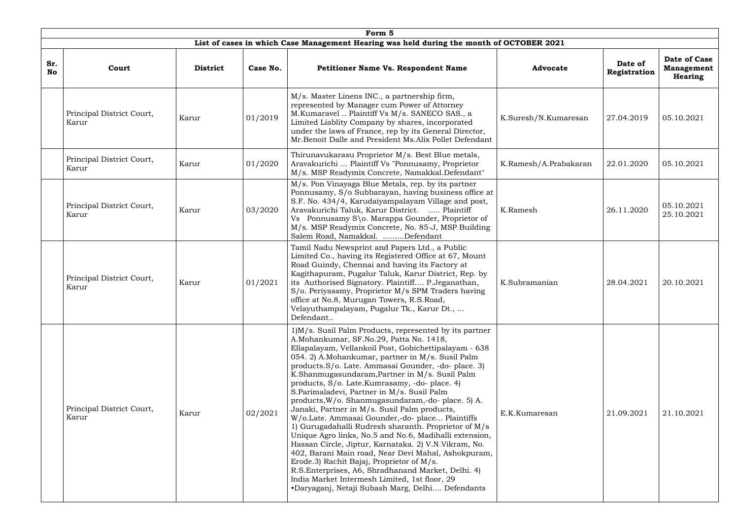|                  | Form 5                             |                 |          |                                                                                                                                                                                                                                                                                                                                                                                                                                                                                                                                                                                                                                                                                                                                                                                                                                                                                                                                                                                                                          |                       |                         |                                              |  |  |  |  |
|------------------|------------------------------------|-----------------|----------|--------------------------------------------------------------------------------------------------------------------------------------------------------------------------------------------------------------------------------------------------------------------------------------------------------------------------------------------------------------------------------------------------------------------------------------------------------------------------------------------------------------------------------------------------------------------------------------------------------------------------------------------------------------------------------------------------------------------------------------------------------------------------------------------------------------------------------------------------------------------------------------------------------------------------------------------------------------------------------------------------------------------------|-----------------------|-------------------------|----------------------------------------------|--|--|--|--|
|                  |                                    |                 |          | List of cases in which Case Management Hearing was held during the month of OCTOBER 2021                                                                                                                                                                                                                                                                                                                                                                                                                                                                                                                                                                                                                                                                                                                                                                                                                                                                                                                                 |                       |                         |                                              |  |  |  |  |
| Sr.<br><b>No</b> | Court                              | <b>District</b> | Case No. | <b>Petitioner Name Vs. Respondent Name</b>                                                                                                                                                                                                                                                                                                                                                                                                                                                                                                                                                                                                                                                                                                                                                                                                                                                                                                                                                                               | <b>Advocate</b>       | Date of<br>Registration | Date of Case<br><b>Management</b><br>Hearing |  |  |  |  |
|                  | Principal District Court,<br>Karur | Karur           | 01/2019  | M/s. Master Linens INC., a partnership firm,<br>represented by Manager cum Power of Attorney<br>M.Kumaravel  Plaintiff Vs M/s. SANECO SAS., a<br>Limited Liablity Company by shares, incorporated<br>under the laws of France, rep by its General Director,<br>Mr.Benoit Dalle and President Ms.Alix Pollet Defendant                                                                                                                                                                                                                                                                                                                                                                                                                                                                                                                                                                                                                                                                                                    | K.Suresh/N.Kumaresan  | 27.04.2019              | 05.10.2021                                   |  |  |  |  |
|                  | Principal District Court,<br>Karur | Karur           | 01/2020  | Thirunavukarasu Proprietor M/s. Best Blue metals,<br>Aravakurichi  Plaintiff Vs "Ponnusamy, Proprietor<br>M/s. MSP Readymix Concrete, Namakkal.Defendant"                                                                                                                                                                                                                                                                                                                                                                                                                                                                                                                                                                                                                                                                                                                                                                                                                                                                | K.Ramesh/A.Prabakaran | 22.01.2020              | 05.10.2021                                   |  |  |  |  |
|                  | Principal District Court,<br>Karur | Karur           | 03/2020  | M/s. Pon Vinayaga Blue Metals, rep. by its partner<br>Ponnusamy, S/o Subbarayan, having business office at<br>S.F. No. 434/4, Karudaiyampalayam Village and post,<br>Aravakurichi Taluk, Karur District.  Plaintiff<br>Vs Ponnusamy S\o. Marappa Gounder, Proprietor of<br>M/s. MSP Readymix Concrete, No. 85-J, MSP Building<br>Salem Road, Namakkal. Defendant                                                                                                                                                                                                                                                                                                                                                                                                                                                                                                                                                                                                                                                         | K.Ramesh              | 26.11.2020              | 05.10.2021<br>25.10.2021                     |  |  |  |  |
|                  | Principal District Court,<br>Karur | Karur           | 01/2021  | Tamil Nadu Newsprint and Papers Ltd., a Public<br>Limited Co., having its Registered Office at 67, Mount<br>Road Guindy, Chennai and having its Factory at<br>Kagithapuram, Pugalur Taluk, Karur District, Rep. by<br>its Authorised Signatory. Plaintiff P.Jeganathan,<br>S/o. Periyasamy, Proprietor M/s SPM Traders having<br>office at No.8, Murugan Towers, R.S.Road,<br>Velayuthampalayam, Pugalur Tk., Karur Dt.,<br>Defendant                                                                                                                                                                                                                                                                                                                                                                                                                                                                                                                                                                                    | K.Subramanian         | 28.04.2021              | 20.10.2021                                   |  |  |  |  |
|                  | Principal District Court,<br>Karur | Karur           | 02/2021  | 1) M/s. Susil Palm Products, represented by its partner<br>A.Mohankumar, SF.No.29, Patta No. 1418,<br>Ellapalayam, Vellankoil Post, Gobichettipalayam - 638<br>054. 2) A.Mohankumar, partner in M/s. Susil Palm<br>products. S/o. Late. Ammasai Gounder, -do- place. 3)<br>K.Shanmugasundaram, Partner in M/s. Susil Palm<br>products, S/o. Late.Kumrasamy, -do- place. 4)<br>S.Parimaladevi, Partner in M/s. Susil Palm<br>products, W/o. Shanmugasundaram,-do-place. 5) A.<br>Janaki, Partner in M/s. Susil Palm products,<br>W/o.Late. Ammasai Gounder,-do- place Plaintiffs<br>1) Gurugadahalli Rudresh sharanth. Proprietor of M/s<br>Unique Agro links, No.5 and No.6, Madihalli extension,<br>Hassan Circle, Jiptur, Karnataka. 2) V.N.Vikram, No.<br>402, Barani Main road, Near Devi Mahal, Ashokpuram,<br>Erode.3) Rachit Bajaj, Proprietor of M/s.<br>R.S.Enterprises, A6, Shradhanand Market, Delhi. 4)<br>India Market Intermesh Limited, 1st floor, 29<br>•Daryaganj, Netaji Subash Marg, Delhi Defendants | E.K.Kumaresan         | 21.09.2021              | 21.10.2021                                   |  |  |  |  |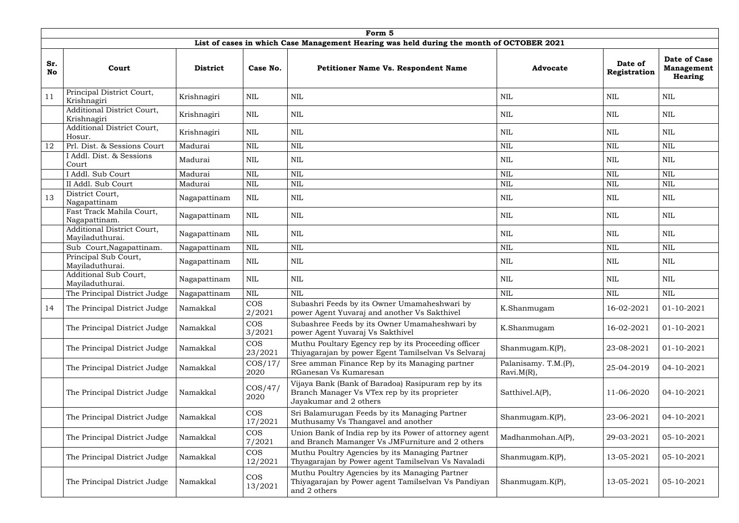|                  | Form 5                                        |                 |                       |                                                                                                                              |                                       |                         |                                                     |  |  |  |  |
|------------------|-----------------------------------------------|-----------------|-----------------------|------------------------------------------------------------------------------------------------------------------------------|---------------------------------------|-------------------------|-----------------------------------------------------|--|--|--|--|
|                  |                                               |                 |                       | List of cases in which Case Management Hearing was held during the month of OCTOBER 2021                                     |                                       |                         |                                                     |  |  |  |  |
| Sr.<br><b>No</b> | Court                                         | <b>District</b> | Case No.              | <b>Petitioner Name Vs. Respondent Name</b>                                                                                   | <b>Advocate</b>                       | Date of<br>Registration | Date of Case<br><b>Management</b><br><b>Hearing</b> |  |  |  |  |
| 11               | Principal District Court,<br>Krishnagiri      | Krishnagiri     | NIL                   | <b>NIL</b>                                                                                                                   | NIL                                   | NIL                     | NIL                                                 |  |  |  |  |
|                  | Additional District Court,<br>Krishnagiri     | Krishnagiri     | $\mbox{NIL}$          | $\mbox{NIL}$                                                                                                                 | <b>NIL</b>                            | <b>NIL</b>              | NIL                                                 |  |  |  |  |
|                  | Additional District Court,<br>Hosur.          | Krishnagiri     | <b>NIL</b>            | $\mbox{NIL}$                                                                                                                 | <b>NIL</b>                            | <b>NIL</b>              | <b>NIL</b>                                          |  |  |  |  |
| 12               | Prl. Dist. & Sessions Court                   | Madurai         | $\mbox{NIL}$          | $\text{NIL}$                                                                                                                 | <b>NIL</b>                            | <b>NIL</b>              | $\mbox{NIL}$                                        |  |  |  |  |
|                  | I Addl. Dist. & Sessions<br>Court             | Madurai         | <b>NIL</b>            | $\mbox{NIL}$                                                                                                                 | NIL                                   | NIL                     | NIL                                                 |  |  |  |  |
|                  | I Addl. Sub Court                             | Madurai         | <b>NIL</b>            | $\mbox{NIL}$                                                                                                                 | <b>NIL</b>                            | <b>NIL</b>              | <b>NIL</b>                                          |  |  |  |  |
|                  | II Addl. Sub Court                            | Madurai         | <b>NIL</b>            | $\mbox{NIL}$                                                                                                                 | <b>NIL</b>                            | <b>NIL</b>              | $\text{NIL}$                                        |  |  |  |  |
| 13               | District Court,<br>Nagapattinam               | Nagapattinam    | $\mbox{NIL}$          | $\mbox{NIL}$                                                                                                                 | NIL                                   | NIL                     | <b>NIL</b>                                          |  |  |  |  |
|                  | Fast Track Mahila Court,<br>Nagapattinam.     | Nagapattinam    | <b>NIL</b>            | $\mbox{NIL}$                                                                                                                 | NIL                                   | NIL                     | NIL                                                 |  |  |  |  |
|                  | Additional District Court,<br>Maviladuthurai. | Nagapattinam    | <b>NIL</b>            | $\mbox{NIL}$                                                                                                                 | <b>NIL</b>                            | <b>NIL</b>              | NIL                                                 |  |  |  |  |
|                  | Sub Court, Nagapattinam.                      | Nagapattinam    | <b>NIL</b>            | $\mbox{NIL}$                                                                                                                 | <b>NIL</b>                            | <b>NIL</b>              | $\mbox{NIL}$                                        |  |  |  |  |
|                  | Principal Sub Court,<br>Mayiladuthurai.       | Nagapattinam    | $\mbox{NIL}$          | $\mbox{NIL}$                                                                                                                 | <b>NIL</b>                            | <b>NIL</b>              | <b>NIL</b>                                          |  |  |  |  |
|                  | Additional Sub Court,<br>Mayiladuthurai.      | Nagapattinam    | <b>NIL</b>            | $\mbox{NIL}$                                                                                                                 | <b>NIL</b>                            | <b>NIL</b>              | <b>NIL</b>                                          |  |  |  |  |
|                  | The Principal District Judge                  | Nagapattinam    | <b>NIL</b>            | <b>NIL</b>                                                                                                                   | <b>NIL</b>                            | <b>NIL</b>              | <b>NIL</b>                                          |  |  |  |  |
| 14               | The Principal District Judge                  | Namakkal        | <b>COS</b><br>2/2021  | Subashri Feeds by its Owner Umamaheshwari by<br>power Agent Yuvaraj and another Vs Sakthivel                                 | K.Shanmugam                           | 16-02-2021              | 01-10-2021                                          |  |  |  |  |
|                  | The Principal District Judge                  | Namakkal        | <b>COS</b><br>3/2021  | Subashree Feeds by its Owner Umamaheshwari by<br>power Agent Yuvaraj Vs Sakthivel                                            | K.Shanmugam                           | 16-02-2021              | $01 - 10 - 2021$                                    |  |  |  |  |
|                  | The Principal District Judge                  | Namakkal        | <b>COS</b><br>23/2021 | Muthu Poultary Egency rep by its Proceeding officer<br>Thiyagarajan by power Egent Tamilselvan Vs Selvaraj                   | Shanmugam.K(P),                       | 23-08-2021              | 01-10-2021                                          |  |  |  |  |
|                  | The Principal District Judge                  | Namakkal        | $\cos/17/$<br>2020    | Sree amman Finance Rep by its Managing partner<br>RGanesan Vs Kumaresan                                                      | Palanisamy. T.M.(P),<br>$Ravi.M(R)$ , | 25-04-2019              | 04-10-2021                                          |  |  |  |  |
|                  | The Principal District Judge                  | Namakkal        | $\cos/47/$<br>2020    | Vijaya Bank (Bank of Baradoa) Rasipuram rep by its<br>Branch Manager Vs VTex rep by its proprieter<br>Jayakumar and 2 others | Satthivel.A(P),                       | 11-06-2020              | 04-10-2021                                          |  |  |  |  |
|                  | The Principal District Judge                  | Namakkal        | <b>COS</b><br>17/2021 | Sri Balamurugan Feeds by its Managing Partner<br>Muthusamy Vs Thangavel and another                                          | Shanmugam.K(P),                       | 23-06-2021              | 04-10-2021                                          |  |  |  |  |
|                  | The Principal District Judge                  | Namakkal        | <b>COS</b><br>7/2021  | Union Bank of India rep by its Power of attorney agent<br>and Branch Mamanger Vs JMFurniture and 2 others                    | Madhanmohan.A(P),                     | 29-03-2021              | 05-10-2021                                          |  |  |  |  |
|                  | The Principal District Judge                  | Namakkal        | <b>COS</b><br>12/2021 | Muthu Poultry Agencies by its Managing Partner<br>Thyagarajan by Power agent Tamilselvan Vs Navaladi                         | Shanmugam.K(P),                       | 13-05-2021              | 05-10-2021                                          |  |  |  |  |
|                  | The Principal District Judge                  | Namakkal        | COS<br>13/2021        | Muthu Poultry Agencies by its Managing Partner<br>Thiyagarajan by Power agent Tamilselvan Vs Pandiyan<br>and 2 others        | Shanmugam.K(P),                       | 13-05-2021              | 05-10-2021                                          |  |  |  |  |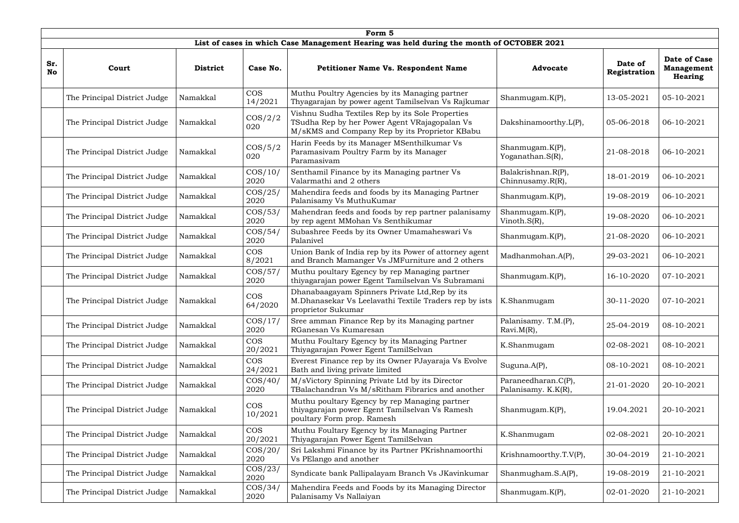|                  | Form 5                       |                 |                       |                                                                                                                                                     |                                            |                         |                                                            |  |  |  |  |
|------------------|------------------------------|-----------------|-----------------------|-----------------------------------------------------------------------------------------------------------------------------------------------------|--------------------------------------------|-------------------------|------------------------------------------------------------|--|--|--|--|
|                  |                              |                 |                       | List of cases in which Case Management Hearing was held during the month of OCTOBER 2021                                                            |                                            |                         |                                                            |  |  |  |  |
| Sr.<br><b>No</b> | Court                        | <b>District</b> | Case No.              | Petitioner Name Vs. Respondent Name                                                                                                                 | <b>Advocate</b>                            | Date of<br>Registration | <b>Date of Case</b><br><b>Management</b><br><b>Hearing</b> |  |  |  |  |
|                  | The Principal District Judge | Namakkal        | <b>COS</b><br>14/2021 | Muthu Poultry Agencies by its Managing partner<br>Thyagarajan by power agent Tamilselvan Vs Rajkumar                                                | Shanmugam.K(P),                            | 13-05-2021              | 05-10-2021                                                 |  |  |  |  |
|                  | The Principal District Judge | Namakkal        | $\cos/2/2$<br>020     | Vishnu Sudha Textiles Rep by its Sole Properties<br>TSudha Rep by her Power Agent VRajagopalan Vs<br>M/sKMS and Company Rep by its Proprietor KBabu | Dakshinamoorthy.L(P),                      | 05-06-2018              | 06-10-2021                                                 |  |  |  |  |
|                  | The Principal District Judge | Namakkal        | $\cos/5/2$<br>020     | Harin Feeds by its Manager MSenthilkumar Vs<br>Paramasivam Poultry Farm by its Manager<br>Paramasivam                                               | Shanmugam.K(P),<br>Yoganathan.S(R),        | 21-08-2018              | 06-10-2021                                                 |  |  |  |  |
|                  | The Principal District Judge | Namakkal        | $\cos/10/$<br>2020    | Senthamil Finance by its Managing partner Vs<br>Valarmathi and 2 others                                                                             | Balakrishnan.R(P),<br>Chinnusamy.R(R),     | 18-01-2019              | 06-10-2021                                                 |  |  |  |  |
|                  | The Principal District Judge | Namakkal        | $\cos/25/$<br>2020    | Mahendira feeds and foods by its Managing Partner<br>Palanisamy Vs MuthuKumar                                                                       | Shanmugam.K(P),                            | 19-08-2019              | 06-10-2021                                                 |  |  |  |  |
|                  | The Principal District Judge | Namakkal        | $\cos/53/$<br>2020    | Mahendran feeds and foods by rep partner palanisamy<br>by rep agent MMohan Vs Senthikumar                                                           | Shanmugam.K(P),<br>Vinoth.S(R),            | 19-08-2020              | 06-10-2021                                                 |  |  |  |  |
|                  | The Principal District Judge | Namakkal        | $\cos/54/$<br>2020    | Subashree Feeds by its Owner Umamaheswari Vs<br>Palanivel                                                                                           | Shanmugam.K(P),                            | 21-08-2020              | 06-10-2021                                                 |  |  |  |  |
|                  | The Principal District Judge | Namakkal        | <b>COS</b><br>8/2021  | Union Bank of India rep by its Power of attorney agent<br>and Branch Mamanger Vs JMFurniture and 2 others                                           | Madhanmohan.A(P),                          | 29-03-2021              | 06-10-2021                                                 |  |  |  |  |
|                  | The Principal District Judge | Namakkal        | $\cos/57/$<br>2020    | Muthu poultary Egency by rep Managing partner<br>thiyagarajan power Egent Tamilselvan Vs Subramani                                                  | Shanmugam.K(P),                            | 16-10-2020              | 07-10-2021                                                 |  |  |  |  |
|                  | The Principal District Judge | Namakkal        | <b>COS</b><br>64/2020 | Dhanabaagayam Spinners Private Ltd, Rep by its<br>M.Dhanasekar Vs Leelavathi Textile Traders rep by ists<br>proprietor Sukumar                      | K.Shanmugam                                | 30-11-2020              | 07-10-2021                                                 |  |  |  |  |
|                  | The Principal District Judge | Namakkal        | $\cos/17/$<br>2020    | Sree amman Finance Rep by its Managing partner<br>RGanesan Vs Kumaresan                                                                             | Palanisamy. T.M.(P),<br>$Ravi.M(R)$ ,      | 25-04-2019              | 08-10-2021                                                 |  |  |  |  |
|                  | The Principal District Judge | Namakkal        | <b>COS</b><br>20/2021 | Muthu Foultary Egency by its Managing Partner<br>Thiyagarajan Power Egent TamilSelvan                                                               | K.Shanmugam                                | 02-08-2021              | 08-10-2021                                                 |  |  |  |  |
|                  | The Principal District Judge | Namakkal        | <b>COS</b><br>24/2021 | Everest Finance rep by its Owner PJayaraja Vs Evolve<br>Bath and living private limited                                                             | Suguna.A(P),                               | 08-10-2021              | 08-10-2021                                                 |  |  |  |  |
|                  | The Principal District Judge | Namakkal        | $\cos/40/$<br>2020    | M/sVictory Spinning Private Ltd by its Director<br>TBalachandran Vs M/sRitham Fibrarics and another                                                 | Paraneedharan.C(P),<br>Palanisamy. K.K(R), | 21-01-2020              | 20-10-2021                                                 |  |  |  |  |
|                  | The Principal District Judge | Namakkal        | <b>COS</b><br>10/2021 | Muthu poultary Egency by rep Managing partner<br>thiyagarajan power Egent Tamilselvan Vs Ramesh<br>poultary Form prop. Ramesh                       | Shanmugam.K(P),                            | 19.04.2021              | 20-10-2021                                                 |  |  |  |  |
|                  | The Principal District Judge | Namakkal        | <b>COS</b><br>20/2021 | Muthu Foultary Egency by its Managing Partner<br>Thiyagarajan Power Egent TamilSelvan                                                               | K.Shanmugam                                | 02-08-2021              | 20-10-2021                                                 |  |  |  |  |
|                  | The Principal District Judge | Namakkal        | $\cos/20/$<br>2020    | Sri Lakshmi Finance by its Partner PKrishnamoorthi<br>Vs PElango and another                                                                        | Krishnamoorthy.T.V(P),                     | 30-04-2019              | 21-10-2021                                                 |  |  |  |  |
|                  | The Principal District Judge | Namakkal        | $\cos/23/$<br>2020    | Syndicate bank Pallipalayam Branch Vs JKavinkumar                                                                                                   | Shanmugham.S.A(P),                         | 19-08-2019              | 21-10-2021                                                 |  |  |  |  |
|                  | The Principal District Judge | Namakkal        | $\cos/34/$<br>2020    | Mahendira Feeds and Foods by its Managing Director<br>Palanisamy Vs Nallaiyan                                                                       | Shanmugam.K(P),                            | 02-01-2020              | 21-10-2021                                                 |  |  |  |  |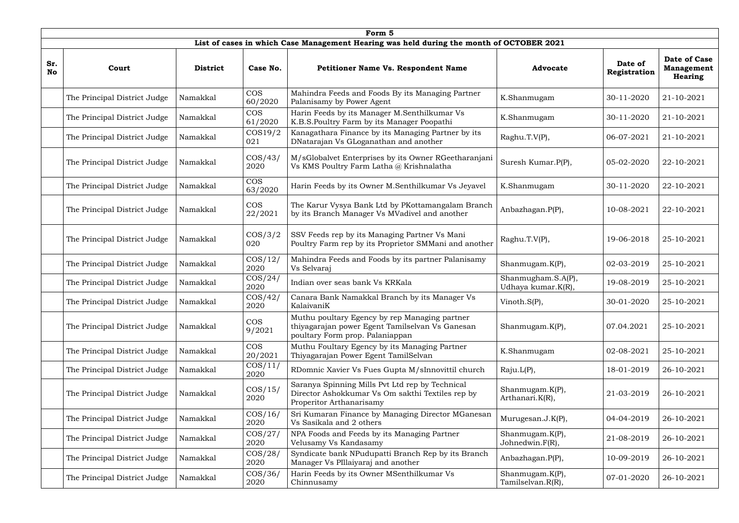|                  | Form 5                       |                 |                       |                                                                                                                                     |                                          |                         |                                                     |  |  |  |  |
|------------------|------------------------------|-----------------|-----------------------|-------------------------------------------------------------------------------------------------------------------------------------|------------------------------------------|-------------------------|-----------------------------------------------------|--|--|--|--|
|                  |                              |                 |                       | List of cases in which Case Management Hearing was held during the month of OCTOBER 2021                                            |                                          |                         |                                                     |  |  |  |  |
| Sr.<br><b>No</b> | Court                        | <b>District</b> | Case No.              | Petitioner Name Vs. Respondent Name                                                                                                 | <b>Advocate</b>                          | Date of<br>Registration | Date of Case<br><b>Management</b><br><b>Hearing</b> |  |  |  |  |
|                  | The Principal District Judge | Namakkal        | <b>COS</b><br>60/2020 | Mahindra Feeds and Foods By its Managing Partner<br>Palanisamy by Power Agent                                                       | K.Shanmugam                              | 30-11-2020              | 21-10-2021                                          |  |  |  |  |
|                  | The Principal District Judge | Namakkal        | <b>COS</b><br>61/2020 | Harin Feeds by its Manager M.Senthilkumar Vs<br>K.B.S.Poultry Farm by its Manager Poopathi                                          | K.Shanmugam                              | 30-11-2020              | 21-10-2021                                          |  |  |  |  |
|                  | The Principal District Judge | Namakkal        | $\cos 19/2$<br>021    | Kanagathara Finance by its Managing Partner by its<br>DNatarajan Vs GLoganathan and another                                         | Raghu.T.V(P),                            | 06-07-2021              | 21-10-2021                                          |  |  |  |  |
|                  | The Principal District Judge | Namakkal        | $\cos/43/$<br>2020    | M/sGlobalvet Enterprises by its Owner RGeetharanjani<br>Vs KMS Poultry Farm Latha @ Krishnalatha                                    | Suresh Kumar.P(P),                       | 05-02-2020              | 22-10-2021                                          |  |  |  |  |
|                  | The Principal District Judge | Namakkal        | <b>COS</b><br>63/2020 | Harin Feeds by its Owner M.Senthilkumar Vs Jeyavel                                                                                  | K.Shanmugam                              | 30-11-2020              | 22-10-2021                                          |  |  |  |  |
|                  | The Principal District Judge | Namakkal        | <b>COS</b><br>22/2021 | The Karur Vysya Bank Ltd by PKottamangalam Branch<br>by its Branch Manager Vs MVadivel and another                                  | Anbazhagan.P(P),                         | 10-08-2021              | 22-10-2021                                          |  |  |  |  |
|                  | The Principal District Judge | Namakkal        | $\cos/3/2$<br>020     | SSV Feeds rep by its Managing Partner Vs Mani<br>Poultry Farm rep by its Proprietor SMMani and another                              | Raghu.T.V(P),                            | 19-06-2018              | 25-10-2021                                          |  |  |  |  |
|                  | The Principal District Judge | Namakkal        | $\cos/12/$<br>2020    | Mahindra Feeds and Foods by its partner Palanisamy<br>Vs Selvaraj                                                                   | Shanmugam.K(P),                          | 02-03-2019              | 25-10-2021                                          |  |  |  |  |
|                  | The Principal District Judge | Namakkal        | $\cos/24/$<br>2020    | Indian over seas bank Vs KRKala                                                                                                     | Shanmugham.S.A(P),<br>Udhaya kumar.K(R), | 19-08-2019              | 25-10-2021                                          |  |  |  |  |
|                  | The Principal District Judge | Namakkal        | $\cos/42/$<br>2020    | Canara Bank Namakkal Branch by its Manager Vs<br>KalaivaniK                                                                         | Vinoth.S(P),                             | 30-01-2020              | 25-10-2021                                          |  |  |  |  |
|                  | The Principal District Judge | Namakkal        | <b>COS</b><br>9/2021  | Muthu poultary Egency by rep Managing partner<br>thiyagarajan power Egent Tamilselvan Vs Ganesan<br>poultary Form prop. Palaniappan | Shanmugam.K(P),                          | 07.04.2021              | 25-10-2021                                          |  |  |  |  |
|                  | The Principal District Judge | Namakkal        | <b>COS</b><br>20/2021 | Muthu Foultary Egency by its Managing Partner<br>Thiyagarajan Power Egent TamilSelvan                                               | K.Shanmugam                              | 02-08-2021              | 25-10-2021                                          |  |  |  |  |
|                  | The Principal District Judge | Namakkal        | $\cos/11/$<br>2020    | RDomnic Xavier Vs Fues Gupta M/sInnovittil church                                                                                   | Raju.L(P),                               | 18-01-2019              | 26-10-2021                                          |  |  |  |  |
|                  | The Principal District Judge | Namakkal        | $\cos/15/$<br>2020    | Saranya Spinning Mills Pvt Ltd rep by Technical<br>Director Ashokkumar Vs Om sakthi Textiles rep by<br>Properitor Arthanarisamy     | Shanmugam.K(P),<br>Arthanari.K(R),       | 21-03-2019              | 26-10-2021                                          |  |  |  |  |
|                  | The Principal District Judge | Namakkal        | $\cos/16/$<br>2020    | Sri Kumaran Finance by Managing Director MGanesan<br>Vs Sasikala and 2 others                                                       | Murugesan.J.K(P),                        | 04-04-2019              | 26-10-2021                                          |  |  |  |  |
|                  | The Principal District Judge | Namakkal        | $\cos/27/$<br>2020    | NPA Foods and Feeds by its Managing Partner<br>Velusamy Vs Kandasamy                                                                | Shanmugam.K(P),<br>Johnedwin.F(R),       | 21-08-2019              | 26-10-2021                                          |  |  |  |  |
|                  | The Principal District Judge | Namakkal        | $\cos/28/$<br>2020    | Syndicate bank NPudupatti Branch Rep by its Branch<br>Manager Vs PIllaiyaraj and another                                            | Anbazhagan.P(P),                         | 10-09-2019              | 26-10-2021                                          |  |  |  |  |
|                  | The Principal District Judge | Namakkal        | $\cos/36/$<br>2020    | Harin Feeds by its Owner MSenthilkumar Vs<br>Chinnusamy                                                                             | Shanmugam.K(P),<br>Tamilselvan.R(R),     | 07-01-2020              | 26-10-2021                                          |  |  |  |  |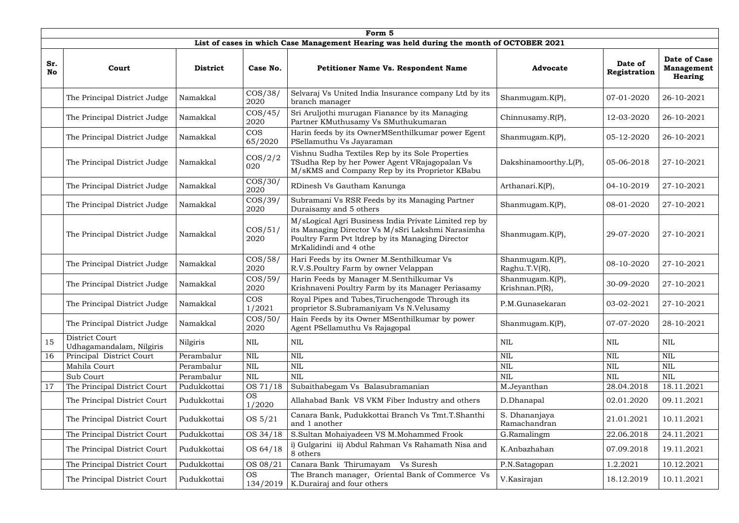|                  | Form 5                                     |                 |                       |                                                                                                                                                                                          |                                   |                         |                                                     |  |  |  |  |  |
|------------------|--------------------------------------------|-----------------|-----------------------|------------------------------------------------------------------------------------------------------------------------------------------------------------------------------------------|-----------------------------------|-------------------------|-----------------------------------------------------|--|--|--|--|--|
|                  |                                            |                 |                       | List of cases in which Case Management Hearing was held during the month of OCTOBER 2021                                                                                                 |                                   |                         |                                                     |  |  |  |  |  |
| Sr.<br><b>No</b> | Court                                      | <b>District</b> | Case No.              | <b>Petitioner Name Vs. Respondent Name</b>                                                                                                                                               | <b>Advocate</b>                   | Date of<br>Registration | Date of Case<br><b>Management</b><br><b>Hearing</b> |  |  |  |  |  |
|                  | The Principal District Judge               | Namakkal        | $\cos/38/$<br>2020    | Selvaraj Vs United India Insurance company Ltd by its<br>branch manager                                                                                                                  | Shanmugam.K(P),                   | 07-01-2020              | 26-10-2021                                          |  |  |  |  |  |
|                  | The Principal District Judge               | Namakkal        | $\cos/45/$<br>2020    | Sri Aruljothi murugan Fianance by its Managing<br>Partner KMuthusamy Vs SMuthukumaran                                                                                                    | Chinnusamy.R(P),                  | 12-03-2020              | 26-10-2021                                          |  |  |  |  |  |
|                  | The Principal District Judge               | Namakkal        | <b>COS</b><br>65/2020 | Harin feeds by its OwnerMSenthilkumar power Egent<br>PSellamuthu Vs Jayaraman                                                                                                            | Shanmugam.K(P),                   | 05-12-2020              | 26-10-2021                                          |  |  |  |  |  |
|                  | The Principal District Judge               | Namakkal        | $\cos/2/2$<br>020     | Vishnu Sudha Textiles Rep by its Sole Properties<br>TSudha Rep by her Power Agent VRajagopalan Vs<br>M/sKMS and Company Rep by its Proprietor KBabu                                      | Dakshinamoorthy.L(P),             | 05-06-2018              | 27-10-2021                                          |  |  |  |  |  |
|                  | The Principal District Judge               | Namakkal        | $\cos/30/$<br>2020    | RDinesh Vs Gautham Kanunga                                                                                                                                                               | Arthanari.K(P),                   | 04-10-2019              | 27-10-2021                                          |  |  |  |  |  |
|                  | The Principal District Judge               | Namakkal        | $\cos/39/$<br>2020    | Subramani Vs RSR Feeds by its Managing Partner<br>Duraisamy and 5 others                                                                                                                 | Shanmugam.K(P),                   | 08-01-2020              | 27-10-2021                                          |  |  |  |  |  |
|                  | The Principal District Judge               | Namakkal        | $\cos/51/$<br>2020    | M/sLogical Agri Business India Private Limited rep by<br>its Managing Director Vs M/sSri Lakshmi Narasimha<br>Poultry Farm Pvt ltdrep by its Managing Director<br>MrKalidindi and 4 othe | Shanmugam. $K(P)$ ,               | 29-07-2020              | 27-10-2021                                          |  |  |  |  |  |
|                  | The Principal District Judge               | Namakkal        | $\cos/58/$<br>2020    | Hari Feeds by its Owner M.Senthilkumar Vs<br>R.V.S.Poultry Farm by owner Velappan                                                                                                        | Shanmugam.K(P),<br>Raghu.T.V(R),  | 08-10-2020              | 27-10-2021                                          |  |  |  |  |  |
|                  | The Principal District Judge               | Namakkal        | $\cos/59/$<br>2020    | Harin Feeds by Manager M.Senthilkumar Vs<br>Krishnaveni Poultry Farm by its Manager Periasamy                                                                                            | Shanmugam.K(P),<br>Krishnan.P(R), | 30-09-2020              | 27-10-2021                                          |  |  |  |  |  |
|                  | The Principal District Judge               | Namakkal        | <b>COS</b><br>1/2021  | Royal Pipes and Tubes, Tiruchengode Through its<br>proprietor S.Subramaniyam Vs N.Velusamy                                                                                               | P.M.Gunasekaran                   | 03-02-2021              | 27-10-2021                                          |  |  |  |  |  |
|                  | The Principal District Judge               | Namakkal        | $\cos/50/$<br>2020    | Hain Feeds by its Owner MSenthilkumar by power<br>Agent PSellamuthu Vs Rajagopal                                                                                                         | Shanmugam.K(P),                   | 07-07-2020              | 28-10-2021                                          |  |  |  |  |  |
| 15               | District Court<br>Udhagamandalam, Nilgiris | Nilgiris        | NIL                   | $\mbox{NIL}$                                                                                                                                                                             | <b>NIL</b>                        | <b>NIL</b>              | <b>NIL</b>                                          |  |  |  |  |  |
| 16               | Principal District Court                   | Perambalur      | <b>NIL</b>            | <b>NIL</b>                                                                                                                                                                               | <b>NIL</b>                        | <b>NIL</b>              | $\text{NIL}$                                        |  |  |  |  |  |
|                  | Mahila Court                               | Perambalur      | <b>NIL</b>            | <b>NIL</b>                                                                                                                                                                               | <b>NIL</b>                        | <b>NIL</b>              | <b>NIL</b>                                          |  |  |  |  |  |
|                  | Sub Court                                  | Perambalur      | NIL                   | <b>NIL</b>                                                                                                                                                                               | <b>NIL</b>                        | <b>NIL</b>              | <b>NIL</b>                                          |  |  |  |  |  |
| 17               | The Principal District Court               | Pudukkottai     | OS 71/18              | Subaithabegam Vs Balasubramanian                                                                                                                                                         | M.Jeyanthan                       | 28.04.2018              | 18.11.2021                                          |  |  |  |  |  |
|                  | The Principal District Court               | Pudukkottai     | <b>OS</b><br>1/2020   | Allahabad Bank VS VKM Fiber Industry and others                                                                                                                                          | D.Dhanapal                        | 02.01.2020              | 09.11.2021                                          |  |  |  |  |  |
|                  | The Principal District Court               | Pudukkottai     | OS 5/21               | Canara Bank, Pudukkottai Branch Vs Tmt.T.Shanthi<br>and 1 another                                                                                                                        | S. Dhananjaya<br>Ramachandran     | 21.01.2021              | 10.11.2021                                          |  |  |  |  |  |
|                  | The Principal District Court               | Pudukkottai     | OS 34/18              | S.Sultan Mohaiyadeen VS M.Mohammed Frook                                                                                                                                                 | G.Ramalingm                       | 22.06.2018              | 24.11.2021                                          |  |  |  |  |  |
|                  | The Principal District Court               | Pudukkottai     | OS 64/18              | i) Gulgarini ii) Abdul Rahman Vs Rahamath Nisa and<br>8 others                                                                                                                           | K.Anbazhahan                      | 07.09.2018              | 19.11.2021                                          |  |  |  |  |  |
|                  | The Principal District Court               | Pudukkottai     | OS 08/21              | Canara Bank Thirumayam<br>Vs Suresh                                                                                                                                                      | P.N.Satagopan                     | 1.2.2021                | 10.12.2021                                          |  |  |  |  |  |
|                  | The Principal District Court               | Pudukkottai     | <b>OS</b><br>134/2019 | The Branch manager, Oriental Bank of Commerce Vs<br>K.Durairaj and four others                                                                                                           | V.Kasirajan                       | 18.12.2019              | 10.11.2021                                          |  |  |  |  |  |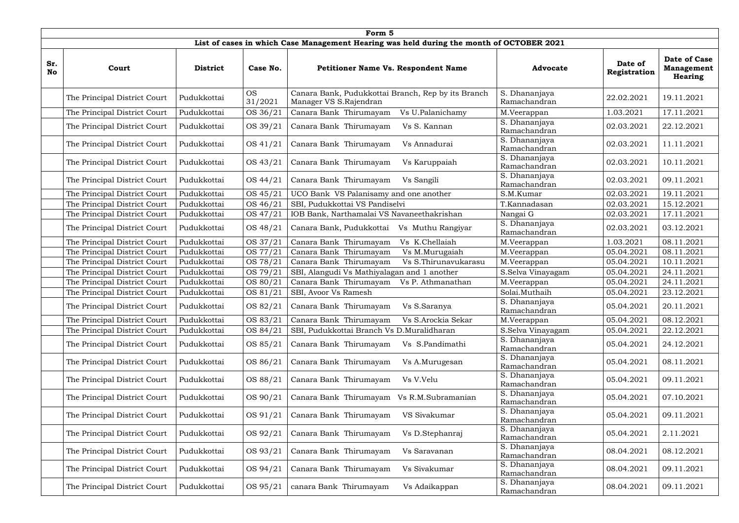|                  | Form 5                       |                 |                      |                                                                                          |                               |                         |                                                     |  |  |  |  |  |
|------------------|------------------------------|-----------------|----------------------|------------------------------------------------------------------------------------------|-------------------------------|-------------------------|-----------------------------------------------------|--|--|--|--|--|
|                  |                              |                 |                      | List of cases in which Case Management Hearing was held during the month of OCTOBER 2021 |                               |                         |                                                     |  |  |  |  |  |
| Sr.<br><b>No</b> | Court                        | <b>District</b> | Case No.             | <b>Petitioner Name Vs. Respondent Name</b>                                               | <b>Advocate</b>               | Date of<br>Registration | Date of Case<br><b>Management</b><br><b>Hearing</b> |  |  |  |  |  |
|                  | The Principal District Court | Pudukkottai     | <b>OS</b><br>31/2021 | Canara Bank, Pudukkottai Branch, Rep by its Branch<br>Manager VS S.Rajendran             | S. Dhananjaya<br>Ramachandran | 22.02.2021              | 19.11.2021                                          |  |  |  |  |  |
|                  | The Principal District Court | Pudukkottai     | OS 36/21             | Vs U.Palanichamy<br>Canara Bank Thirumayam                                               | M.Veerappan                   | 1.03.2021               | 17.11.2021                                          |  |  |  |  |  |
|                  | The Principal District Court | Pudukkottai     | OS 39/21             | Canara Bank Thirumayam<br>Vs S. Kannan                                                   | S. Dhananjaya<br>Ramachandran | 02.03.2021              | 22.12.2021                                          |  |  |  |  |  |
|                  | The Principal District Court | Pudukkottai     | OS 41/21             | Canara Bank Thirumayam<br>Vs Annadurai                                                   | S. Dhananjaya<br>Ramachandran | 02.03.2021              | 11.11.2021                                          |  |  |  |  |  |
|                  | The Principal District Court | Pudukkottai     | OS 43/21             | Canara Bank Thirumayam<br>Vs Karuppaiah                                                  | S. Dhananjaya<br>Ramachandran | 02.03.2021              | 10.11.2021                                          |  |  |  |  |  |
|                  | The Principal District Court | Pudukkottai     | OS 44/21             | Canara Bank Thirumayam<br>Vs Sangili                                                     | S. Dhananjaya<br>Ramachandran | 02.03.2021              | 09.11.2021                                          |  |  |  |  |  |
|                  | The Principal District Court | Pudukkottai     | OS 45/21             | UCO Bank VS Palanisamy and one another                                                   | S.M.Kumar                     | 02.03.2021              | 19.11.2021                                          |  |  |  |  |  |
|                  | The Principal District Court | Pudukkottai     | OS 46/21             | SBI, Pudukkottai VS Pandiselvi                                                           | T.Kannadasan                  | 02.03.2021              | 15.12.2021                                          |  |  |  |  |  |
|                  | The Principal District Court | Pudukkottai     | OS 47/21             | IOB Bank, Narthamalai VS Navaneethakrishan                                               | Nangai G                      | 02.03.2021              | 17.11.2021                                          |  |  |  |  |  |
|                  | The Principal District Court | Pudukkottai     | OS 48/21             | Canara Bank, Pudukkottai<br>Vs Muthu Rangiyar                                            | S. Dhananjaya<br>Ramachandran | 02.03.2021              | 03.12.2021                                          |  |  |  |  |  |
|                  | The Principal District Court | Pudukkottai     | OS 37/21             | Canara Bank Thirumayam<br>Vs K.Chellaiah                                                 | M.Veerappan                   | 1.03.2021               | 08.11.2021                                          |  |  |  |  |  |
|                  | The Principal District Court | Pudukkottai     | OS 77/21             | Canara Bank Thirumayam<br>Vs M.Murugaiah                                                 | M.Veerappan                   | 05.04.2021              | 08.11.2021                                          |  |  |  |  |  |
|                  | The Principal District Court | Pudukkottai     | OS 78/21             | Canara Bank Thirumayam<br>Vs S.Thirunavukarasu                                           | M.Veerappan                   | 05.04.2021              | 10.11.2021                                          |  |  |  |  |  |
|                  | The Principal District Court | Pudukkottai     | OS 79/21             | SBI, Alangudi Vs Mathiyalagan and 1 another                                              | S.Selva Vinayagam             | 05.04.2021              | 24.11.2021                                          |  |  |  |  |  |
|                  | The Principal District Court | Pudukkottai     | OS 80/21             | Canara Bank Thirumayam<br>Vs P. Athmanathan                                              | M.Veerappan                   | 05.04.2021              | 24.11.2021                                          |  |  |  |  |  |
|                  | The Principal District Court | Pudukkottai     | OS 81/21             | SBI, Avoor Vs Ramesh                                                                     | Solai.Muthaih                 | 05.04.2021              | 23.12.2021                                          |  |  |  |  |  |
|                  | The Principal District Court | Pudukkottai     | OS 82/21             | Canara Bank Thirumayam Vs S.Saranya                                                      | S. Dhananjaya<br>Ramachandran | 05.04.2021              | 20.11.2021                                          |  |  |  |  |  |
|                  | The Principal District Court | Pudukkottai     | OS 83/21             | Canara Bank Thirumayam<br>Vs S.Arockia Sekar                                             | M.Veerappan                   | 05.04.2021              | 08.12.2021                                          |  |  |  |  |  |
|                  | The Principal District Court | Pudukkottai     | OS 84/21             | SBI, Pudukkottai Branch Vs D.Muralidharan                                                | S.Selva Vinayagam             | 05.04.2021              | 22.12.2021                                          |  |  |  |  |  |
|                  | The Principal District Court | Pudukkottai     | OS 85/21             | Canara Bank Thirumayam<br>Vs S.Pandimathi                                                | S. Dhananjaya<br>Ramachandran | 05.04.2021              | 24.12.2021                                          |  |  |  |  |  |
|                  | The Principal District Court | Pudukkottai     | OS 86/21             | Canara Bank Thirumayam<br>Vs A.Murugesan                                                 | S. Dhananjaya<br>Ramachandran | 05.04.2021              | 08.11.2021                                          |  |  |  |  |  |
|                  | The Principal District Court | Pudukkottai     | OS 88/21             | Canara Bank Thirumayam<br>Vs V.Velu                                                      | S. Dhananjaya<br>Ramachandran | 05.04.2021              | 09.11.2021                                          |  |  |  |  |  |
|                  | The Principal District Court | Pudukkottai     | OS 90/21             | Canara Bank Thirumayam<br>Vs R.M.Subramanian                                             | S. Dhananjaya<br>Ramachandran | 05.04.2021              | 07.10.2021                                          |  |  |  |  |  |
|                  | The Principal District Court | Pudukkottai     | OS 91/21             | Canara Bank Thirumayam<br>VS Sivakumar                                                   | S. Dhananjaya<br>Ramachandran | 05.04.2021              | 09.11.2021                                          |  |  |  |  |  |
|                  | The Principal District Court | Pudukkottai     | OS 92/21             | Canara Bank Thirumayam<br>Vs D.Stephanraj                                                | S. Dhananjaya<br>Ramachandran | 05.04.2021              | 2.11.2021                                           |  |  |  |  |  |
|                  | The Principal District Court | Pudukkottai     | OS 93/21             | Canara Bank Thirumayam<br>Vs Saravanan                                                   | S. Dhananjaya<br>Ramachandran | 08.04.2021              | 08.12.2021                                          |  |  |  |  |  |
|                  | The Principal District Court | Pudukkottai     | OS 94/21             | Canara Bank Thirumayam<br>Vs Sivakumar                                                   | S. Dhananjaya<br>Ramachandran | 08.04.2021              | 09.11.2021                                          |  |  |  |  |  |
|                  | The Principal District Court | Pudukkottai     | OS 95/21             | canara Bank Thirumayam<br>Vs Adaikappan                                                  | S. Dhananjaya<br>Ramachandran | 08.04.2021              | 09.11.2021                                          |  |  |  |  |  |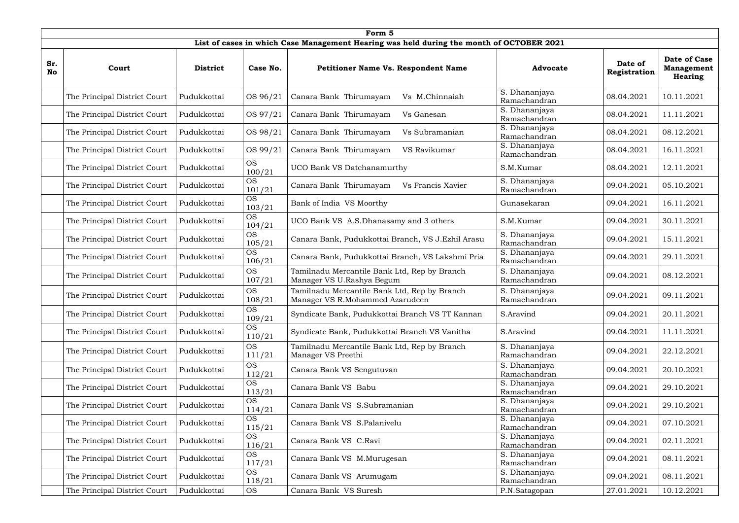|                  | Form 5                       |                 |                     |                                                                                          |                               |                         |                                                |  |  |  |  |
|------------------|------------------------------|-----------------|---------------------|------------------------------------------------------------------------------------------|-------------------------------|-------------------------|------------------------------------------------|--|--|--|--|
|                  |                              |                 |                     | List of cases in which Case Management Hearing was held during the month of OCTOBER 2021 |                               |                         |                                                |  |  |  |  |
| Sr.<br><b>No</b> | Court                        | <b>District</b> | Case No.            | <b>Petitioner Name Vs. Respondent Name</b>                                               | <b>Advocate</b>               | Date of<br>Registration | Date of Case<br>Management  <br><b>Hearing</b> |  |  |  |  |
|                  | The Principal District Court | Pudukkottai     | OS 96/21            | Canara Bank Thirumayam<br>Vs M.Chinnaiah                                                 | S. Dhananjaya<br>Ramachandran | 08.04.2021              | 10.11.2021                                     |  |  |  |  |
|                  | The Principal District Court | Pudukkottai     | OS 97/21            | Canara Bank Thirumayam<br>Vs Ganesan                                                     | S. Dhananjaya<br>Ramachandran | 08.04.2021              | 11.11.2021                                     |  |  |  |  |
|                  | The Principal District Court | Pudukkottai     | OS 98/21            | Canara Bank Thirumayam<br>Vs Subramanian                                                 | S. Dhananjaya<br>Ramachandran | 08.04.2021              | 08.12.2021                                     |  |  |  |  |
|                  | The Principal District Court | Pudukkottai     | OS 99/21            | Canara Bank Thirumayam<br>VS Ravikumar                                                   | S. Dhananjaya<br>Ramachandran | 08.04.2021              | 16.11.2021                                     |  |  |  |  |
|                  | The Principal District Court | Pudukkottai     | <b>OS</b><br>100/21 | UCO Bank VS Datchanamurthy                                                               | S.M.Kumar                     | 08.04.2021              | 12.11.2021                                     |  |  |  |  |
|                  | The Principal District Court | Pudukkottai     | <b>OS</b><br>101/21 | Canara Bank Thirumayam<br>Vs Francis Xavier                                              | S. Dhananjaya<br>Ramachandran | 09.04.2021              | 05.10.2021                                     |  |  |  |  |
|                  | The Principal District Court | Pudukkottai     | <b>OS</b><br>103/21 | Bank of India VS Moorthy                                                                 | Gunasekaran                   | 09.04.2021              | 16.11.2021                                     |  |  |  |  |
|                  | The Principal District Court | Pudukkottai     | <b>OS</b><br>104/21 | UCO Bank VS A.S.Dhanasamy and 3 others                                                   | S.M.Kumar                     | 09.04.2021              | 30.11.2021                                     |  |  |  |  |
|                  | The Principal District Court | Pudukkottai     | <b>OS</b><br>105/21 | Canara Bank, Pudukkottai Branch, VS J.Ezhil Arasu                                        | S. Dhananjaya<br>Ramachandran | 09.04.2021              | 15.11.2021                                     |  |  |  |  |
|                  | The Principal District Court | Pudukkottai     | <b>OS</b><br>106/21 | Canara Bank, Pudukkottai Branch, VS Lakshmi Pria                                         | S. Dhananjaya<br>Ramachandran | 09.04.2021              | 29.11.2021                                     |  |  |  |  |
|                  | The Principal District Court | Pudukkottai     | <b>OS</b><br>107/21 | Tamilnadu Mercantile Bank Ltd, Rep by Branch<br>Manager VS U.Rashya Begum                | S. Dhananjaya<br>Ramachandran | 09.04.2021              | 08.12.2021                                     |  |  |  |  |
|                  | The Principal District Court | Pudukkottai     | <b>OS</b><br>108/21 | Tamilnadu Mercantile Bank Ltd, Rep by Branch<br>Manager VS R.Mohammed Azarudeen          | S. Dhananjaya<br>Ramachandran | 09.04.2021              | 09.11.2021                                     |  |  |  |  |
|                  | The Principal District Court | Pudukkottai     | <b>OS</b><br>109/21 | Syndicate Bank, Pudukkottai Branch VS TT Kannan                                          | S.Aravind                     | 09.04.2021              | 20.11.2021                                     |  |  |  |  |
|                  | The Principal District Court | Pudukkottai     | <b>OS</b><br>110/21 | Syndicate Bank, Pudukkottai Branch VS Vanitha                                            | S.Aravind                     | 09.04.2021              | 11.11.2021                                     |  |  |  |  |
|                  | The Principal District Court | Pudukkottai     | <b>OS</b><br>111/21 | Tamilnadu Mercantile Bank Ltd, Rep by Branch<br>Manager VS Preethi                       | S. Dhananjaya<br>Ramachandran | 09.04.2021              | 22.12.2021                                     |  |  |  |  |
|                  | The Principal District Court | Pudukkottai     | <b>OS</b><br>112/21 | Canara Bank VS Sengutuvan                                                                | S. Dhananjaya<br>Ramachandran | 09.04.2021              | 20.10.2021                                     |  |  |  |  |
|                  | The Principal District Court | Pudukkottai     | <b>OS</b><br>113/21 | Canara Bank VS Babu                                                                      | S. Dhananjaya<br>Ramachandran | 09.04.2021              | 29.10.2021                                     |  |  |  |  |
|                  | The Principal District Court | Pudukkottai     | <b>OS</b><br>114/21 | Canara Bank VS S.Subramanian                                                             | S. Dhananjaya<br>Ramachandran | 09.04.2021              | 29.10.2021                                     |  |  |  |  |
|                  | The Principal District Court | Pudukkottai     | <b>OS</b><br>115/21 | Canara Bank VS S.Palanivelu                                                              | S. Dhananjaya<br>Ramachandran | 09.04.2021              | 07.10.2021                                     |  |  |  |  |
|                  | The Principal District Court | Pudukkottai     | <b>OS</b><br>116/21 | Canara Bank VS C.Ravi                                                                    | S. Dhananjaya<br>Ramachandran | 09.04.2021              | 02.11.2021                                     |  |  |  |  |
|                  | The Principal District Court | Pudukkottai     | <b>OS</b><br>117/21 | Canara Bank VS M.Murugesan                                                               | S. Dhananjaya<br>Ramachandran | 09.04.2021              | 08.11.2021                                     |  |  |  |  |
|                  | The Principal District Court | Pudukkottai     | <b>OS</b><br>118/21 | Canara Bank VS Arumugam                                                                  | S. Dhananjaya<br>Ramachandran | 09.04.2021              | 08.11.2021                                     |  |  |  |  |
|                  | The Principal District Court | Pudukkottai     | <b>OS</b>           | Canara Bank VS Suresh                                                                    | P.N.Satagopan                 | 27.01.2021              | 10.12.2021                                     |  |  |  |  |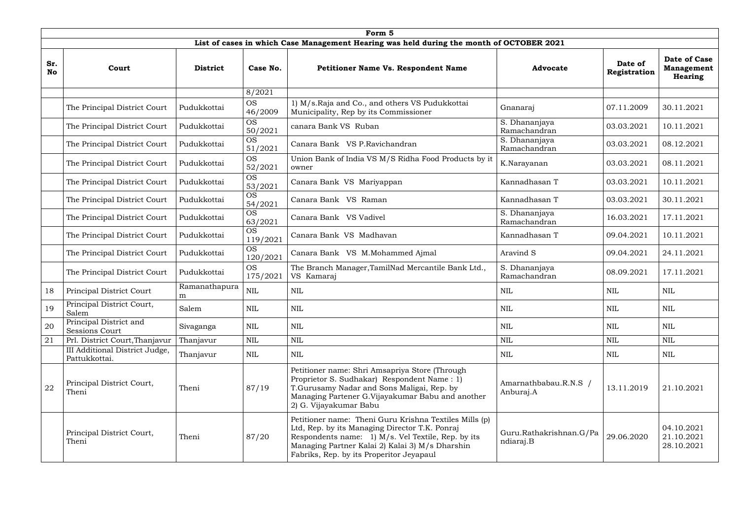|                  | Form 5                                                 |                    |                       |                                                                                                                                                                                                                                                               |                                      |                         |                                              |  |  |  |  |
|------------------|--------------------------------------------------------|--------------------|-----------------------|---------------------------------------------------------------------------------------------------------------------------------------------------------------------------------------------------------------------------------------------------------------|--------------------------------------|-------------------------|----------------------------------------------|--|--|--|--|
|                  |                                                        |                    |                       | List of cases in which Case Management Hearing was held during the month of OCTOBER 2021                                                                                                                                                                      |                                      |                         |                                              |  |  |  |  |
| Sr.<br><b>No</b> | Court                                                  | <b>District</b>    | Case No.              | <b>Petitioner Name Vs. Respondent Name</b>                                                                                                                                                                                                                    | <b>Advocate</b>                      | Date of<br>Registration | Date of Case<br><b>Management</b><br>Hearing |  |  |  |  |
|                  |                                                        |                    | 8/2021                |                                                                                                                                                                                                                                                               |                                      |                         |                                              |  |  |  |  |
|                  | The Principal District Court                           | Pudukkottai        | <b>OS</b><br>46/2009  | 1) M/s.Raja and Co., and others VS Pudukkottai<br>Municipality, Rep by its Commissioner                                                                                                                                                                       | Gnanaraj                             | 07.11.2009              | 30.11.2021                                   |  |  |  |  |
|                  | The Principal District Court                           | Pudukkottai        | <b>OS</b><br>50/2021  | canara Bank VS Ruban                                                                                                                                                                                                                                          | S. Dhananjaya<br>Ramachandran        | 03.03.2021              | 10.11.2021                                   |  |  |  |  |
|                  | The Principal District Court                           | Pudukkottai        | <b>OS</b><br>51/2021  | Canara Bank VS P.Ravichandran                                                                                                                                                                                                                                 | S. Dhananjaya<br>Ramachandran        | 03.03.2021              | 08.12.2021                                   |  |  |  |  |
|                  | The Principal District Court                           | Pudukkottai        | <b>OS</b><br>52/2021  | Union Bank of India VS M/S Ridha Food Products by it<br>owner                                                                                                                                                                                                 | K.Narayanan                          | 03.03.2021              | 08.11.2021                                   |  |  |  |  |
|                  | The Principal District Court                           | Pudukkottai        | OS.<br>53/2021        | Canara Bank VS Mariyappan                                                                                                                                                                                                                                     | Kannadhasan T                        | 03.03.2021              | 10.11.2021                                   |  |  |  |  |
|                  | The Principal District Court                           | Pudukkottai        | <b>OS</b><br>54/2021  | Canara Bank VS Raman                                                                                                                                                                                                                                          | Kannadhasan T                        | 03.03.2021              | 30.11.2021                                   |  |  |  |  |
|                  | The Principal District Court                           | Pudukkottai        | <b>OS</b><br>63/2021  | Canara Bank VS Vadivel                                                                                                                                                                                                                                        | S. Dhananjaya<br>Ramachandran        | 16.03.2021              | 17.11.2021                                   |  |  |  |  |
|                  | The Principal District Court                           | Pudukkottai        | <b>OS</b><br>119/2021 | Canara Bank VS Madhavan                                                                                                                                                                                                                                       | Kannadhasan T                        | 09.04.2021              | 10.11.2021                                   |  |  |  |  |
|                  | The Principal District Court                           | Pudukkottai        | <b>OS</b><br>120/2021 | Canara Bank VS M.Mohammed Ajmal                                                                                                                                                                                                                               | Aravind S                            | 09.04.2021              | 24.11.2021                                   |  |  |  |  |
|                  | The Principal District Court                           | Pudukkottai        | <b>OS</b><br>175/2021 | The Branch Manager, TamilNad Mercantile Bank Ltd.,<br>VS Kamaraj                                                                                                                                                                                              | S. Dhananjaya<br>Ramachandran        | 08.09.2021              | 17.11.2021                                   |  |  |  |  |
| 18               | Principal District Court                               | Ramanathapura<br>m | $\mbox{NIL}$          | <b>NIL</b>                                                                                                                                                                                                                                                    | <b>NIL</b>                           | <b>NIL</b>              | $\mbox{NIL}$                                 |  |  |  |  |
| 19               | Principal District Court,<br>Salem                     | Salem              | NIL                   | NIL                                                                                                                                                                                                                                                           | NIL                                  | NIL                     | NIL                                          |  |  |  |  |
| 20               | Principal District and<br>Sessions Court               | Sivaganga          | NIL                   | <b>NIL</b>                                                                                                                                                                                                                                                    | <b>NIL</b>                           | <b>NIL</b>              | <b>NIL</b>                                   |  |  |  |  |
| 21               | Prl. District Court, Thanjavur                         | Thanjavur          | <b>NIL</b>            | $\mbox{NIL}$                                                                                                                                                                                                                                                  | <b>NIL</b>                           | $\mbox{NIL}$            | $\mbox{NIL}$                                 |  |  |  |  |
|                  | <b>III</b> Additional District Judge,<br>Pattukkottai. | Thanjavur          | NIL                   | <b>NIL</b>                                                                                                                                                                                                                                                    | NIL                                  | <b>NIL</b>              | NIL                                          |  |  |  |  |
| 22               | Principal District Court,<br>Theni                     | Theni              | 87/19                 | Petitioner name: Shri Amsapriya Store (Through<br>Proprietor S. Sudhakar) Respondent Name: 1)<br>T.Gurusamy Nadar and Sons Maligai, Rep. by<br>Managing Partener G.Vijayakumar Babu and another<br>2) G. Vijayakumar Babu                                     | Amarnathbabau.R.N.S /<br>Anburaj.A   | 13.11.2019              | 21.10.2021                                   |  |  |  |  |
|                  | Principal District Court,<br>Theni                     | Theni              | 87/20                 | Petitioner name: Theni Guru Krishna Textiles Mills (p)<br>Ltd, Rep. by its Managing Director T.K. Ponraj<br>Respondents name: 1) M/s. Vel Textile, Rep. by its<br>Managing Partner Kalai 2) Kalai 3) M/s Dharshin<br>Fabriks, Rep. by its Properitor Jeyapaul | Guru.Rathakrishnan.G/Pa<br>ndiaraj.B | 29.06.2020              | 04.10.2021<br>21.10.2021<br>28.10.2021       |  |  |  |  |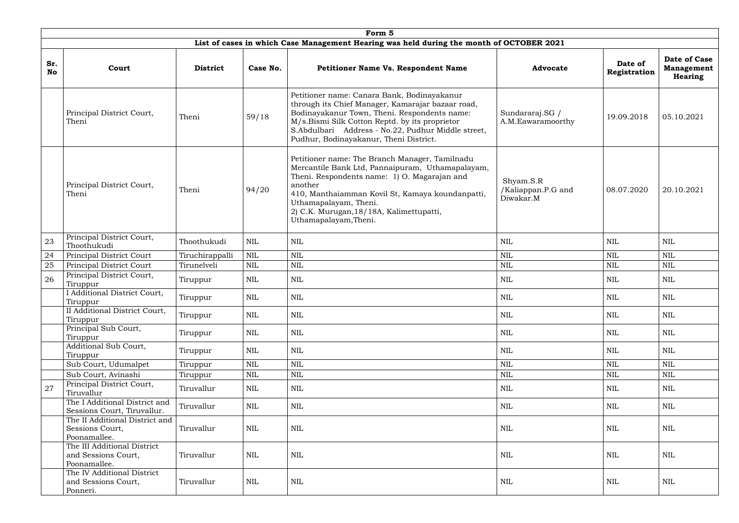|                  | Form 5                                                             |                 |            |                                                                                                                                                                                                                                                                                                                 |                                              |                         |                                                     |  |  |  |  |
|------------------|--------------------------------------------------------------------|-----------------|------------|-----------------------------------------------------------------------------------------------------------------------------------------------------------------------------------------------------------------------------------------------------------------------------------------------------------------|----------------------------------------------|-------------------------|-----------------------------------------------------|--|--|--|--|
|                  |                                                                    |                 |            | List of cases in which Case Management Hearing was held during the month of OCTOBER 2021                                                                                                                                                                                                                        |                                              |                         |                                                     |  |  |  |  |
| Sr.<br><b>No</b> | Court                                                              | <b>District</b> | Case No.   | Petitioner Name Vs. Respondent Name                                                                                                                                                                                                                                                                             | <b>Advocate</b>                              | Date of<br>Registration | Date of Case<br><b>Management</b><br><b>Hearing</b> |  |  |  |  |
|                  | Principal District Court,<br>Theni                                 | Theni           | 59/18      | Petitioner name: Canara Bank, Bodinayakanur<br>through its Chief Manager, Kamarajar bazaar road,<br>Bodinayakanur Town, Theni. Respondents name:<br>M/s.Bismi Silk Cotton Reptd. by its proprietor<br>S.Abdulbari Address - No.22, Pudhur Middle street,<br>Pudhur, Bodinayakanur, Theni District.              | Sundararaj.SG /<br>A.M.Eawaramoorthy         | 19.09.2018              | 05.10.2021                                          |  |  |  |  |
|                  | Principal District Court,<br>Theni                                 | Theni           | 94/20      | Petitioner name: The Branch Manager, Tamilnadu<br>Mercantile Bank Ltd, Pannaipuram, Uthamapalayam,<br>Theni. Respondents name: 1) O. Magarajan and<br>another<br>410, Manthaiamman Kovil St, Kamaya koundanpatti,<br>Uthamapalayam, Theni.<br>2) C.K. Murugan, 18/18A, Kalimettupatti,<br>Uthamapalayam, Theni. | Shyam.S.R<br>/Kaliappan.P.G and<br>Diwakar.M | 08.07.2020              | 20.10.2021                                          |  |  |  |  |
| 23               | Principal District Court,<br>Thoothukudi                           | Thoothukudi     | <b>NIL</b> | NIL                                                                                                                                                                                                                                                                                                             | <b>NIL</b>                                   | <b>NIL</b>              | <b>NIL</b>                                          |  |  |  |  |
| 24               | Principal District Court                                           | Tiruchirappalli | <b>NIL</b> | <b>NIL</b>                                                                                                                                                                                                                                                                                                      | <b>NIL</b>                                   | <b>NIL</b>              | <b>NIL</b>                                          |  |  |  |  |
| 25               | Principal District Court                                           | Tirunelveli     | <b>NIL</b> | <b>NIL</b>                                                                                                                                                                                                                                                                                                      | <b>NIL</b>                                   | <b>NIL</b>              | <b>NIL</b>                                          |  |  |  |  |
| 26               | Principal District Court,<br>Tiruppur                              | Tiruppur        | NIL        | NIL                                                                                                                                                                                                                                                                                                             | NIL                                          | <b>NIL</b>              | NIL                                                 |  |  |  |  |
|                  | I Additional District Court,<br>Tiruppur                           | Tiruppur        | NIL        | NIL                                                                                                                                                                                                                                                                                                             | NIL                                          | <b>NIL</b>              | NIL                                                 |  |  |  |  |
|                  | II Additional District Court,<br>Tiruppur                          | Tiruppur        | <b>NIL</b> | <b>NIL</b>                                                                                                                                                                                                                                                                                                      | $\textsc{nil}$                               | $\mbox{NIL}$            | <b>NIL</b>                                          |  |  |  |  |
|                  | Principal Sub Court,<br>Tiruppur                                   | Tiruppur        | NIL        | $\mbox{NIL}$                                                                                                                                                                                                                                                                                                    | NIL                                          | <b>NIL</b>              | <b>NIL</b>                                          |  |  |  |  |
|                  | Additional Sub Court,<br>Tiruppur                                  | Tiruppur        | NIL        | NIL                                                                                                                                                                                                                                                                                                             | NIL                                          | NIL                     | NIL                                                 |  |  |  |  |
|                  | Sub Court, Udumalpet                                               | Tiruppur        | <b>NIL</b> | $\mbox{NIL}$                                                                                                                                                                                                                                                                                                    | <b>NIL</b>                                   | <b>NIL</b>              | <b>NIL</b>                                          |  |  |  |  |
|                  | Sub Court, Avinashi                                                | Tiruppur        | <b>NIL</b> | $\mbox{NIL}$                                                                                                                                                                                                                                                                                                    | <b>NIL</b>                                   | $\mbox{NIL}$            | <b>NIL</b>                                          |  |  |  |  |
| 27               | Principal District Court,<br>Tiruvallur                            | Tiruvallur      | NIL        | <b>NIL</b>                                                                                                                                                                                                                                                                                                      | NIL                                          | <b>NIL</b>              | NIL                                                 |  |  |  |  |
|                  | The I Additional District and<br>Sessions Court, Tiruvallur.       | Tiruvallur      | NIL        | <b>NIL</b>                                                                                                                                                                                                                                                                                                      | NIL                                          | <b>NIL</b>              | NIL                                                 |  |  |  |  |
|                  | The II Additional District and<br>Sessions Court,<br>Poonamallee.  | Tiruvallur      | NIL        | $\mbox{NIL}$                                                                                                                                                                                                                                                                                                    | NIL                                          | <b>NIL</b>              | <b>NIL</b>                                          |  |  |  |  |
|                  | The III Additional District<br>and Sessions Court,<br>Poonamallee. | Tiruvallur      | NIL        | NIL                                                                                                                                                                                                                                                                                                             | NIL                                          | NIL                     | NIL                                                 |  |  |  |  |
|                  | The IV Additional District<br>and Sessions Court,<br>Ponneri.      | Tiruvallur      | <b>NIL</b> | <b>NIL</b>                                                                                                                                                                                                                                                                                                      | NIL                                          | NIL                     | <b>NIL</b>                                          |  |  |  |  |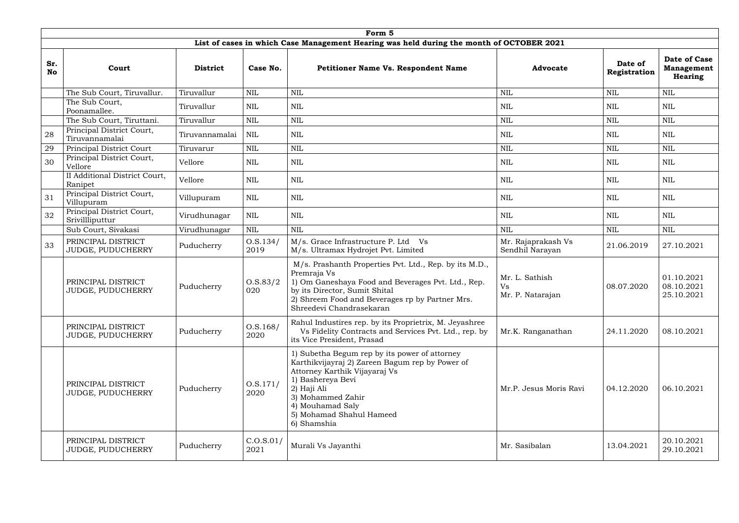|                  | Form 5                                         |                 |                     |                                                                                                                                                                                                                                                           |                                          |                         |                                                     |  |  |  |  |
|------------------|------------------------------------------------|-----------------|---------------------|-----------------------------------------------------------------------------------------------------------------------------------------------------------------------------------------------------------------------------------------------------------|------------------------------------------|-------------------------|-----------------------------------------------------|--|--|--|--|
|                  |                                                |                 |                     | List of cases in which Case Management Hearing was held during the month of OCTOBER 2021                                                                                                                                                                  |                                          |                         |                                                     |  |  |  |  |
| Sr.<br><b>No</b> | Court                                          | <b>District</b> | Case No.            | <b>Petitioner Name Vs. Respondent Name</b>                                                                                                                                                                                                                | <b>Advocate</b>                          | Date of<br>Registration | Date of Case<br><b>Management</b><br><b>Hearing</b> |  |  |  |  |
|                  | The Sub Court, Tiruvallur.                     | Tiruvallur      | <b>NIL</b>          | <b>NIL</b>                                                                                                                                                                                                                                                | <b>NIL</b>                               | <b>NIL</b>              | <b>NIL</b>                                          |  |  |  |  |
|                  | The Sub Court,<br>Poonamallee.                 | Tiruvallur      | NIL                 | <b>NIL</b>                                                                                                                                                                                                                                                | $\textsc{nil}$                           | <b>NIL</b>              | $\mbox{NIL}$                                        |  |  |  |  |
|                  | The Sub Court, Tiruttani.                      | Tiruvallur      | <b>NIL</b>          | <b>NIL</b>                                                                                                                                                                                                                                                | <b>NIL</b>                               | <b>NIL</b>              | <b>NIL</b>                                          |  |  |  |  |
| 28               | Principal District Court,<br>Tiruvannamalai    | Tiruvannamalai  | NIL                 | <b>NIL</b>                                                                                                                                                                                                                                                | <b>NIL</b>                               | <b>NIL</b>              | <b>NIL</b>                                          |  |  |  |  |
| 29               | Principal District Court                       | Tiruvarur       | <b>NIL</b>          | <b>NIL</b>                                                                                                                                                                                                                                                | <b>NIL</b>                               | <b>NIL</b>              | <b>NIL</b>                                          |  |  |  |  |
| 30               | Principal District Court,<br>Vellore           | Vellore         | NIL                 | <b>NIL</b>                                                                                                                                                                                                                                                | NIL                                      | NIL                     | NIL                                                 |  |  |  |  |
|                  | II Additional District Court,<br>Ranipet       | Vellore         | NIL                 | <b>NIL</b>                                                                                                                                                                                                                                                | <b>NIL</b>                               | <b>NIL</b>              | <b>NIL</b>                                          |  |  |  |  |
| 31               | Principal District Court,<br>Villupuram        | Villupuram      | <b>NIL</b>          | <b>NIL</b>                                                                                                                                                                                                                                                | <b>NIL</b>                               | <b>NIL</b>              | <b>NIL</b>                                          |  |  |  |  |
| 32               | Principal District Court,<br>Srivillliputtur   | Virudhunagar    | NIL                 | NIL                                                                                                                                                                                                                                                       | NIL                                      | <b>NIL</b>              | NIL                                                 |  |  |  |  |
|                  | Sub Court, Sivakasi                            | Virudhunagar    | <b>NIL</b>          | <b>NIL</b>                                                                                                                                                                                                                                                | <b>NIL</b>                               | <b>NIL</b>              | <b>NIL</b>                                          |  |  |  |  |
| 33               | PRINCIPAL DISTRICT<br>JUDGE, PUDUCHERRY        | Puducherry      | 0. S. 134/<br>2019  | M/s. Grace Infrastructure P. Ltd Vs<br>M/s. Ultramax Hydrojet Pvt. Limited                                                                                                                                                                                | Mr. Rajaprakash Vs<br>Sendhil Narayan    | 21.06.2019              | 27.10.2021                                          |  |  |  |  |
|                  | PRINCIPAL DISTRICT<br>JUDGE, PUDUCHERRY        | Puducherry      | O.S.83/2<br>020     | M/s. Prashanth Properties Pvt. Ltd., Rep. by its M.D.,<br>Premraja Vs<br>1) Om Ganeshaya Food and Beverages Pvt. Ltd., Rep.<br>by its Director, Sumit Shital<br>2) Shreem Food and Beverages rp by Partner Mrs.<br>Shreedevi Chandrasekaran               | Mr. L. Sathish<br>Vs<br>Mr. P. Natarajan | 08.07.2020              | 01.10.2021<br>08.10.2021<br>25.10.2021              |  |  |  |  |
|                  | PRINCIPAL DISTRICT<br>JUDGE, PUDUCHERRY        | Puducherry      | 0. S. 168/<br>2020  | Rahul Industires rep. by its Proprietrix, M. Jeyashree<br>Vs Fidelity Contracts and Services Pvt. Ltd., rep. by<br>its Vice President, Prasad                                                                                                             | Mr.K. Ranganathan                        | 24.11.2020              | 08.10.2021                                          |  |  |  |  |
|                  | PRINCIPAL DISTRICT<br><b>JUDGE, PUDUCHERRY</b> | Puducherry      | 0. S. 171/<br>2020  | 1) Subetha Begum rep by its power of attorney<br>Karthikvijayraj 2) Zareen Bagum rep by Power of<br>Attorney Karthik Vijayaraj Vs<br>1) Bashereya Bevi<br>2) Haji Ali<br>3) Mohammed Zahir<br>4) Mouhamad Saly<br>5) Mohamad Shahul Hameed<br>6) Shamshia | Mr.P. Jesus Moris Ravi                   | 04.12.2020              | 06.10.2021                                          |  |  |  |  |
|                  | PRINCIPAL DISTRICT<br>JUDGE, PUDUCHERRY        | Puducherry      | C. O.S. 01/<br>2021 | Murali Vs Jayanthi                                                                                                                                                                                                                                        | Mr. Sasibalan                            | 13.04.2021              | 20.10.2021<br>29.10.2021                            |  |  |  |  |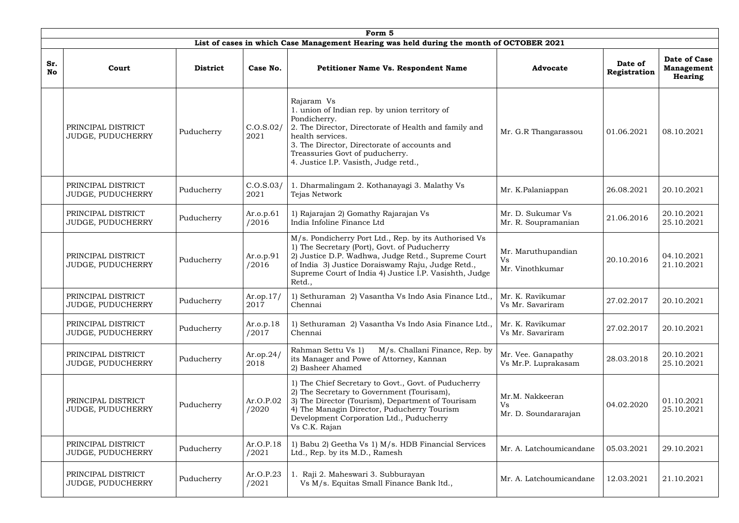|                  | Form 5                                  |                 |                     |                                                                                                                                                                                                                                                                                      |                                               |                         |                                                            |  |  |  |  |
|------------------|-----------------------------------------|-----------------|---------------------|--------------------------------------------------------------------------------------------------------------------------------------------------------------------------------------------------------------------------------------------------------------------------------------|-----------------------------------------------|-------------------------|------------------------------------------------------------|--|--|--|--|
|                  |                                         |                 |                     | List of cases in which Case Management Hearing was held during the month of OCTOBER 2021                                                                                                                                                                                             |                                               |                         |                                                            |  |  |  |  |
| Sr.<br><b>No</b> | Court                                   | <b>District</b> | Case No.            | <b>Petitioner Name Vs. Respondent Name</b>                                                                                                                                                                                                                                           | <b>Advocate</b>                               | Date of<br>Registration | <b>Date of Case</b><br><b>Management</b><br><b>Hearing</b> |  |  |  |  |
|                  | PRINCIPAL DISTRICT<br>JUDGE, PUDUCHERRY | Puducherry      | C.0.5.02/<br>2021   | Rajaram Vs<br>1. union of Indian rep. by union territory of<br>Pondicherry.<br>2. The Director, Directorate of Health and family and<br>health services.<br>3. The Director, Directorate of accounts and<br>Treassuries Govt of puducherry.<br>4. Justice I.P. Vasisth, Judge retd., | Mr. G.R Thangarassou                          | 01.06.2021              | 08.10.2021                                                 |  |  |  |  |
|                  | PRINCIPAL DISTRICT<br>JUDGE, PUDUCHERRY | Puducherry      | C. O.S. 03/<br>2021 | 1. Dharmalingam 2. Kothanayagi 3. Malathy Vs<br>Tejas Network                                                                                                                                                                                                                        | Mr. K.Palaniappan                             | 26.08.2021              | 20.10.2021                                                 |  |  |  |  |
|                  | PRINCIPAL DISTRICT<br>JUDGE, PUDUCHERRY | Puducherry      | Ar.o.p.61<br>/2016  | 1) Rajarajan 2) Gomathy Rajarajan Vs<br>India Infoline Finance Ltd                                                                                                                                                                                                                   | Mr. D. Sukumar Vs<br>Mr. R. Soupramanian      | 21.06.2016              | 20.10.2021<br>25.10.2021                                   |  |  |  |  |
|                  | PRINCIPAL DISTRICT<br>JUDGE, PUDUCHERRY | Puducherry      | Ar.o.p.91<br>/2016  | M/s. Pondicherry Port Ltd., Rep. by its Authorised Vs<br>1) The Secretary (Port), Govt. of Puducherry<br>2) Justice D.P. Wadhwa, Judge Retd., Supreme Court<br>of India 3) Justice Doraiswamy Raju, Judge Retd.,<br>Supreme Court of India 4) Justice I.P. Vasishth, Judge<br>Retd., | Mr. Maruthupandian<br>Vs<br>Mr. Vinothkumar   | 20.10.2016              | 04.10.2021<br>21.10.2021                                   |  |  |  |  |
|                  | PRINCIPAL DISTRICT<br>JUDGE, PUDUCHERRY | Puducherry      | Ar.op.17/<br>2017   | 1) Sethuraman 2) Vasantha Vs Indo Asia Finance Ltd.,<br>Chennai                                                                                                                                                                                                                      | Mr. K. Ravikumar<br>Vs Mr. Savariram          | 27.02.2017              | 20.10.2021                                                 |  |  |  |  |
|                  | PRINCIPAL DISTRICT<br>JUDGE, PUDUCHERRY | Puducherry      | Ar.o.p.18<br>/2017  | 1) Sethuraman 2) Vasantha Vs Indo Asia Finance Ltd.,<br>Chennai                                                                                                                                                                                                                      | Mr. K. Ravikumar<br>Vs Mr. Savariram          | 27.02.2017              | 20.10.2021                                                 |  |  |  |  |
|                  | PRINCIPAL DISTRICT<br>JUDGE, PUDUCHERRY | Puducherry      | Ar.op.24/<br>2018   | M/s. Challani Finance, Rep. by<br>Rahman Settu Vs 1)<br>its Manager and Powe of Attorney, Kannan<br>2) Basheer Ahamed                                                                                                                                                                | Mr. Vee. Ganapathy<br>Vs Mr.P. Luprakasam     | 28.03.2018              | 20.10.2021<br>25.10.2021                                   |  |  |  |  |
|                  | PRINCIPAL DISTRICT<br>JUDGE, PUDUCHERRY | Puducherry      | Ar.O.P.02<br>/2020  | 1) The Chief Secretary to Govt., Govt. of Puducherry<br>2) The Secretary to Government (Tourisam),<br>3) The Director (Tourism), Department of Tourisam<br>4) The Managin Director, Puducherry Tourism<br>Development Corporation Ltd., Puducherry<br>Vs C.K. Rajan                  | Mr.M. Nakkeeran<br>Vs<br>Mr. D. Soundararajan | 04.02.2020              | 01.10.2021<br>25.10.2021                                   |  |  |  |  |
|                  | PRINCIPAL DISTRICT<br>JUDGE, PUDUCHERRY | Puducherry      | Ar.O.P.18<br>/2021  | 1) Babu 2) Geetha Vs 1) M/s. HDB Financial Services<br>Ltd., Rep. by its M.D., Ramesh                                                                                                                                                                                                | Mr. A. Latchoumicandane                       | 05.03.2021              | 29.10.2021                                                 |  |  |  |  |
|                  | PRINCIPAL DISTRICT<br>JUDGE, PUDUCHERRY | Puducherry      | Ar.O.P.23<br>/2021  | 1. Raji 2. Maheswari 3. Subburayan<br>Vs M/s. Equitas Small Finance Bank ltd.,                                                                                                                                                                                                       | Mr. A. Latchoumicandane                       | 12.03.2021              | 21.10.2021                                                 |  |  |  |  |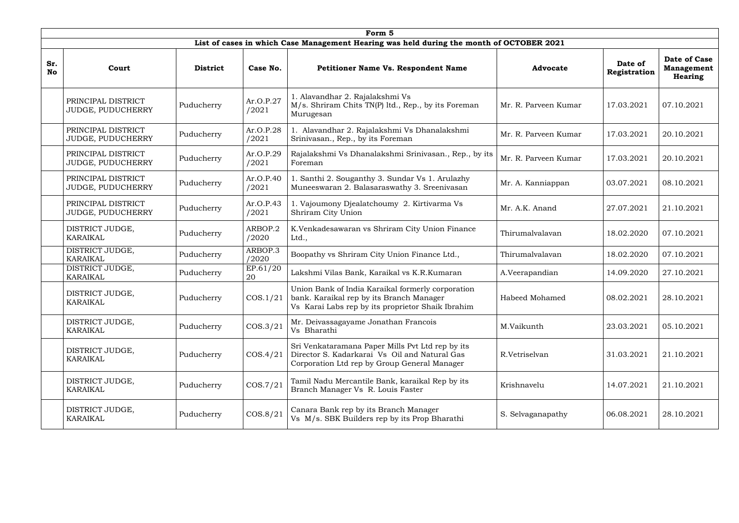|                  | Form 5                                  |                 |                    |                                                                                                                                                    |                      |                         |                                                     |  |  |  |  |
|------------------|-----------------------------------------|-----------------|--------------------|----------------------------------------------------------------------------------------------------------------------------------------------------|----------------------|-------------------------|-----------------------------------------------------|--|--|--|--|
|                  |                                         |                 |                    | List of cases in which Case Management Hearing was held during the month of OCTOBER 2021                                                           |                      |                         |                                                     |  |  |  |  |
| Sr.<br><b>No</b> | Court                                   | <b>District</b> | Case No.           | <b>Petitioner Name Vs. Respondent Name</b>                                                                                                         | <b>Advocate</b>      | Date of<br>Registration | Date of Case<br><b>Management</b><br><b>Hearing</b> |  |  |  |  |
|                  | PRINCIPAL DISTRICT<br>JUDGE, PUDUCHERRY | Puducherry      | Ar.O.P.27<br>/2021 | 1. Alavandhar 2. Rajalakshmi Vs<br>M/s. Shriram Chits TN(P) ltd., Rep., by its Foreman<br>Murugesan                                                | Mr. R. Parveen Kumar | 17.03.2021              | 07.10.2021                                          |  |  |  |  |
|                  | PRINCIPAL DISTRICT<br>JUDGE, PUDUCHERRY | Puducherry      | Ar.O.P.28<br>/2021 | 1. Alavandhar 2. Rajalakshmi Vs Dhanalakshmi<br>Srinivasan., Rep., by its Foreman                                                                  | Mr. R. Parveen Kumar | 17.03.2021              | 20.10.2021                                          |  |  |  |  |
|                  | PRINCIPAL DISTRICT<br>JUDGE, PUDUCHERRY | Puducherry      | Ar.O.P.29<br>/2021 | Rajalakshmi Vs Dhanalakshmi Srinivasan., Rep., by its<br>Foreman                                                                                   | Mr. R. Parveen Kumar | 17.03.2021              | 20.10.2021                                          |  |  |  |  |
|                  | PRINCIPAL DISTRICT<br>JUDGE, PUDUCHERRY | Puducherry      | Ar.O.P.40<br>/2021 | 1. Santhi 2. Souganthy 3. Sundar Vs 1. Arulazhy<br>Muneeswaran 2. Balasaraswathy 3. Sreenivasan                                                    | Mr. A. Kanniappan    | 03.07.2021              | 08.10.2021                                          |  |  |  |  |
|                  | PRINCIPAL DISTRICT<br>JUDGE, PUDUCHERRY | Puducherry      | Ar.O.P.43<br>/2021 | 1. Vajoumony Djealatchoumy 2. Kirtivarma Vs<br>Shriram City Union                                                                                  | Mr. A.K. Anand       | 27.07.2021              | 21.10.2021                                          |  |  |  |  |
|                  | DISTRICT JUDGE,<br><b>KARAIKAL</b>      | Puducherry      | ARBOP.2<br>/2020   | K.Venkadesawaran vs Shriram City Union Finance<br>Ltd.,                                                                                            | Thirumalvalavan      | 18.02.2020              | 07.10.2021                                          |  |  |  |  |
|                  | DISTRICT JUDGE,<br><b>KARAIKAL</b>      | Puducherry      | ARBOP.3<br>/2020   | Boopathy vs Shriram City Union Finance Ltd.,                                                                                                       | Thirumalvalavan      | 18.02.2020              | 07.10.2021                                          |  |  |  |  |
|                  | DISTRICT JUDGE,<br><b>KARAIKAL</b>      | Puducherry      | EP.61/20<br>20     | Lakshmi Vilas Bank, Karaikal vs K.R.Kumaran                                                                                                        | A.Veerapandian       | 14.09.2020              | 27.10.2021                                          |  |  |  |  |
|                  | DISTRICT JUDGE,<br><b>KARAIKAL</b>      | Puducherry      | COS.1/21           | Union Bank of India Karaikal formerly corporation<br>bank. Karaikal rep by its Branch Manager<br>Vs Karai Labs rep by its proprietor Shaik Ibrahim | Habeed Mohamed       | 08.02.2021              | 28.10.2021                                          |  |  |  |  |
|                  | DISTRICT JUDGE,<br>KARAIKAL             | Puducherry      | COS.3/21           | Mr. Deivassagayame Jonathan Francois<br>Vs Bharathi                                                                                                | M.Vaikunth           | 23.03.2021              | 05.10.2021                                          |  |  |  |  |
|                  | DISTRICT JUDGE,<br><b>KARAIKAL</b>      | Puducherry      | COS.4/21           | Sri Venkataramana Paper Mills Pvt Ltd rep by its<br>Director S. Kadarkarai Vs Oil and Natural Gas<br>Corporation Ltd rep by Group General Manager  | R.Vetriselvan        | 31.03.2021              | 21.10.2021                                          |  |  |  |  |
|                  | DISTRICT JUDGE,<br><b>KARAIKAL</b>      | Puducherry      | COS.7/21           | Tamil Nadu Mercantile Bank, karaikal Rep by its<br>Branch Manager Vs R. Louis Faster                                                               | Krishnavelu          | 14.07.2021              | 21.10.2021                                          |  |  |  |  |
|                  | DISTRICT JUDGE,<br>KARAIKAL             | Puducherry      | COS.8/21           | Canara Bank rep by its Branch Manager<br>Vs M/s. SBK Builders rep by its Prop Bharathi                                                             | S. Selvaganapathy    | 06.08.2021              | 28.10.2021                                          |  |  |  |  |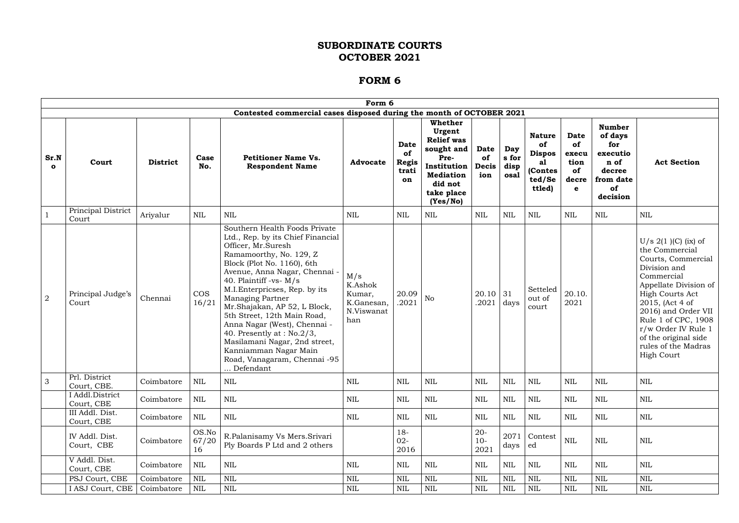|                      | Form 6                        |                 |                      |                                                                                                                                                                                                                                                                                                                                                                                                                                                                                                           |                                                             |                                                  |                                                                                                                                          |                                   |                              |                                                                           |                                                        |                                                                                              |                                                                                                                                                                                                                                                                                                             |
|----------------------|-------------------------------|-----------------|----------------------|-----------------------------------------------------------------------------------------------------------------------------------------------------------------------------------------------------------------------------------------------------------------------------------------------------------------------------------------------------------------------------------------------------------------------------------------------------------------------------------------------------------|-------------------------------------------------------------|--------------------------------------------------|------------------------------------------------------------------------------------------------------------------------------------------|-----------------------------------|------------------------------|---------------------------------------------------------------------------|--------------------------------------------------------|----------------------------------------------------------------------------------------------|-------------------------------------------------------------------------------------------------------------------------------------------------------------------------------------------------------------------------------------------------------------------------------------------------------------|
|                      |                               |                 |                      | Contested commercial cases disposed during the month of OCTOBER 2021                                                                                                                                                                                                                                                                                                                                                                                                                                      |                                                             |                                                  |                                                                                                                                          |                                   |                              |                                                                           |                                                        |                                                                                              |                                                                                                                                                                                                                                                                                                             |
| Sr.N<br>$\mathbf{o}$ | Court                         | <b>District</b> | Case<br>No.          | <b>Petitioner Name Vs.</b><br><b>Respondent Name</b>                                                                                                                                                                                                                                                                                                                                                                                                                                                      | <b>Advocate</b>                                             | <b>Date</b><br>of<br><b>Regis</b><br>trati<br>on | Whether<br>Urgent<br><b>Relief was</b><br>sought and $ $<br>Pre-<br>Institution<br><b>Mediation</b><br>did not<br>take place<br>(Yes/No) | <b>Date</b><br>of<br>Decis<br>ion | Day<br>s for<br>disp<br>osal | <b>Nature</b><br>of<br><b>Dispos</b><br>al<br>(Contes<br>ted/Se<br>ttled) | <b>Date</b><br>of<br>execu<br>tion<br>of<br>decre<br>e | <b>Number</b><br>of days<br>for<br>executio<br>n of<br>decree<br>from date<br>of<br>decision | <b>Act Section</b>                                                                                                                                                                                                                                                                                          |
|                      | Principal District<br>Court   | Ariyalur        | <b>NIL</b>           | $\mbox{NIL}$                                                                                                                                                                                                                                                                                                                                                                                                                                                                                              | NIL                                                         | <b>NIL</b>                                       | <b>NIL</b>                                                                                                                               | $\mbox{NIL}$                      | <b>NIL</b>                   | <b>NIL</b>                                                                | <b>NIL</b>                                             | $\mbox{NIL}$                                                                                 | $\mbox{NIL}$                                                                                                                                                                                                                                                                                                |
| $\overline{2}$       | Principal Judge's<br>Court    | Chennai         | <b>COS</b><br>16/21  | Southern Health Foods Private<br>Ltd., Rep. by its Chief Financial<br>Officer, Mr.Suresh<br>Ramamoorthy, No. 129, Z<br>Block (Plot No. 1160), 6th<br>Avenue, Anna Nagar, Chennai -<br>40. Plaintiff -vs- M/s<br>M.I. Enterpricses, Rep. by its<br>Managing Partner<br>Mr.Shajakan, AP 52, L Block,<br>5th Street, 12th Main Road,<br>Anna Nagar (West), Chennai -<br>40. Presently at : $No.2/3$ ,<br>Masilamani Nagar, 2nd street,<br>Kanniamman Nagar Main<br>Road, Vanagaram, Chennai -95<br>Defendant | M/s<br>K.Ashok<br>Kumar,<br>K.Ganesan,<br>N.Viswanat<br>han | 20.09<br>.2021                                   | No                                                                                                                                       | 20.10<br>.2021                    | 31<br>days                   | Setteled<br>out of<br>court                                               | 20.10.<br>2021                                         |                                                                                              | $U/s 2(1)$ (C) (ix) of<br>the Commercial<br>Courts, Commercial<br>Division and<br>Commercial<br>Appellate Division of<br><b>High Courts Act</b><br>2015, (Act 4 of<br>2016) and Order VII<br>Rule 1 of CPC, 1908<br>r/w Order IV Rule 1<br>of the original side<br>rules of the Madras<br><b>High Court</b> |
| 3                    | Prl. District<br>Court, CBE.  | Coimbatore      | <b>NIL</b>           | <b>NIL</b>                                                                                                                                                                                                                                                                                                                                                                                                                                                                                                | <b>NIL</b>                                                  | <b>NIL</b>                                       | NIL                                                                                                                                      | $\mbox{NIL}$                      | <b>NIL</b>                   | NIL                                                                       | <b>NIL</b>                                             | $\mbox{NIL}$                                                                                 | <b>NIL</b>                                                                                                                                                                                                                                                                                                  |
|                      | I Addl.District<br>Court, CBE | Coimbatore      | <b>NIL</b>           | <b>NIL</b>                                                                                                                                                                                                                                                                                                                                                                                                                                                                                                | NIL                                                         | NIL                                              | <b>NIL</b>                                                                                                                               | $\mbox{NIL}$                      | <b>NIL</b>                   | NIL                                                                       | <b>NIL</b>                                             | NIL                                                                                          | <b>NIL</b>                                                                                                                                                                                                                                                                                                  |
|                      | III Addl. Dist.<br>Court, CBE | Coimbatore      | <b>NIL</b>           | <b>NIL</b>                                                                                                                                                                                                                                                                                                                                                                                                                                                                                                | NIL                                                         | <b>NIL</b>                                       | <b>NIL</b>                                                                                                                               | $\mbox{NIL}$                      | <b>NIL</b>                   | NIL                                                                       | <b>NIL</b>                                             | NIL                                                                                          | <b>NIL</b>                                                                                                                                                                                                                                                                                                  |
|                      | IV Addl. Dist.<br>Court, CBE  | Coimbatore      | OS.No<br>67/20<br>16 | R.Palanisamy Vs Mers.Srivari<br>Ply Boards P Ltd and 2 others                                                                                                                                                                                                                                                                                                                                                                                                                                             |                                                             | $18 -$<br>$02 -$<br>2016                         |                                                                                                                                          | $20 -$<br>$10-$<br>2021           | 2071<br>days                 | Contest<br>ed                                                             | $\mbox{NIL}$                                           | NIL                                                                                          | <b>NIL</b>                                                                                                                                                                                                                                                                                                  |
|                      | V Addl. Dist.<br>Court, CBE   | Coimbatore      | <b>NIL</b>           | <b>NIL</b>                                                                                                                                                                                                                                                                                                                                                                                                                                                                                                | NIL                                                         | NIL                                              | <b>NIL</b>                                                                                                                               | $\mbox{NIL}$                      | <b>NIL</b>                   | NIL                                                                       | <b>NIL</b>                                             | NIL                                                                                          | <b>NIL</b>                                                                                                                                                                                                                                                                                                  |
|                      | PSJ Court, CBE                | Coimbatore      | <b>NIL</b>           | <b>NIL</b>                                                                                                                                                                                                                                                                                                                                                                                                                                                                                                | <b>NIL</b>                                                  | <b>NIL</b>                                       | <b>NIL</b>                                                                                                                               | $\mbox{NIL}$                      | <b>NIL</b>                   | NIL                                                                       | <b>NIL</b>                                             | $\mbox{NIL}$                                                                                 | <b>NIL</b>                                                                                                                                                                                                                                                                                                  |
|                      | I ASJ Court, CBE              | Coimbatore      | NIL                  | $\mbox{NIL}$                                                                                                                                                                                                                                                                                                                                                                                                                                                                                              | NIL                                                         | <b>NIL</b>                                       | NIL                                                                                                                                      | NIL                               | <b>NIL</b>                   | NIL                                                                       | <b>NIL</b>                                             | NIL                                                                                          | NIL                                                                                                                                                                                                                                                                                                         |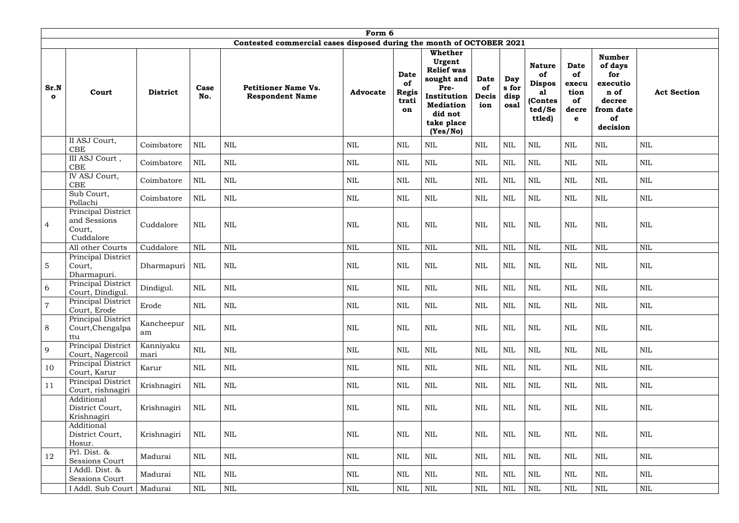|                      | Form 6                                                    |                   |              |                                                                      |                 |                                                  |                                                                                                                                             |                                          |                              |                                                                           |                                                        |                                                                                              |                    |
|----------------------|-----------------------------------------------------------|-------------------|--------------|----------------------------------------------------------------------|-----------------|--------------------------------------------------|---------------------------------------------------------------------------------------------------------------------------------------------|------------------------------------------|------------------------------|---------------------------------------------------------------------------|--------------------------------------------------------|----------------------------------------------------------------------------------------------|--------------------|
|                      |                                                           |                   |              | Contested commercial cases disposed during the month of OCTOBER 2021 |                 |                                                  |                                                                                                                                             |                                          |                              |                                                                           |                                                        |                                                                                              |                    |
| Sr.N<br>$\mathbf{o}$ | Court                                                     | <b>District</b>   | Case<br>No.  | <b>Petitioner Name Vs.</b><br><b>Respondent Name</b>                 | <b>Advocate</b> | <b>Date</b><br>of<br><b>Regis</b><br>trati<br>on | <b>Whether</b><br>Urgent<br><b>Relief was</b><br>sought and<br>Pre-<br>Institution<br><b>Mediation</b><br>did not<br>take place<br>(Yes/No) | <b>Date</b><br>of<br><b>Decis</b><br>ion | Day<br>s for<br>disp<br>osal | <b>Nature</b><br>of<br><b>Dispos</b><br>al<br>(Contes<br>ted/Se<br>ttled) | <b>Date</b><br>of<br>execu<br>tion<br>of<br>decre<br>e | <b>Number</b><br>of days<br>for<br>executio<br>n of<br>decree<br>from date<br>of<br>decision | <b>Act Section</b> |
|                      | II ASJ Court,<br>CBE                                      | Coimbatore        | <b>NIL</b>   | <b>NIL</b>                                                           | <b>NIL</b>      | <b>NIL</b>                                       | NIL                                                                                                                                         | <b>NIL</b>                               | <b>NIL</b>                   | <b>NIL</b>                                                                | <b>NIL</b>                                             | <b>NIL</b>                                                                                   | <b>NIL</b>         |
|                      | III ASJ Court,<br>CBE                                     | Coimbatore        | $\mbox{NIL}$ | <b>NIL</b>                                                           | $\mbox{NIL}$    | <b>NIL</b>                                       | <b>NIL</b>                                                                                                                                  | $\mbox{NIL}$                             | <b>NIL</b>                   | $\mbox{NIL}$                                                              | $\mbox{NIL}$                                           | $\mbox{NIL}$                                                                                 | $\mbox{NIL}$       |
|                      | IV ASJ Court,<br>CBE                                      | Coimbatore        | $\mbox{NIL}$ | <b>NIL</b>                                                           | NIL             | <b>NIL</b>                                       | <b>NIL</b>                                                                                                                                  | $\mbox{NIL}$                             | <b>NIL</b>                   | <b>NIL</b>                                                                | $\mbox{NIL}$                                           | $\mbox{NIL}$                                                                                 | $\mbox{NIL}$       |
|                      | Sub Court,<br>Pollachi                                    | Coimbatore        | <b>NIL</b>   | <b>NIL</b>                                                           | NIL             | <b>NIL</b>                                       | <b>NIL</b>                                                                                                                                  | $\mbox{NIL}$                             | <b>NIL</b>                   | $\mbox{NIL}$                                                              | $\mbox{NIL}$                                           | $\mbox{NIL}$                                                                                 | $\mbox{NIL}$       |
| $\overline{4}$       | Principal District<br>and Sessions<br>Court,<br>Cuddalore | Cuddalore         | <b>NIL</b>   | <b>NIL</b>                                                           | <b>NIL</b>      | <b>NIL</b>                                       | $\mbox{NIL}$                                                                                                                                | <b>NIL</b>                               | <b>NIL</b>                   | <b>NIL</b>                                                                | <b>NIL</b>                                             | $\mbox{NIL}$                                                                                 | <b>NIL</b>         |
|                      | All other Courts                                          | Cuddalore         | <b>NIL</b>   | <b>NIL</b>                                                           | $\text{NIL}$    | <b>NIL</b>                                       | <b>NIL</b>                                                                                                                                  | $\text{NIL}$                             | <b>NIL</b>                   | NIL                                                                       | <b>NIL</b>                                             | $\text{NIL}$                                                                                 | <b>NIL</b>         |
| 5                    | Principal District<br>Court,<br>Dharmapuri.               | Dharmapuri        | <b>NIL</b>   | <b>NIL</b>                                                           | <b>NIL</b>      | <b>NIL</b>                                       | NIL                                                                                                                                         | <b>NIL</b>                               | <b>NIL</b>                   | <b>NIL</b>                                                                | $\mbox{NIL}$                                           | <b>NIL</b>                                                                                   | <b>NIL</b>         |
| 6                    | Principal District<br>Court, Dindigul.                    | Dindigul.         | <b>NIL</b>   | <b>NIL</b>                                                           | <b>NIL</b>      | <b>NIL</b>                                       | NIL                                                                                                                                         | $\mbox{NIL}$                             | <b>NIL</b>                   | <b>NIL</b>                                                                | $\mbox{NIL}$                                           | <b>NIL</b>                                                                                   | <b>NIL</b>         |
| 7                    | Principal District<br>Court, Erode                        | Erode             | $\mbox{NIL}$ | NIL                                                                  | $\mbox{NIL}$    | NIL                                              | NIL                                                                                                                                         | $\mbox{NIL}$                             | <b>NIL</b>                   | <b>NIL</b>                                                                | <b>NIL</b>                                             | NIL                                                                                          | $\mbox{NIL}$       |
| 8                    | Principal District<br>Court, Chengalpa<br>ttu             | Kancheepur<br>am  | $\mbox{NIL}$ | <b>NIL</b>                                                           | NIL             | NIL                                              | NIL                                                                                                                                         | $\mbox{NIL}$                             | $\mbox{NIL}$                 | <b>NIL</b>                                                                | $\mbox{NIL}$                                           | NIL                                                                                          | NIL                |
| 9                    | Principal District<br>Court, Nagercoil                    | Kanniyaku<br>mari | NIL          | NIL                                                                  | <b>NIL</b>      | NIL                                              | NIL                                                                                                                                         | $\mbox{NIL}$                             | $\text{NIL}$                 | NIL                                                                       | $\mbox{NIL}$                                           | NIL                                                                                          | $\mbox{NIL}$       |
| 10                   | Principal District<br>Court, Karur                        | Karur             | NIL          | <b>NIL</b>                                                           | NIL             | NIL                                              | NIL                                                                                                                                         | NIL                                      | $\mbox{NIL}$                 | NIL                                                                       | NIL                                                    | NIL                                                                                          | <b>NIL</b>         |
| 11                   | Principal District<br>Court, rishnagiri                   | Krishnagiri       | NIL          | $\mbox{NIL}$                                                         | <b>NIL</b>      | $\mbox{NIL}$                                     | NIL                                                                                                                                         | $\mbox{NIL}$                             | $\mbox{NIL}$                 | NIL                                                                       | $\mbox{NIL}$                                           | $\mbox{NIL}$                                                                                 | $\mbox{NIL}$       |
|                      | Additional<br>District Court,<br>Krishnagiri              | Krishnagiri       | NIL          | <b>NIL</b>                                                           | $\mbox{NIL}$    | $\mbox{NIL}$                                     | $\mbox{NIL}$                                                                                                                                | $\mbox{NIL}$                             | <b>NIL</b>                   | NIL                                                                       | $\mbox{NIL}$                                           | NIL                                                                                          | $\mbox{NIL}$       |
|                      | Additional<br>District Court,<br>Hosur.                   | Krishnagiri       | NIL          | <b>NIL</b>                                                           | $\mbox{NIL}$    | $\mbox{NIL}$                                     | NIL                                                                                                                                         | $\mbox{NIL}$                             | <b>NIL</b>                   | NIL                                                                       | $\mbox{NIL}$                                           | $\mbox{NIL}$                                                                                 | $\mbox{NIL}$       |
| 12                   | Prl. Dist. &<br>Sessions Court                            | Madurai           | <b>NIL</b>   | <b>NIL</b>                                                           | <b>NIL</b>      | $\mbox{NIL}$                                     | NIL                                                                                                                                         | $\mbox{NIL}$                             | <b>NIL</b>                   | NIL                                                                       | $\mbox{NIL}$                                           | $\mbox{NIL}$                                                                                 | $\mbox{NIL}$       |
|                      | I Addl. Dist. &<br>Sessions Court                         | Madurai           | NIL          | $\mbox{NIL}$                                                         | <b>NIL</b>      | $\mbox{NIL}$                                     | $\mbox{NIL}$                                                                                                                                | $\mbox{NIL}$                             | $\text{NIL}$                 | NIL                                                                       | $\mbox{NIL}$                                           | NIL                                                                                          | <b>NIL</b>         |
|                      | I Addl. Sub Court                                         | Madurai           | NIL          | $\mbox{NIL}$                                                         | $\mbox{NIL}$    | $\mbox{NIL}$                                     | $\mbox{NIL}$                                                                                                                                | $\mbox{NIL}$                             | $\mbox{NIL}$                 | $\mbox{NIL}$                                                              | $\mbox{NIL}$                                           | $\mbox{NIL}$                                                                                 | $\mbox{NIL}$       |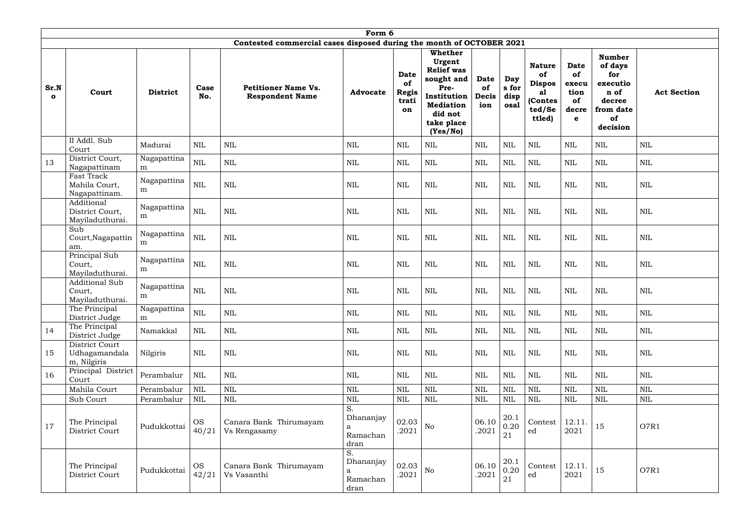|                      | Form 6                                             |                  |                    |                                                                      |                                          |                                                  |                                                                                                                                             |                                          |                              |                                                                           |                                                                  |                                                                                              |                    |
|----------------------|----------------------------------------------------|------------------|--------------------|----------------------------------------------------------------------|------------------------------------------|--------------------------------------------------|---------------------------------------------------------------------------------------------------------------------------------------------|------------------------------------------|------------------------------|---------------------------------------------------------------------------|------------------------------------------------------------------|----------------------------------------------------------------------------------------------|--------------------|
|                      |                                                    |                  |                    | Contested commercial cases disposed during the month of OCTOBER 2021 |                                          |                                                  |                                                                                                                                             |                                          |                              |                                                                           |                                                                  |                                                                                              |                    |
| Sr.N<br>$\mathbf{o}$ | Court                                              | <b>District</b>  | Case<br>No.        | <b>Petitioner Name Vs.</b><br><b>Respondent Name</b>                 | <b>Advocate</b>                          | <b>Date</b><br>of<br><b>Regis</b><br>trati<br>on | <b>Whether</b><br>Urgent<br><b>Relief was</b><br>sought and<br>Pre-<br>Institution<br><b>Mediation</b><br>did not<br>take place<br>(Yes/No) | <b>Date</b><br>of<br><b>Decis</b><br>ion | Day<br>s for<br>disp<br>osal | <b>Nature</b><br>of<br><b>Dispos</b><br>al<br>(Contes<br>ted/Se<br>ttled) | <b>Date</b><br>of<br>execu<br>tion<br>of<br>decre<br>$\mathbf e$ | <b>Number</b><br>of days<br>for<br>executio<br>n of<br>decree<br>from date<br>of<br>decision | <b>Act Section</b> |
|                      | II Addl. Sub<br>Court                              | Madurai          | <b>NIL</b>         | <b>NIL</b>                                                           | <b>NIL</b>                               | NIL                                              | <b>NIL</b>                                                                                                                                  | <b>NIL</b>                               | <b>NIL</b>                   | <b>NIL</b>                                                                | <b>NIL</b>                                                       | <b>NIL</b>                                                                                   | $\mbox{NIL}$       |
| 13                   | District Court,<br>Nagapattinam                    | Nagapattina<br>m | $\mbox{NIL}$       | <b>NIL</b>                                                           | NIL                                      | <b>NIL</b>                                       | <b>NIL</b>                                                                                                                                  | $\text{NIL}$                             | <b>NIL</b>                   | <b>NIL</b>                                                                | $\mbox{NIL}$                                                     | <b>NIL</b>                                                                                   | $\mbox{NIL}$       |
|                      | Fast Track<br>Mahila Court,<br>Nagapattinam.       | Nagapattina<br>m | $\mbox{NIL}$       | <b>NIL</b>                                                           | <b>NIL</b>                               | <b>NIL</b>                                       | <b>NIL</b>                                                                                                                                  | $\text{NIL}$                             | <b>NIL</b>                   | <b>NIL</b>                                                                | <b>NIL</b>                                                       | $\mbox{NIL}$                                                                                 | $\mbox{NIL}$       |
|                      | Additional<br>District Court,<br>Mayiladuthurai.   | Nagapattina<br>m | $\mbox{NIL}$       | <b>NIL</b>                                                           | <b>NIL</b>                               | NIL                                              | NIL                                                                                                                                         | <b>NIL</b>                               | <b>NIL</b>                   | <b>NIL</b>                                                                | <b>NIL</b>                                                       | <b>NIL</b>                                                                                   | $\mbox{NIL}$       |
|                      | Sub<br>Court, Nagapattin<br>am.                    | Nagapattina<br>m | $\mbox{NIL}$       | <b>NIL</b>                                                           | <b>NIL</b>                               | <b>NIL</b>                                       | <b>NIL</b>                                                                                                                                  | $\mbox{NIL}$                             | <b>NIL</b>                   | <b>NIL</b>                                                                | <b>NIL</b>                                                       | $\mbox{NIL}$                                                                                 | <b>NIL</b>         |
|                      | Principal Sub<br>Court,<br>Mayiladuthurai.         | Nagapattina<br>m | $\mbox{NIL}$       | <b>NIL</b>                                                           | <b>NIL</b>                               | <b>NIL</b>                                       | <b>NIL</b>                                                                                                                                  | $\mbox{NIL}$                             | <b>NIL</b>                   | $\mbox{NIL}$                                                              | $\mbox{NIL}$                                                     | $\mbox{NIL}$                                                                                 | $\mbox{NIL}$       |
|                      | <b>Additional Sub</b><br>Court,<br>Mayiladuthurai. | Nagapattina<br>m | $\mbox{NIL}$       | <b>NIL</b>                                                           | <b>NIL</b>                               | <b>NIL</b>                                       | <b>NIL</b>                                                                                                                                  | $\mbox{NIL}$                             | <b>NIL</b>                   | <b>NIL</b>                                                                | <b>NIL</b>                                                       | $\mbox{NIL}$                                                                                 | $\mbox{NIL}$       |
|                      | The Principal<br>District Judge                    | Nagapattina<br>m | $\mbox{NIL}$       | <b>NIL</b>                                                           | $\mbox{NIL}$                             | <b>NIL</b>                                       | <b>NIL</b>                                                                                                                                  | $\mbox{NIL}$                             | <b>NIL</b>                   | <b>NIL</b>                                                                | $\mbox{NIL}$                                                     | $\mbox{NIL}$                                                                                 | <b>NIL</b>         |
| 14                   | The Principal<br>District Judge                    | Namakkal         | <b>NIL</b>         | $\mbox{NIL}$                                                         | NIL                                      | <b>NIL</b>                                       | <b>NIL</b>                                                                                                                                  | $\mbox{NIL}$                             | <b>NIL</b>                   | <b>NIL</b>                                                                | <b>NIL</b>                                                       | NIL                                                                                          | <b>NIL</b>         |
| 15                   | District Court<br>Udhagamandala<br>m, Nilgiris     | Nilgiris         | NIL                | <b>NIL</b>                                                           | NIL                                      | NIL                                              | NIL                                                                                                                                         | $\mbox{NIL}$                             | <b>NIL</b>                   | NIL                                                                       | <b>NIL</b>                                                       | <b>NIL</b>                                                                                   | $\mbox{NIL}$       |
| 16                   | Principal District<br>Court                        | Perambalur       | NIL                | <b>NIL</b>                                                           | NIL                                      | <b>NIL</b>                                       | <b>NIL</b>                                                                                                                                  | $\mbox{NIL}$                             | NIL                          | NIL                                                                       | <b>NIL</b>                                                       | NIL                                                                                          | <b>NIL</b>         |
|                      | Mahila Court                                       | Perambalur       | <b>NIL</b>         | <b>NIL</b>                                                           | <b>NIL</b>                               | NIL                                              | <b>NIL</b>                                                                                                                                  | $\mbox{NIL}$                             | <b>NIL</b>                   | <b>NIL</b>                                                                | <b>NIL</b>                                                       | $\mbox{NIL}$                                                                                 | $\mbox{NIL}$       |
|                      | Sub Court                                          | Perambalur       | NIL                | $\mbox{NIL}$                                                         | <b>NIL</b>                               | <b>NIL</b>                                       | $\mbox{NIL}$                                                                                                                                | $\mbox{NIL}$                             | <b>NIL</b>                   | <b>NIL</b>                                                                | <b>NIL</b>                                                       | $\mbox{NIL}$                                                                                 | $\mbox{NIL}$       |
| 17                   | The Principal<br>District Court                    | Pudukkottai      | <b>OS</b><br>40/21 | Canara Bank Thirumayam<br>Vs Rengasamy                               | S.<br>Dhananjay<br>a<br>Ramachan<br>dran | 02.03<br>.2021                                   | No                                                                                                                                          | 06.10<br>.2021                           | 20.1<br>0.20<br>21           | Contest<br>ed                                                             | 12.11<br>2021                                                    | 15                                                                                           | O7R1               |
|                      | The Principal<br>District Court                    | Pudukkottai      | <b>OS</b><br>42/21 | Canara Bank Thirumayam<br>Vs Vasanthi                                | S.<br>Dhananjay<br>a<br>Ramachan<br>dran | 02.03<br>.2021                                   | N <sub>o</sub>                                                                                                                              | 06.10<br>.2021                           | 20.1<br>0.20<br>21           | Contest<br>ed                                                             | 12.11.<br>2021                                                   | 15                                                                                           | O7R1               |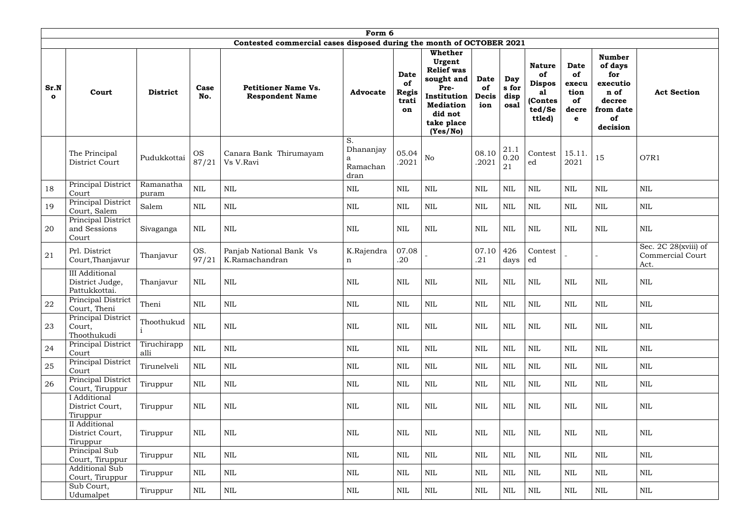|                      | Form 6                                                    |                     |                    |                                                                      |                                     |                                                  |                                                                                                                                             |                                          |                              |                                                                           |                                                                  |                                                                                              |                                                         |
|----------------------|-----------------------------------------------------------|---------------------|--------------------|----------------------------------------------------------------------|-------------------------------------|--------------------------------------------------|---------------------------------------------------------------------------------------------------------------------------------------------|------------------------------------------|------------------------------|---------------------------------------------------------------------------|------------------------------------------------------------------|----------------------------------------------------------------------------------------------|---------------------------------------------------------|
|                      |                                                           |                     |                    | Contested commercial cases disposed during the month of OCTOBER 2021 |                                     |                                                  |                                                                                                                                             |                                          |                              |                                                                           |                                                                  |                                                                                              |                                                         |
| Sr.N<br>$\mathbf{o}$ | Court                                                     | <b>District</b>     | Case<br>No.        | <b>Petitioner Name Vs.</b><br><b>Respondent Name</b>                 | <b>Advocate</b>                     | <b>Date</b><br>of<br><b>Regis</b><br>trati<br>on | <b>Whether</b><br>Urgent<br><b>Relief</b> was<br>sought and<br>Pre-<br>Institution<br><b>Mediation</b><br>did not<br>take place<br>(Yes/No) | <b>Date</b><br>of<br><b>Decis</b><br>ion | Day<br>s for<br>disp<br>osal | <b>Nature</b><br>of<br><b>Dispos</b><br>al<br>(Contes<br>ted/Se<br>ttled) | <b>Date</b><br>of<br>execu<br>tion<br>of<br>decre<br>$\mathbf e$ | <b>Number</b><br>of days<br>for<br>executio<br>n of<br>decree<br>from date<br>of<br>decision | <b>Act Section</b>                                      |
|                      | The Principal<br>District Court                           | Pudukkottai         | <b>OS</b><br>87/21 | Canara Bank Thirumayam<br>Vs V.Ravi                                  | S.<br>Dhananjay<br>Ramachan<br>dran | 05.04<br>.2021                                   | $\rm No$                                                                                                                                    | 08.10<br>.2021                           | 21.1<br>0.20<br>21           | Contest<br>ed                                                             | 15.11<br>2021                                                    | 15                                                                                           | O7R1                                                    |
| 18                   | Principal District<br>Court                               | Ramanatha<br>puram  | $\mbox{NIL}$       | <b>NIL</b>                                                           | <b>NIL</b>                          | <b>NIL</b>                                       | <b>NIL</b>                                                                                                                                  | $\mbox{NIL}$                             | <b>NIL</b>                   | <b>NIL</b>                                                                | <b>NIL</b>                                                       | <b>NIL</b>                                                                                   | $\mbox{NIL}$                                            |
| 19                   | Principal District<br>Court, Salem                        | Salem               | <b>NIL</b>         | <b>NIL</b>                                                           | <b>NIL</b>                          | <b>NIL</b>                                       | $\mbox{NIL}$                                                                                                                                | $\mbox{NIL}$                             | <b>NIL</b>                   | $\mbox{NIL}$                                                              | $\mbox{NIL}$                                                     | $\mbox{NIL}$                                                                                 | <b>NIL</b>                                              |
| 20                   | Principal District<br>and Sessions<br>Court               | Sivaganga           | <b>NIL</b>         | <b>NIL</b>                                                           | <b>NIL</b>                          | <b>NIL</b>                                       | <b>NIL</b>                                                                                                                                  | $\mbox{NIL}$                             | <b>NIL</b>                   | <b>NIL</b>                                                                | $\mbox{NIL}$                                                     | $\mbox{NIL}$                                                                                 | <b>NIL</b>                                              |
| 21                   | Prl. District<br>Court, Thanjavur                         | Thanjavur           | OS.<br>97/21       | Panjab National Bank Vs<br>K.Ramachandran                            | K.Rajendra<br>$\mathbf n$           | 07.08<br>.20                                     |                                                                                                                                             | 07.10<br>.21                             | 426<br>days                  | Contest<br>ed                                                             |                                                                  |                                                                                              | Sec. 2C 28(xviii) of<br><b>Commercial Court</b><br>Act. |
|                      | <b>III</b> Additional<br>District Judge,<br>Pattukkottai. | Thanjavur           | <b>NIL</b>         | <b>NIL</b>                                                           | <b>NIL</b>                          | <b>NIL</b>                                       | <b>NIL</b>                                                                                                                                  | $\mbox{NIL}$                             | <b>NIL</b>                   | <b>NIL</b>                                                                | <b>NIL</b>                                                       | $\mbox{NIL}$                                                                                 | <b>NIL</b>                                              |
| 22                   | Principal District<br>Court, Theni                        | Theni               | $\mbox{NIL}$       | NIL                                                                  | NIL                                 | NIL                                              | $\mbox{NIL}$                                                                                                                                | <b>NIL</b>                               | $\mbox{NIL}$                 | <b>NIL</b>                                                                | <b>NIL</b>                                                       | $\mbox{NIL}$                                                                                 | <b>NIL</b>                                              |
| 23                   | Principal District<br>Court,<br>Thoothukudi               | Thoothukud          | $\mbox{NIL}$       | <b>NIL</b>                                                           | NIL                                 | $\mbox{NIL}$                                     | NIL                                                                                                                                         | $\mbox{NIL}$                             | $\mbox{NIL}$                 | NIL                                                                       | NIL                                                              | NIL                                                                                          | <b>NIL</b>                                              |
| 24                   | Principal District<br>Court                               | Tiruchirapp<br>alli | $\mbox{NIL}$       | $\mbox{NIL}$                                                         | NIL                                 | <b>NIL</b>                                       | <b>NIL</b>                                                                                                                                  | $\mbox{NIL}$                             | $\mbox{NIL}$                 | NIL                                                                       | NIL                                                              | <b>NIL</b>                                                                                   | <b>NIL</b>                                              |
| 25                   | Principal District<br>Court                               | Tirunelveli         | NIL                | <b>NIL</b>                                                           | NIL                                 | NIL                                              | <b>NIL</b>                                                                                                                                  | $\mbox{NIL}$                             | $\mbox{NIL}$                 | NIL                                                                       | NIL                                                              | NIL                                                                                          | NIL                                                     |
| 26                   | Principal District<br>Court, Tiruppur                     | Tiruppur            | <b>NIL</b>         | NIL                                                                  | <b>NIL</b>                          | <b>NIL</b>                                       | NIL                                                                                                                                         | $\mbox{NIL}$                             | $\mbox{NIL}$                 | <b>NIL</b>                                                                | <b>NIL</b>                                                       | NIL                                                                                          | NIL                                                     |
|                      | I Additional<br>District Court,<br>Tiruppur               | Tiruppur            | NIL                | <b>NIL</b>                                                           | <b>NIL</b>                          | <b>NIL</b>                                       | NIL                                                                                                                                         | $\mbox{NIL}$                             | $\mbox{NIL}$                 | NIL                                                                       | NIL                                                              | NIL                                                                                          | NIL                                                     |
|                      | II Additional<br>District Court,<br>Tiruppur              | Tiruppur            | NIL                | <b>NIL</b>                                                           | NIL                                 | <b>NIL</b>                                       | NIL                                                                                                                                         | $\mbox{NIL}$                             | <b>NIL</b>                   | <b>NIL</b>                                                                | $\mbox{NIL}$                                                     | NIL                                                                                          | NIL                                                     |
|                      | Principal Sub<br>Court, Tiruppur                          | Tiruppur            | <b>NIL</b>         | NIL                                                                  | <b>NIL</b>                          | <b>NIL</b>                                       | NIL                                                                                                                                         | $\mbox{NIL}$                             | $\mbox{NIL}$                 | <b>NIL</b>                                                                | <b>NIL</b>                                                       | NIL                                                                                          | NIL                                                     |
|                      | <b>Additional Sub</b><br>Court, Tiruppur                  | Tiruppur            | <b>NIL</b>         | <b>NIL</b>                                                           | NIL                                 | <b>NIL</b>                                       | <b>NIL</b>                                                                                                                                  | $\mbox{NIL}$                             | <b>NIL</b>                   | NIL                                                                       | NIL                                                              | <b>NIL</b>                                                                                   | <b>NIL</b>                                              |
|                      | Sub Court,<br>Udumalpet                                   | Tiruppur            | NIL                | $\rm NIL$                                                            | NIL                                 | $\rm NIL$                                        | <b>NIL</b>                                                                                                                                  | NIL                                      | NIL                          | NIL                                                                       | $\rm NIL$                                                        | NIL                                                                                          | NIL                                                     |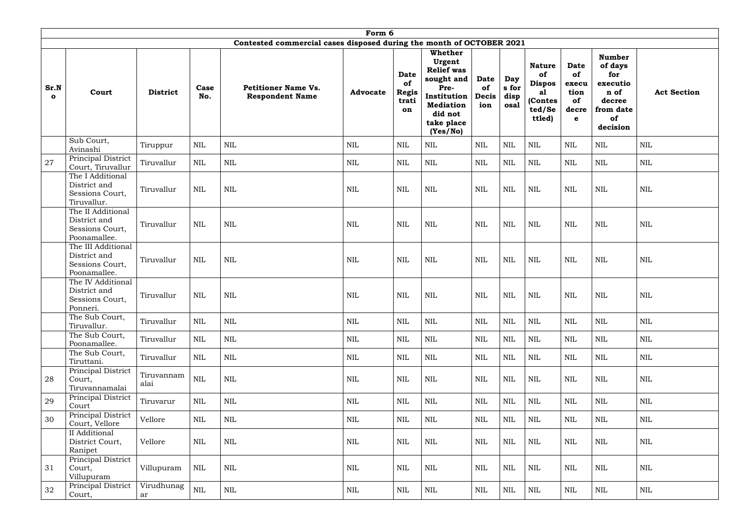|                      | Form 6                                                                |                    |              |                                                                      |                 |                                           |                                                                                                                                      |                                          |                              |                                                                           |                                                                  |                                                                                              |                    |
|----------------------|-----------------------------------------------------------------------|--------------------|--------------|----------------------------------------------------------------------|-----------------|-------------------------------------------|--------------------------------------------------------------------------------------------------------------------------------------|------------------------------------------|------------------------------|---------------------------------------------------------------------------|------------------------------------------------------------------|----------------------------------------------------------------------------------------------|--------------------|
|                      |                                                                       |                    |              | Contested commercial cases disposed during the month of OCTOBER 2021 |                 |                                           |                                                                                                                                      |                                          |                              |                                                                           |                                                                  |                                                                                              |                    |
| Sr.N<br>$\mathbf{o}$ | Court                                                                 | <b>District</b>    | Case<br>No.  | <b>Petitioner Name Vs.</b><br><b>Respondent Name</b>                 | <b>Advocate</b> | Date<br>of<br><b>Regis</b><br>trati<br>on | Whether<br>Urgent<br><b>Relief was</b><br>sought and<br>Pre-<br>Institution<br><b>Mediation</b><br>did not<br>take place<br>(Yes/No) | <b>Date</b><br>of<br><b>Decis</b><br>ion | Day<br>s for<br>disp<br>osal | <b>Nature</b><br>of<br><b>Dispos</b><br>a1<br>(Contes<br>ted/Se<br>ttled) | <b>Date</b><br>of<br>execu<br>tion<br>of<br>decre<br>$\mathbf e$ | <b>Number</b><br>of days<br>for<br>executio<br>n of<br>decree<br>from date<br>of<br>decision | <b>Act Section</b> |
|                      | Sub Court,<br>Avinashi                                                | Tiruppur           | <b>NIL</b>   | <b>NIL</b>                                                           | NIL             | <b>NIL</b>                                | <b>NIL</b>                                                                                                                           | $\mbox{NIL}$                             | <b>NIL</b>                   | <b>NIL</b>                                                                | <b>NIL</b>                                                       | <b>NIL</b>                                                                                   | NIL                |
| 27                   | Principal District<br>Court, Tiruvallur                               | Tiruvallur         | <b>NIL</b>   | <b>NIL</b>                                                           | NIL             | <b>NIL</b>                                | <b>NIL</b>                                                                                                                           | $\mbox{NIL}$                             | <b>NIL</b>                   | <b>NIL</b>                                                                | <b>NIL</b>                                                       | <b>NIL</b>                                                                                   | <b>NIL</b>         |
|                      | The I Additional<br>District and<br>Sessions Court,<br>Tiruvallur.    | Tiruvallur         | $\mbox{NIL}$ | <b>NIL</b>                                                           | NIL             | <b>NIL</b>                                | <b>NIL</b>                                                                                                                           | <b>NIL</b>                               | <b>NIL</b>                   | <b>NIL</b>                                                                | <b>NIL</b>                                                       | $\mbox{NIL}$                                                                                 | <b>NIL</b>         |
|                      | The II Additional<br>District and<br>Sessions Court,<br>Poonamallee.  | Tiruvallur         | $\mbox{NIL}$ | <b>NIL</b>                                                           | <b>NIL</b>      | <b>NIL</b>                                | <b>NIL</b>                                                                                                                           | $\mbox{NIL}$                             | <b>NIL</b>                   | <b>NIL</b>                                                                | <b>NIL</b>                                                       | $\mbox{NIL}$                                                                                 | <b>NIL</b>         |
|                      | The III Additional<br>District and<br>Sessions Court,<br>Poonamallee. | Tiruvallur         | $\mbox{NIL}$ | <b>NIL</b>                                                           | NIL             | <b>NIL</b>                                | $\mbox{NIL}$                                                                                                                         | <b>NIL</b>                               | <b>NIL</b>                   | <b>NIL</b>                                                                | <b>NIL</b>                                                       | $\mbox{NIL}$                                                                                 | <b>NIL</b>         |
|                      | The IV Additional<br>District and<br>Sessions Court,<br>Ponneri.      | Tiruvallur         | <b>NIL</b>   | <b>NIL</b>                                                           | <b>NIL</b>      | <b>NIL</b>                                | $\mbox{NIL}$                                                                                                                         | <b>NIL</b>                               | <b>NIL</b>                   | <b>NIL</b>                                                                | <b>NIL</b>                                                       | <b>NIL</b>                                                                                   | <b>NIL</b>         |
|                      | The Sub Court,<br>Tiruvallur.                                         | Tiruvallur         | <b>NIL</b>   | $\mbox{NIL}$                                                         | <b>NIL</b>      | <b>NIL</b>                                | $\mbox{NIL}$                                                                                                                         | $\mbox{NIL}$                             | $\mbox{NIL}$                 | <b>NIL</b>                                                                | <b>NIL</b>                                                       | NIL                                                                                          | $\mbox{NIL}$       |
|                      | The Sub Court,<br>Poonamallee.                                        | Tiruvallur         | NIL          | $\mbox{NIL}$                                                         | <b>NIL</b>      | <b>NIL</b>                                | $\mbox{NIL}$                                                                                                                         | $\mbox{NIL}$                             | $\mbox{NIL}$                 | NIL                                                                       | <b>NIL</b>                                                       | NIL                                                                                          | <b>NIL</b>         |
|                      | The Sub Court,<br>Tiruttani.                                          | Tiruvallur         | <b>NIL</b>   | $\mbox{NIL}$                                                         | NIL             | NIL                                       | $\mbox{NIL}$                                                                                                                         | <b>NIL</b>                               | $\mbox{NIL}$                 | NIL                                                                       | NIL                                                              | <b>NIL</b>                                                                                   | NIL                |
| 28                   | Principal District<br>Court,<br>Tiruvannamalai                        | Tiruvannam<br>alai | $\mbox{NIL}$ | $\mbox{NIL}$                                                         | NIL             | $\mbox{NIL}$                              | $\mbox{NIL}$                                                                                                                         | $\mbox{NIL}$                             | $\mbox{NIL}$                 | NIL                                                                       | NIL                                                              | NIL                                                                                          | $\mbox{NIL}$       |
| 29                   | Principal District<br>Court                                           | Tiruvarur          | NIL          | $\mbox{NIL}$                                                         | NIL             | $\mbox{NIL}$                              | NIL                                                                                                                                  | $\mbox{NIL}$                             | $\mbox{NIL}$                 | NIL                                                                       | NIL                                                              | NIL                                                                                          | NIL                |
| 30                   | Principal District<br>Court, Vellore                                  | Vellore            | <b>NIL</b>   | $\mbox{NIL}$                                                         | NIL             | NIL                                       | $\mbox{NIL}$                                                                                                                         | $\mbox{NIL}$                             | $\mbox{NIL}$                 | NIL                                                                       | <b>NIL</b>                                                       | NIL                                                                                          | NIL                |
|                      | II Additional<br>District Court,<br>Ranipet                           | Vellore            | <b>NIL</b>   | $\mbox{NIL}$                                                         | <b>NIL</b>      | NIL                                       | $\mbox{NIL}$                                                                                                                         | $\mbox{NIL}$                             | <b>NIL</b>                   | NIL                                                                       | $\mbox{NIL}$                                                     | NIL                                                                                          | <b>NIL</b>         |
| 31                   | Principal District<br>Court,<br>Villupuram                            | Villupuram         | $\mbox{NIL}$ | $\mbox{NIL}$                                                         | <b>NIL</b>      | $\mbox{NIL}$                              | $\mbox{NIL}$                                                                                                                         | $\mbox{NIL}$                             | $\mbox{NIL}$                 | NIL                                                                       | NIL                                                              | NIL                                                                                          | $\mbox{NIL}$       |
| 32                   | Principal District<br>Court,                                          | Virudhunag<br>ar   | $\mbox{NIL}$ | $\mbox{NIL}$                                                         | NIL             | $\mbox{NIL}$                              | $\mbox{NIL}$                                                                                                                         | $\mbox{NIL}$                             | $\mbox{NIL}$                 | NIL                                                                       | NIL                                                              | NIL                                                                                          | NIL                |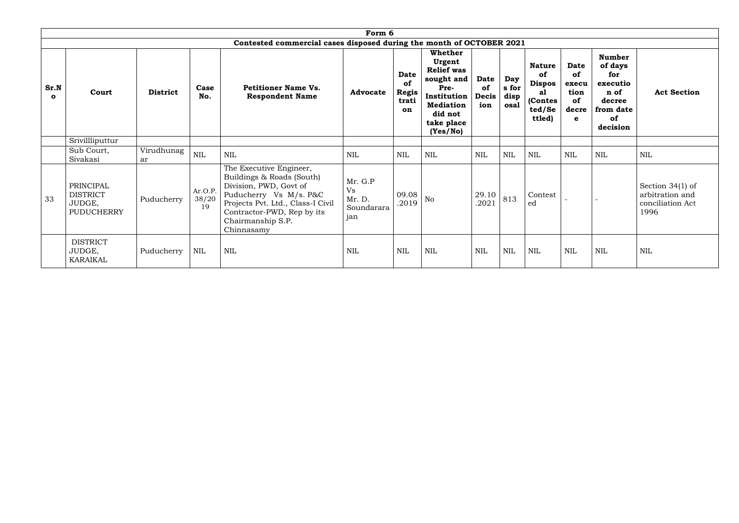|                      | Form 6                                               |                  |                        |                                                                                                                                                                                                                |                                              |                                                  |                                                                                                                                      |                                          |                              |                                                                           |                                                        |                                                                                              |                                                                   |
|----------------------|------------------------------------------------------|------------------|------------------------|----------------------------------------------------------------------------------------------------------------------------------------------------------------------------------------------------------------|----------------------------------------------|--------------------------------------------------|--------------------------------------------------------------------------------------------------------------------------------------|------------------------------------------|------------------------------|---------------------------------------------------------------------------|--------------------------------------------------------|----------------------------------------------------------------------------------------------|-------------------------------------------------------------------|
|                      |                                                      |                  |                        | Contested commercial cases disposed during the month of OCTOBER 2021                                                                                                                                           |                                              |                                                  |                                                                                                                                      |                                          |                              |                                                                           |                                                        |                                                                                              |                                                                   |
| Sr.N<br>$\mathbf{o}$ | Court                                                | <b>District</b>  | Case<br>No.            | <b>Petitioner Name Vs.</b><br><b>Respondent Name</b>                                                                                                                                                           | <b>Advocate</b>                              | <b>Date</b><br>of<br><b>Regis</b><br>trati<br>on | Whether<br>Urgent<br><b>Relief was</b><br>sought and<br>Pre-<br>Institution<br><b>Mediation</b><br>did not<br>take place<br>(Yes/No) | <b>Date</b><br>of<br><b>Decis</b><br>ion | Day<br>s for<br>disp<br>osal | <b>Nature</b><br>of<br><b>Dispos</b><br>a1<br>(Contes<br>ted/Se<br>ttled) | <b>Date</b><br>of<br>execu<br>tion<br>of<br>decre<br>e | <b>Number</b><br>of days<br>for<br>executio<br>n of<br>decree<br>from date<br>of<br>decision | <b>Act Section</b>                                                |
|                      | Srivillliputtur                                      |                  |                        |                                                                                                                                                                                                                |                                              |                                                  |                                                                                                                                      |                                          |                              |                                                                           |                                                        |                                                                                              |                                                                   |
|                      | Sub Court,<br>Sivakasi                               | Virudhunag<br>ar | <b>NIL</b>             | <b>NIL</b>                                                                                                                                                                                                     | NIL                                          | <b>NIL</b>                                       | <b>NIL</b>                                                                                                                           | <b>NIL</b>                               | <b>NIL</b>                   | <b>NIL</b>                                                                | <b>NIL</b>                                             | <b>NIL</b>                                                                                   | <b>NIL</b>                                                        |
| 33                   | PRINCIPAL<br><b>DISTRICT</b><br>JUDGE,<br>PUDUCHERRY | Puducherry       | Ar.O.P.<br>38/20<br>19 | The Executive Engineer,<br>Buildings & Roads (South)<br>Division, PWD, Govt of<br>Puducherry Vs M/s. P&C<br>Projects Pvt. Ltd., Class-I Civil<br>Contractor-PWD, Rep by its<br>Chairmanship S.P.<br>Chinnasamy | Mr. G.P<br>Vs<br>Mr. D.<br>Soundarara<br>jan | 09.08<br>.2019                                   | <b>No</b>                                                                                                                            | 29.10<br>.2021                           | 813                          | Contest<br>ed                                                             |                                                        |                                                                                              | Section $34(1)$ of<br>arbitration and<br>conciliation Act<br>1996 |
|                      | <b>DISTRICT</b><br>JUDGE,<br><b>KARAIKAL</b>         | Puducherry       | $\mbox{NIL}$           | <b>NIL</b>                                                                                                                                                                                                     | <b>NIL</b>                                   | <b>NIL</b>                                       | $\text{NIL}$                                                                                                                         | $\mbox{NIL}$                             | <b>NIL</b>                   | $\mbox{NIL}$                                                              | $\mbox{NIL}$                                           | <b>NIL</b>                                                                                   | <b>NIL</b>                                                        |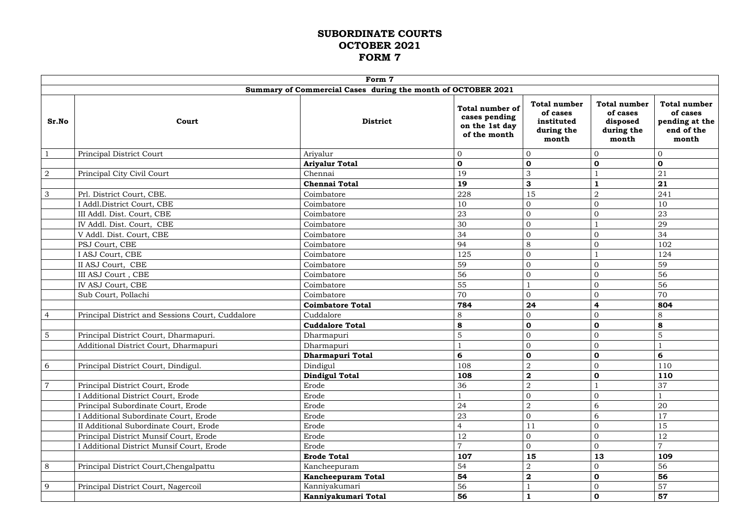# **SUBORDINATE COURTS OCTOBER 2021 FORM 7**

|                |                                                  | Form 7                                                       |                                                                           |                                                                      |                                                                    |                                                                          |
|----------------|--------------------------------------------------|--------------------------------------------------------------|---------------------------------------------------------------------------|----------------------------------------------------------------------|--------------------------------------------------------------------|--------------------------------------------------------------------------|
|                |                                                  | Summary of Commercial Cases during the month of OCTOBER 2021 |                                                                           |                                                                      |                                                                    |                                                                          |
| Sr.No          | Court                                            | <b>District</b>                                              | <b>Total number of</b><br>cases pending<br>on the 1st day<br>of the month | <b>Total number</b><br>of cases<br>instituted<br>during the<br>month | <b>Total number</b><br>of cases<br>disposed<br>during the<br>month | <b>Total number</b><br>of cases<br>pending at the<br>end of the<br>month |
|                | Principal District Court                         | Ariyalur                                                     | $\boldsymbol{0}$                                                          | $\overline{0}$                                                       | 0                                                                  | $\overline{0}$                                                           |
|                |                                                  | <b>Ariyalur Total</b>                                        | $\mathbf 0$                                                               | $\mathbf 0$                                                          | $\mathbf 0$                                                        | $\mathbf 0$                                                              |
| $\overline{2}$ | Principal City Civil Court                       | Chennai                                                      | 19                                                                        | 3                                                                    |                                                                    | 21                                                                       |
|                |                                                  | <b>Chennai Total</b>                                         | 19                                                                        | 3                                                                    |                                                                    | 21                                                                       |
| $\mathfrak{S}$ | Prl. District Court, CBE.                        | Coimbatore                                                   | 228                                                                       | 15                                                                   | $\overline{2}$                                                     | 241                                                                      |
|                | I Addl.District Court, CBE                       | Coimbatore                                                   | 10                                                                        | $\overline{0}$                                                       | 0                                                                  | 10                                                                       |
|                | III Addl. Dist. Court, CBE                       | Coimbatore                                                   | 23                                                                        | $\Omega$                                                             | $\overline{0}$                                                     | 23                                                                       |
|                | IV Addl. Dist. Court, CBE                        | Coimbatore                                                   | 30                                                                        | $\overline{0}$                                                       |                                                                    | 29                                                                       |
|                | V Addl. Dist. Court, CBE                         | Coimbatore                                                   | 34                                                                        | $\overline{0}$                                                       | $\Omega$                                                           | 34                                                                       |
|                | PSJ Court, CBE                                   | Coimbatore                                                   | 94                                                                        | 8                                                                    | $\overline{0}$                                                     | 102                                                                      |
|                | I ASJ Court, CBE                                 | Coimbatore                                                   | 125                                                                       | $\overline{0}$                                                       |                                                                    | 124                                                                      |
|                | II ASJ Court, CBE                                | Coimbatore                                                   | 59                                                                        | $\overline{0}$                                                       | 0                                                                  | 59                                                                       |
|                | III ASJ Court, CBE                               | Coimbatore                                                   | 56                                                                        | $\overline{0}$                                                       | $\overline{0}$                                                     | 56                                                                       |
|                | IV ASJ Court, CBE                                | Coimbatore                                                   | 55                                                                        |                                                                      | $\Omega$                                                           | 56                                                                       |
|                | Sub Court, Pollachi                              | Coimbatore                                                   | 70                                                                        | $\overline{0}$                                                       | $\overline{0}$                                                     | 70                                                                       |
|                |                                                  | <b>Coimbatore Total</b>                                      | 784                                                                       | 24                                                                   | 4                                                                  | 804                                                                      |
| $\overline{4}$ | Principal District and Sessions Court, Cuddalore | Cuddalore                                                    | 8                                                                         | $\overline{0}$                                                       | $\overline{0}$                                                     | 8                                                                        |
|                |                                                  | <b>Cuddalore Total</b>                                       | 8                                                                         | $\mathbf 0$                                                          | $\mathbf 0$                                                        | 8                                                                        |
| 5              | Principal District Court, Dharmapuri.            | Dharmapuri                                                   | 5                                                                         | $\overline{0}$                                                       | $\overline{0}$                                                     | 5                                                                        |
|                | Additional District Court, Dharmapuri            | Dharmapuri                                                   |                                                                           | $\overline{0}$                                                       | $\overline{0}$                                                     |                                                                          |
|                |                                                  | Dharmapuri Total                                             | 6                                                                         | $\mathbf 0$                                                          | $\mathbf 0$                                                        | 6                                                                        |
| 6              | Principal District Court, Dindigul.              | Dindigul                                                     | 108                                                                       | $\overline{2}$                                                       | $\overline{0}$                                                     | 110                                                                      |
|                |                                                  | <b>Dindigul Total</b>                                        | 108                                                                       | $\mathbf{2}$                                                         | $\mathbf 0$                                                        | 110                                                                      |
|                | Principal District Court, Erode                  | Erode                                                        | 36                                                                        | $\overline{2}$                                                       |                                                                    | 37                                                                       |
|                | I Additional District Court, Erode               | Erode                                                        |                                                                           | $\overline{0}$                                                       | 0                                                                  |                                                                          |
|                | Principal Subordinate Court, Erode               | Erode                                                        | 24                                                                        | $\overline{2}$                                                       | 6                                                                  | 20                                                                       |
|                | I Additional Subordinate Court, Erode            | Erode                                                        | 23                                                                        | $\overline{0}$                                                       | 6                                                                  | 17                                                                       |
|                | II Additional Subordinate Court, Erode           | Erode                                                        | $\overline{4}$                                                            | 11                                                                   | $\overline{0}$                                                     | 15                                                                       |
|                | Principal District Munsif Court, Erode           | Erode                                                        | 12                                                                        | $\overline{0}$                                                       | $\overline{0}$                                                     | 12                                                                       |
|                | I Additional District Munsif Court, Erode        | Erode                                                        | $\overline{7}$                                                            | $\mathbf{0}$                                                         | $\overline{0}$                                                     | $\overline{7}$                                                           |
|                |                                                  | <b>Erode Total</b>                                           | 107                                                                       | 15                                                                   | 13                                                                 | 109                                                                      |
| 8              | Principal District Court, Chengalpattu           | Kancheepuram                                                 | 54                                                                        | $\overline{2}$                                                       | $\overline{0}$                                                     | 56                                                                       |
|                |                                                  | <b>Kancheepuram Total</b>                                    | 54                                                                        | $\boldsymbol{2}$                                                     | $\mathbf 0$                                                        | 56                                                                       |
| 9              | Principal District Court, Nagercoil              | Kanniyakumari                                                | 56                                                                        |                                                                      | $\overline{0}$                                                     | 57                                                                       |
|                |                                                  | Kanniyakumari Total                                          | 56                                                                        | $\mathbf{1}$                                                         | $\mathbf 0$                                                        | 57                                                                       |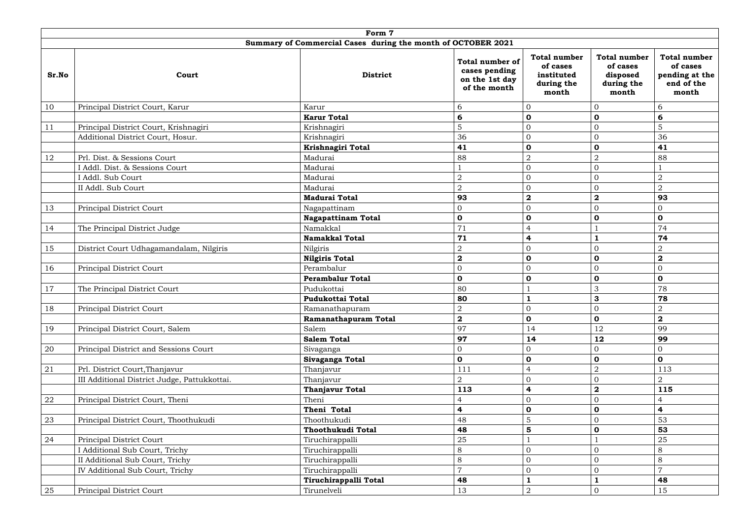|       | Form 7                                       |                                                              |                                                                           |                                                                      |                                                                    |                                                                          |  |  |  |  |
|-------|----------------------------------------------|--------------------------------------------------------------|---------------------------------------------------------------------------|----------------------------------------------------------------------|--------------------------------------------------------------------|--------------------------------------------------------------------------|--|--|--|--|
|       |                                              | Summary of Commercial Cases during the month of OCTOBER 2021 |                                                                           |                                                                      |                                                                    |                                                                          |  |  |  |  |
| Sr.No | Court                                        | <b>District</b>                                              | <b>Total number of</b><br>cases pending<br>on the 1st day<br>of the month | <b>Total number</b><br>of cases<br>instituted<br>during the<br>month | <b>Total number</b><br>of cases<br>disposed<br>during the<br>month | <b>Total number</b><br>of cases<br>pending at the<br>end of the<br>month |  |  |  |  |
| 10    | Principal District Court, Karur              | Karur                                                        | 6                                                                         | $\overline{0}$                                                       | $\overline{0}$                                                     | 6                                                                        |  |  |  |  |
|       |                                              | <b>Karur Total</b>                                           | 6                                                                         | $\mathbf 0$                                                          | $\mathbf 0$                                                        | 6                                                                        |  |  |  |  |
| 11    | Principal District Court, Krishnagiri        | Krishnagiri                                                  | $\overline{5}$                                                            | $\mathbf{0}$                                                         | $\overline{0}$                                                     | 5                                                                        |  |  |  |  |
|       | Additional District Court, Hosur.            | Krishnagiri                                                  | 36                                                                        | $\overline{0}$                                                       | $\overline{0}$                                                     | 36                                                                       |  |  |  |  |
|       |                                              | Krishnagiri Total                                            | 41                                                                        | $\mathbf 0$                                                          | $\mathbf 0$                                                        | 41                                                                       |  |  |  |  |
| 12    | Prl. Dist. & Sessions Court                  | Madurai                                                      | 88                                                                        | $\overline{2}$                                                       | $\overline{2}$                                                     | 88                                                                       |  |  |  |  |
|       | I Addl. Dist. & Sessions Court               | Madurai                                                      |                                                                           | $\overline{0}$                                                       | $\overline{0}$                                                     |                                                                          |  |  |  |  |
|       | I Addl. Sub Court                            | Madurai                                                      | $\overline{2}$                                                            | $\overline{0}$                                                       | $\overline{0}$                                                     | $\overline{2}$                                                           |  |  |  |  |
|       | II Addl. Sub Court                           | Madurai                                                      | $\overline{2}$                                                            | $\overline{0}$                                                       | $\overline{0}$                                                     | $\overline{2}$                                                           |  |  |  |  |
|       |                                              | <b>Madurai Total</b>                                         | 93                                                                        | $\mathbf{2}$                                                         | $\boldsymbol{2}$                                                   | 93                                                                       |  |  |  |  |
| 13    | Principal District Court                     | Nagapattinam                                                 | $\overline{0}$                                                            | $\overline{0}$                                                       | $\overline{0}$                                                     | $\mathbf{0}$                                                             |  |  |  |  |
|       |                                              | <b>Nagapattinam Total</b>                                    | $\mathbf 0$                                                               | $\mathbf 0$                                                          | $\mathbf 0$                                                        | $\mathbf 0$                                                              |  |  |  |  |
| 14    | The Principal District Judge                 | Namakkal                                                     | 71                                                                        | $\overline{4}$                                                       |                                                                    | 74                                                                       |  |  |  |  |
|       |                                              | <b>Namakkal Total</b>                                        | 71                                                                        | 4                                                                    |                                                                    | 74                                                                       |  |  |  |  |
| 15    | District Court Udhagamandalam, Nilgiris      | Nilgiris                                                     | $\sqrt{2}$                                                                | $\mathbf{0}$                                                         | $\overline{0}$                                                     | $\overline{2}$                                                           |  |  |  |  |
|       |                                              | <b>Nilgiris Total</b>                                        | $\mathbf{2}$                                                              | $\mathbf 0$                                                          | $\mathbf 0$                                                        | $\overline{\mathbf{2}}$                                                  |  |  |  |  |
| 16    | Principal District Court                     | Perambalur                                                   | $\boldsymbol{0}$                                                          | $\mathbf{0}$                                                         | $\overline{0}$                                                     | $\mathbf 0$                                                              |  |  |  |  |
|       |                                              | <b>Perambalur Total</b>                                      | $\mathbf 0$                                                               | $\mathbf 0$                                                          | $\mathbf 0$                                                        | $\mathbf 0$                                                              |  |  |  |  |
| 17    | The Principal District Court                 | Pudukottai                                                   | 80                                                                        |                                                                      | 3                                                                  | 78                                                                       |  |  |  |  |
|       |                                              | <b>Pudukottai Total</b>                                      | 80                                                                        |                                                                      | $\mathbf{3}$                                                       | 78                                                                       |  |  |  |  |
| 18    | Principal District Court                     | Ramanathapuram                                               | $\overline{2}$                                                            | $\overline{0}$                                                       | $\overline{0}$                                                     | $\overline{2}$                                                           |  |  |  |  |
|       |                                              | Ramanathapuram Total                                         | $\overline{\mathbf{2}}$                                                   | $\mathbf 0$                                                          | $\mathbf 0$                                                        | $\boldsymbol{2}$                                                         |  |  |  |  |
| 19    | Principal District Court, Salem              | Salem                                                        | 97                                                                        | 14                                                                   | 12                                                                 | 99                                                                       |  |  |  |  |
|       |                                              | <b>Salem Total</b>                                           | 97                                                                        | 14                                                                   | 12                                                                 | 99                                                                       |  |  |  |  |
| 20    | Principal District and Sessions Court        | Sivaganga                                                    | $\overline{0}$                                                            | $\overline{0}$                                                       | $\overline{0}$                                                     | $\mathbf{0}$                                                             |  |  |  |  |
|       |                                              | Sivaganga Total                                              | $\mathbf 0$                                                               | $\mathbf 0$                                                          | $\mathbf 0$                                                        | $\mathbf{o}$                                                             |  |  |  |  |
| 21    | Prl. District Court, Thanjavur               | Thanjavur                                                    | 111                                                                       | 4                                                                    | $\overline{2}$                                                     | 113                                                                      |  |  |  |  |
|       | III Additional District Judge, Pattukkottai. | Thanjavur                                                    | $\overline{2}$                                                            | $\overline{0}$                                                       | $\overline{0}$                                                     | $\overline{2}$                                                           |  |  |  |  |
|       |                                              | <b>Thanjavur Total</b>                                       | 113                                                                       | 4                                                                    | $\boldsymbol{2}$                                                   | 115                                                                      |  |  |  |  |
| 22    | Principal District Court, Theni              | Theni                                                        | 4                                                                         | $\overline{0}$                                                       | $\overline{0}$                                                     | $\overline{4}$                                                           |  |  |  |  |
|       |                                              | Theni Total                                                  | $\overline{\mathbf{r}}$                                                   | $\mathbf 0$                                                          | $\mathbf 0$                                                        | $\overline{\mathbf{4}}$                                                  |  |  |  |  |
| 23    | Principal District Court, Thoothukudi        | Thoothukudi                                                  | 48                                                                        | $\overline{5}$                                                       | $\overline{0}$                                                     | 53                                                                       |  |  |  |  |
|       |                                              | Thoothukudi Total                                            | 48                                                                        | $5\phantom{1}$                                                       | $\mathbf 0$                                                        | 53                                                                       |  |  |  |  |
| 24    | Principal District Court                     | Tiruchirappalli                                              | 25                                                                        |                                                                      |                                                                    | 25                                                                       |  |  |  |  |
|       | I Additional Sub Court, Trichy               | Tiruchirappalli                                              | $8\,$                                                                     | $\overline{0}$                                                       | $\overline{0}$                                                     | $8\phantom{1}$                                                           |  |  |  |  |
|       | II Additional Sub Court, Trichy              | Tiruchirappalli                                              | $8\,$                                                                     | $\Omega$                                                             | $\overline{0}$                                                     | 8                                                                        |  |  |  |  |
|       | IV Additional Sub Court, Trichy              | Tiruchirappalli                                              | $\overline{7}$                                                            | $\mathbf{0}$                                                         | $\overline{0}$                                                     | $\overline{7}$                                                           |  |  |  |  |
|       |                                              | Tiruchirappalli Total                                        | 48                                                                        |                                                                      |                                                                    | 48                                                                       |  |  |  |  |
| 25    | Principal District Court                     | Tirunelveli                                                  | 13                                                                        | 2                                                                    | $\overline{0}$                                                     | 15                                                                       |  |  |  |  |